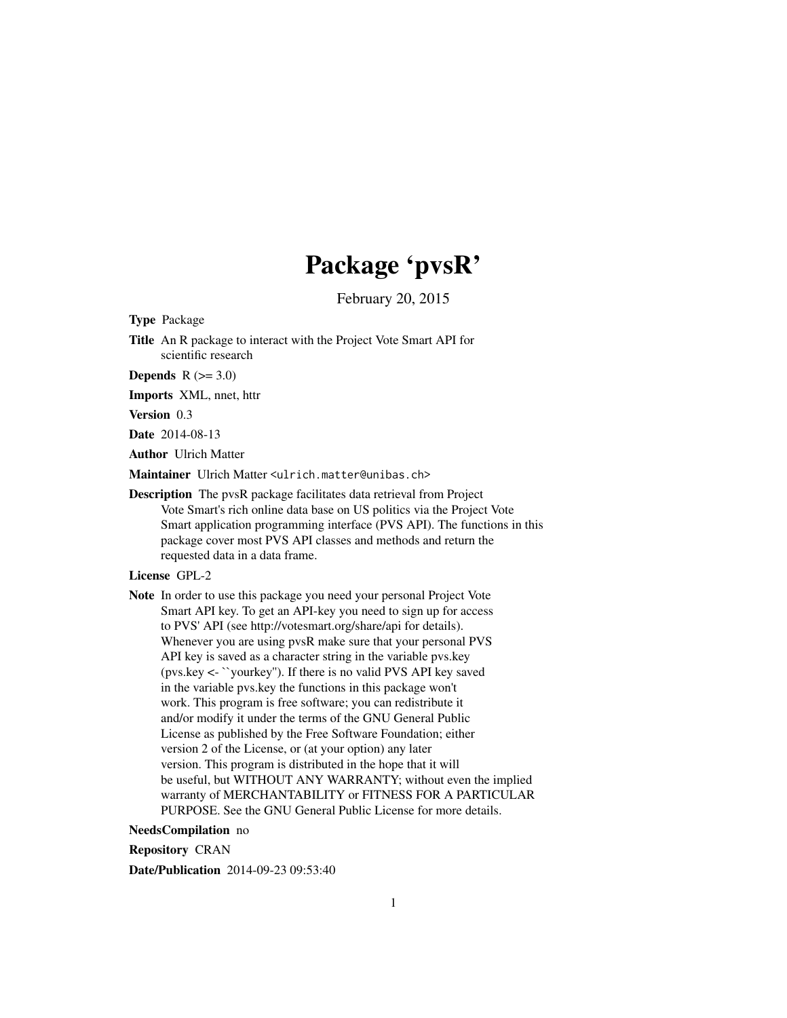# Package 'pvsR'

February 20, 2015

Type Package

Title An R package to interact with the Project Vote Smart API for scientific research

**Depends**  $R$  ( $>= 3.0$ )

Imports XML, nnet, httr

Version 0.3

Date 2014-08-13

Author Ulrich Matter

Maintainer Ulrich Matter <ulrich.matter@unibas.ch>

Description The pvsR package facilitates data retrieval from Project Vote Smart's rich online data base on US politics via the Project Vote Smart application programming interface (PVS API). The functions in this package cover most PVS API classes and methods and return the requested data in a data frame.

License GPL-2

Note In order to use this package you need your personal Project Vote Smart API key. To get an API-key you need to sign up for access to PVS' API (see http://votesmart.org/share/api for details). Whenever you are using pvsR make sure that your personal PVS API key is saved as a character string in the variable pvs.key (pvs.key <- ``yourkey''). If there is no valid PVS API key saved in the variable pvs.key the functions in this package won't work. This program is free software; you can redistribute it and/or modify it under the terms of the GNU General Public License as published by the Free Software Foundation; either version 2 of the License, or (at your option) any later version. This program is distributed in the hope that it will be useful, but WITHOUT ANY WARRANTY; without even the implied warranty of MERCHANTABILITY or FITNESS FOR A PARTICULAR PURPOSE. See the GNU General Public License for more details.

NeedsCompilation no

Repository CRAN

Date/Publication 2014-09-23 09:53:40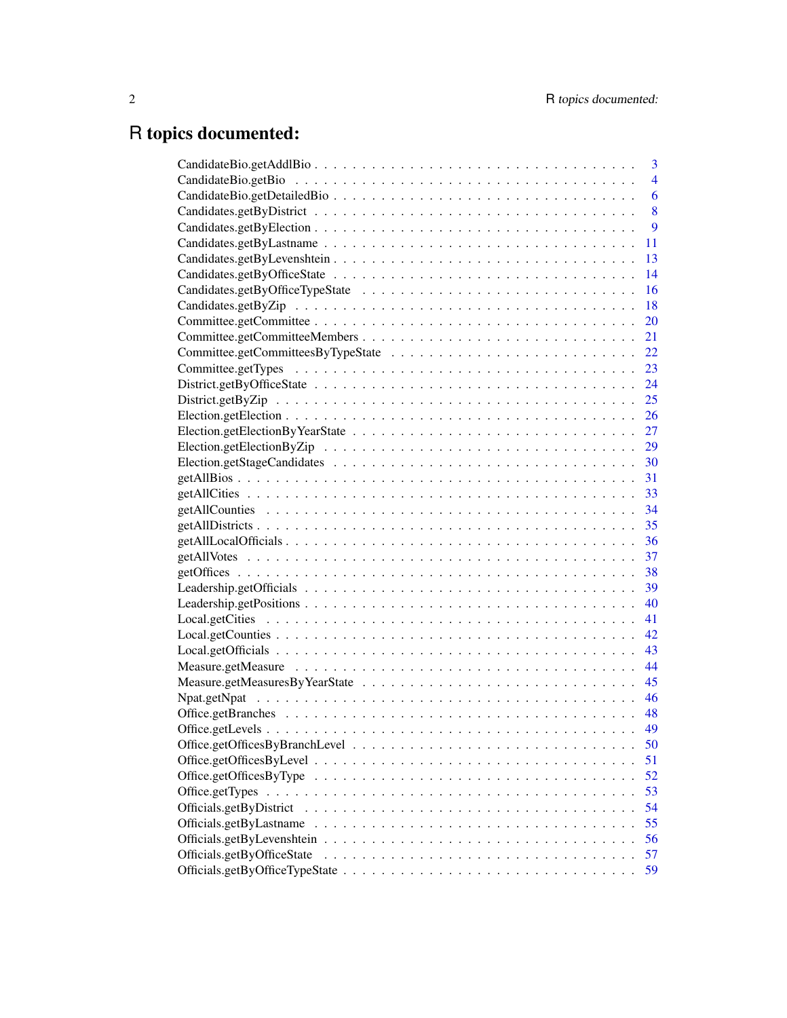# R topics documented:

|                                                                                                                     | 3              |
|---------------------------------------------------------------------------------------------------------------------|----------------|
|                                                                                                                     | $\overline{4}$ |
|                                                                                                                     | 6              |
|                                                                                                                     | 8              |
|                                                                                                                     | 9              |
|                                                                                                                     | 11             |
|                                                                                                                     | 13             |
|                                                                                                                     | 14             |
|                                                                                                                     | 16             |
|                                                                                                                     | 18             |
|                                                                                                                     | 20             |
|                                                                                                                     | 21             |
|                                                                                                                     | 22             |
|                                                                                                                     | 23             |
|                                                                                                                     | 24             |
|                                                                                                                     | 25             |
|                                                                                                                     |                |
|                                                                                                                     |                |
|                                                                                                                     | 29             |
|                                                                                                                     |                |
|                                                                                                                     |                |
|                                                                                                                     |                |
|                                                                                                                     |                |
|                                                                                                                     |                |
|                                                                                                                     |                |
|                                                                                                                     | 37             |
|                                                                                                                     |                |
|                                                                                                                     |                |
|                                                                                                                     | 40             |
|                                                                                                                     | 41             |
|                                                                                                                     | 42             |
|                                                                                                                     |                |
|                                                                                                                     |                |
|                                                                                                                     | 45             |
|                                                                                                                     | 46             |
|                                                                                                                     |                |
|                                                                                                                     | 49             |
|                                                                                                                     | 50             |
|                                                                                                                     | 51             |
| Office.getOfficesByType $\dots \dots \dots \dots \dots \dots \dots \dots \dots \dots \dots \dots \dots \dots \dots$ | 52             |
| Office.getTypes                                                                                                     | 53             |
|                                                                                                                     | 54             |
|                                                                                                                     | 55             |
|                                                                                                                     | 56             |
| Officials.getByOfficeState                                                                                          | 57             |
|                                                                                                                     | 59             |
|                                                                                                                     |                |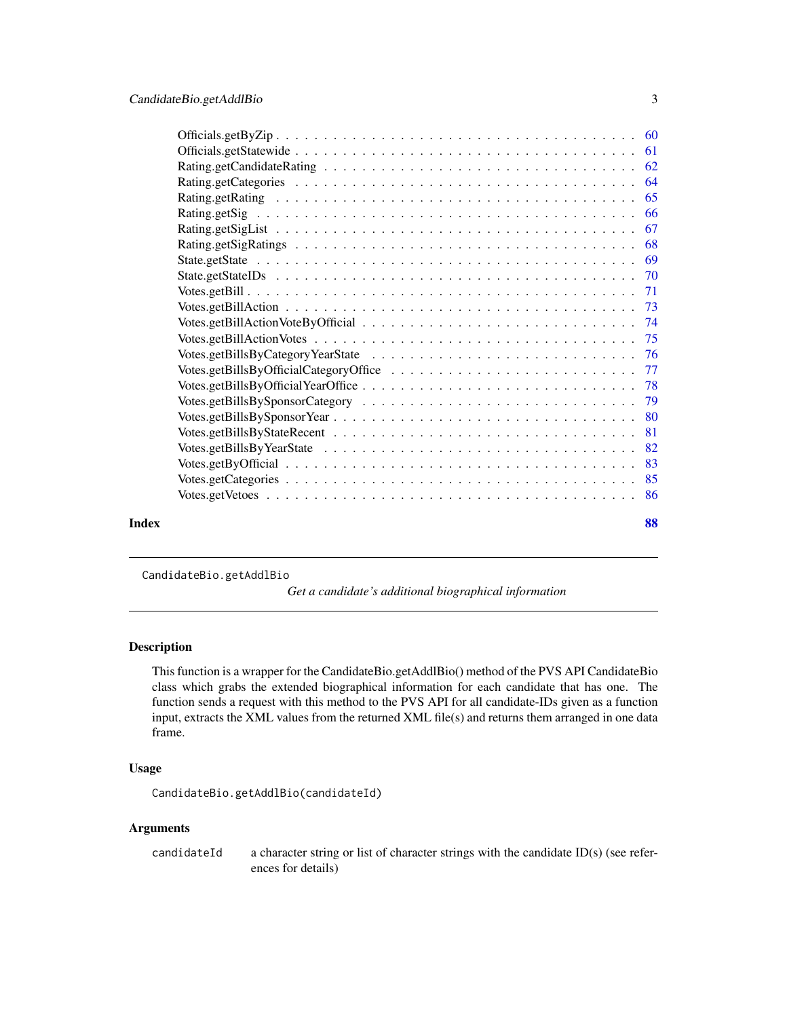<span id="page-2-0"></span>

| Index | 88 |
|-------|----|
|       |    |

CandidateBio.getAddlBio

*Get a candidate's additional biographical information*

# Description

This function is a wrapper for the CandidateBio.getAddlBio() method of the PVS API CandidateBio class which grabs the extended biographical information for each candidate that has one. The function sends a request with this method to the PVS API for all candidate-IDs given as a function input, extracts the XML values from the returned XML file(s) and returns them arranged in one data frame.

# Usage

CandidateBio.getAddlBio(candidateId)

# Arguments

candidateId a character string or list of character strings with the candidate ID(s) (see references for details)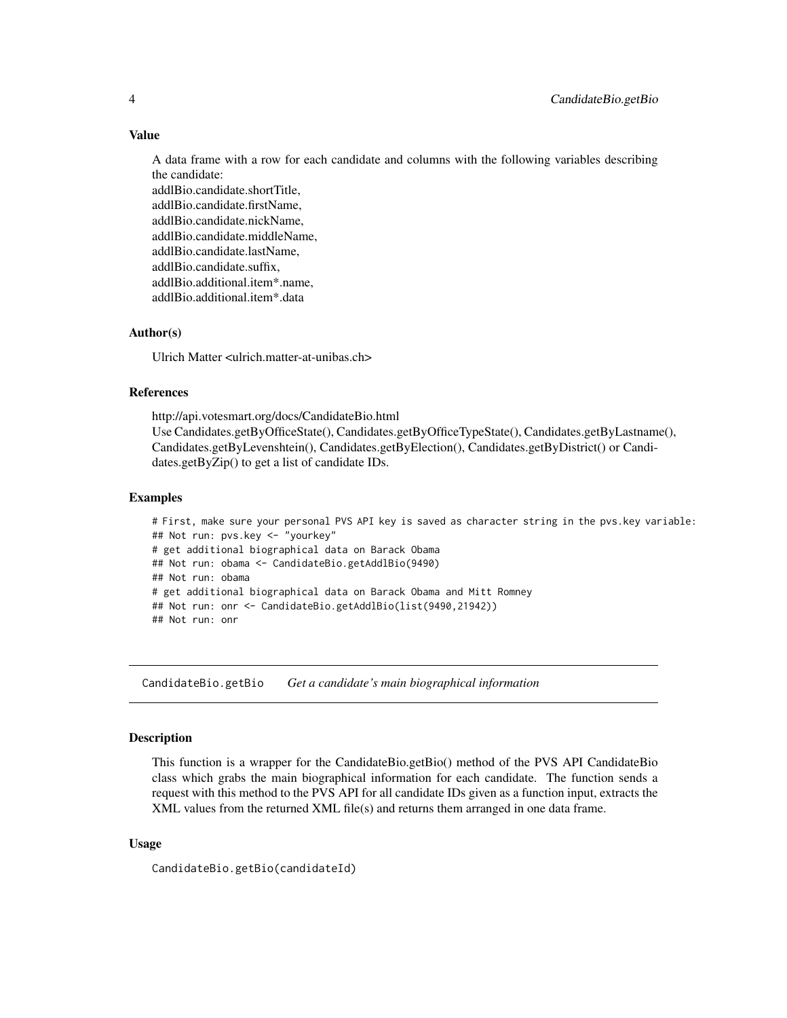#### Value

A data frame with a row for each candidate and columns with the following variables describing the candidate:

addlBio.candidate.shortTitle, addlBio.candidate.firstName, addlBio.candidate.nickName, addlBio.candidate.middleName, addlBio.candidate.lastName, addlBio.candidate.suffix, addlBio.additional.item\*.name, addlBio.additional.item\*.data

# Author(s)

Ulrich Matter <ulrich.matter-at-unibas.ch>

# References

http://api.votesmart.org/docs/CandidateBio.html Use Candidates.getByOfficeState(), Candidates.getByOfficeTypeState(), Candidates.getByLastname(), Candidates.getByLevenshtein(), Candidates.getByElection(), Candidates.getByDistrict() or Candidates.getByZip() to get a list of candidate IDs.

#### Examples

# First, make sure your personal PVS API key is saved as character string in the pvs.key variable: ## Not run: pvs.key <- "yourkey" # get additional biographical data on Barack Obama ## Not run: obama <- CandidateBio.getAddlBio(9490) ## Not run: obama # get additional biographical data on Barack Obama and Mitt Romney ## Not run: onr <- CandidateBio.getAddlBio(list(9490,21942)) ## Not run: onr

CandidateBio.getBio *Get a candidate's main biographical information*

#### **Description**

This function is a wrapper for the CandidateBio.getBio() method of the PVS API CandidateBio class which grabs the main biographical information for each candidate. The function sends a request with this method to the PVS API for all candidate IDs given as a function input, extracts the XML values from the returned XML file(s) and returns them arranged in one data frame.

#### Usage

CandidateBio.getBio(candidateId)

<span id="page-3-0"></span>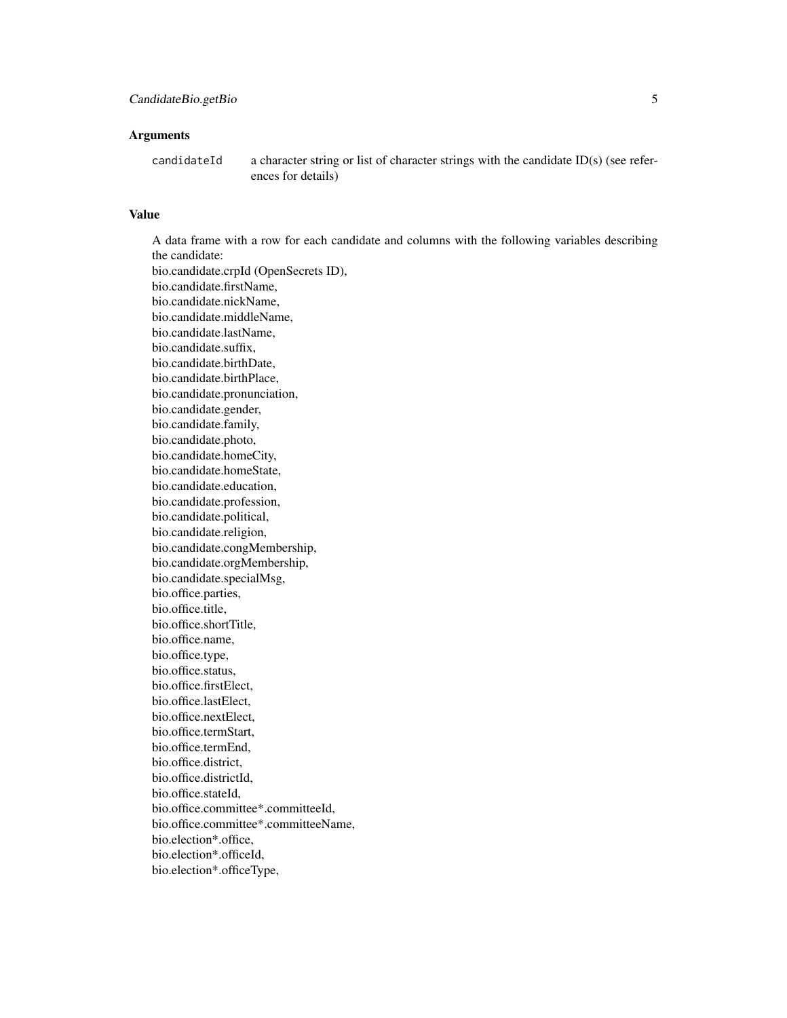#### **Arguments**

candidateId a character string or list of character strings with the candidate ID(s) (see references for details)

# Value

A data frame with a row for each candidate and columns with the following variables describing the candidate: bio.candidate.crpId (OpenSecrets ID), bio.candidate.firstName, bio.candidate.nickName, bio.candidate.middleName, bio.candidate.lastName, bio.candidate.suffix, bio.candidate.birthDate, bio.candidate.birthPlace, bio.candidate.pronunciation, bio.candidate.gender, bio.candidate.family, bio.candidate.photo, bio.candidate.homeCity, bio.candidate.homeState, bio.candidate.education, bio.candidate.profession, bio.candidate.political, bio.candidate.religion, bio.candidate.congMembership, bio.candidate.orgMembership, bio.candidate.specialMsg, bio.office.parties, bio.office.title, bio.office.shortTitle, bio.office.name, bio.office.type, bio.office.status, bio.office.firstElect, bio.office.lastElect, bio.office.nextElect, bio.office.termStart, bio.office.termEnd, bio.office.district, bio.office.districtId, bio.office.stateId, bio.office.committee\*.committeeId, bio.office.committee\*.committeeName, bio.election\*.office, bio.election\*.officeId,

bio.election\*.officeType,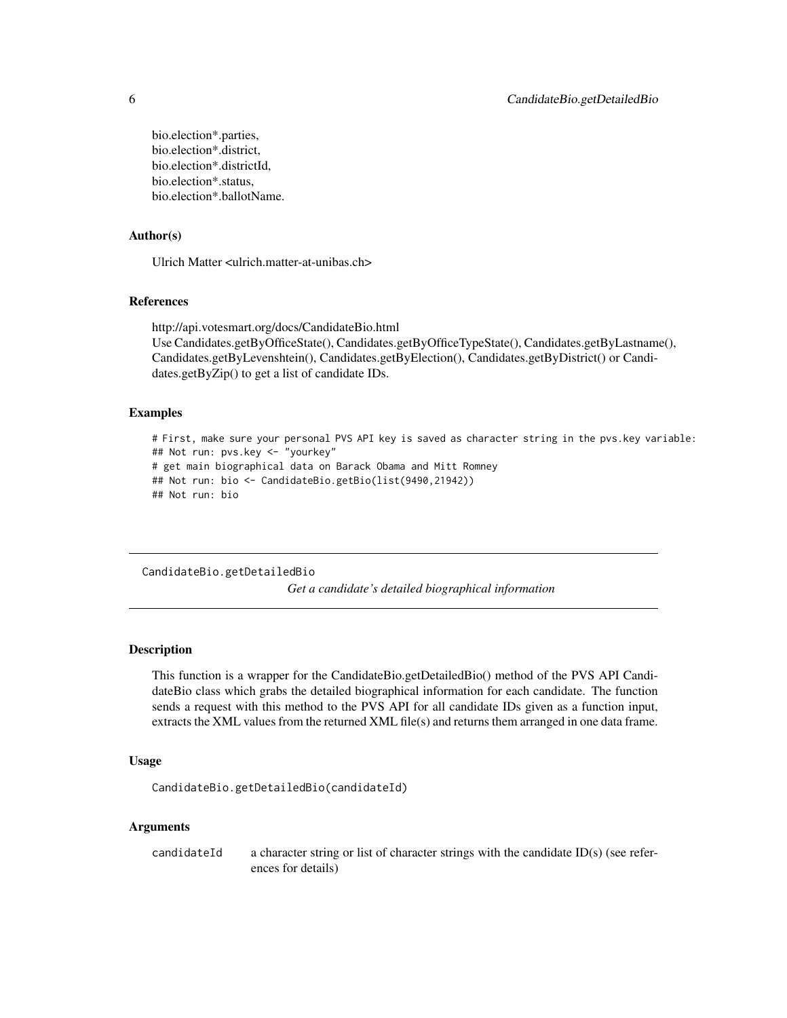bio.election\*.parties, bio.election\*.district, bio.election\*.districtId, bio.election\*.status, bio.election\*.ballotName.

# Author(s)

Ulrich Matter <ulrich.matter-at-unibas.ch>

#### References

http://api.votesmart.org/docs/CandidateBio.html Use Candidates.getByOfficeState(), Candidates.getByOfficeTypeState(), Candidates.getByLastname(), Candidates.getByLevenshtein(), Candidates.getByElection(), Candidates.getByDistrict() or Candidates.getByZip() to get a list of candidate IDs.

#### Examples

```
# First, make sure your personal PVS API key is saved as character string in the pvs.key variable:
## Not run: pvs.key <- "yourkey"
# get main biographical data on Barack Obama and Mitt Romney
## Not run: bio <- CandidateBio.getBio(list(9490,21942))
## Not run: bio
```
CandidateBio.getDetailedBio *Get a candidate's detailed biographical information*

# Description

This function is a wrapper for the CandidateBio.getDetailedBio() method of the PVS API CandidateBio class which grabs the detailed biographical information for each candidate. The function sends a request with this method to the PVS API for all candidate IDs given as a function input, extracts the XML values from the returned XML file(s) and returns them arranged in one data frame.

# Usage

CandidateBio.getDetailedBio(candidateId)

# Arguments

candidateId a character string or list of character strings with the candidate ID(s) (see references for details)

<span id="page-5-0"></span>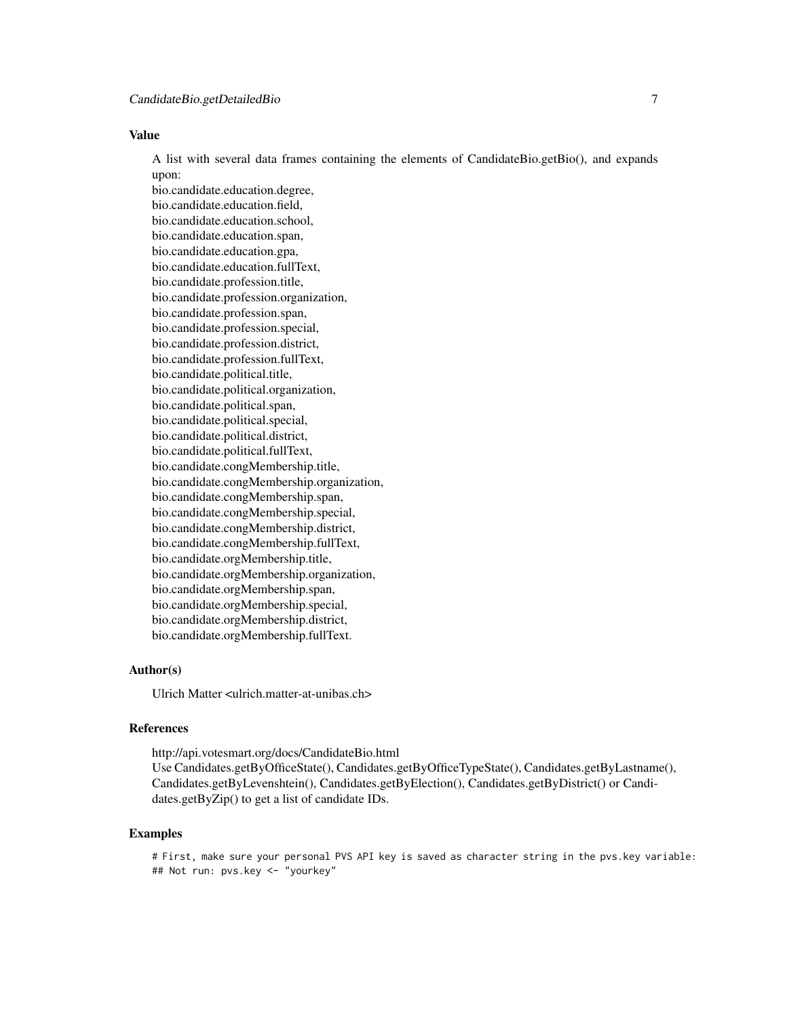# Value

A list with several data frames containing the elements of CandidateBio.getBio(), and expands upon:

bio.candidate.education.degree, bio.candidate.education.field, bio.candidate.education.school, bio.candidate.education.span, bio.candidate.education.gpa, bio.candidate.education.fullText, bio.candidate.profession.title, bio.candidate.profession.organization, bio.candidate.profession.span, bio.candidate.profession.special, bio.candidate.profession.district, bio.candidate.profession.fullText, bio.candidate.political.title, bio.candidate.political.organization, bio.candidate.political.span, bio.candidate.political.special, bio.candidate.political.district, bio.candidate.political.fullText, bio.candidate.congMembership.title, bio.candidate.congMembership.organization, bio.candidate.congMembership.span, bio.candidate.congMembership.special, bio.candidate.congMembership.district, bio.candidate.congMembership.fullText, bio.candidate.orgMembership.title, bio.candidate.orgMembership.organization, bio.candidate.orgMembership.span, bio.candidate.orgMembership.special, bio.candidate.orgMembership.district, bio.candidate.orgMembership.fullText.

#### Author(s)

Ulrich Matter <ulrich.matter-at-unibas.ch>

#### References

http://api.votesmart.org/docs/CandidateBio.html Use Candidates.getByOfficeState(), Candidates.getByOfficeTypeState(), Candidates.getByLastname(), Candidates.getByLevenshtein(), Candidates.getByElection(), Candidates.getByDistrict() or Candidates.getByZip() to get a list of candidate IDs.

# Examples

# First, make sure your personal PVS API key is saved as character string in the pvs.key variable: ## Not run: pvs.key <- "yourkey"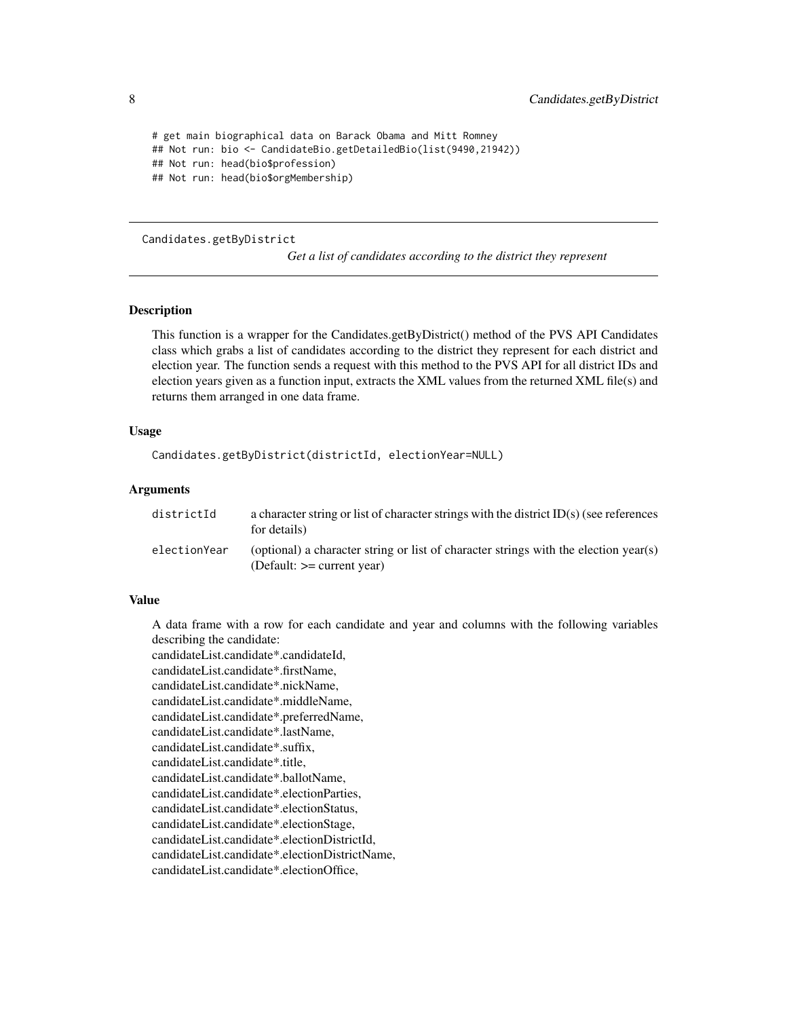```
# get main biographical data on Barack Obama and Mitt Romney
## Not run: bio <- CandidateBio.getDetailedBio(list(9490,21942))
## Not run: head(bio$profession)
## Not run: head(bio$orgMembership)
```
Candidates.getByDistrict

*Get a list of candidates according to the district they represent*

# Description

This function is a wrapper for the Candidates.getByDistrict() method of the PVS API Candidates class which grabs a list of candidates according to the district they represent for each district and election year. The function sends a request with this method to the PVS API for all district IDs and election years given as a function input, extracts the XML values from the returned XML file(s) and returns them arranged in one data frame.

#### Usage

```
Candidates.getByDistrict(districtId, electionYear=NULL)
```
#### **Arguments**

| districtId   | a character string or list of character strings with the district $ID(s)$ (see references<br>for details)            |
|--------------|----------------------------------------------------------------------------------------------------------------------|
| electionYear | (optional) a character string or list of character strings with the election year(s)<br>(Default: $>=$ current year) |

#### Value

A data frame with a row for each candidate and year and columns with the following variables describing the candidate:

candidateList.candidate\*.candidateId, candidateList.candidate\*.firstName, candidateList.candidate\*.nickName, candidateList.candidate\*.middleName, candidateList.candidate\*.preferredName, candidateList.candidate\*.lastName, candidateList.candidate\*.suffix, candidateList.candidate\*.title, candidateList.candidate\*.ballotName, candidateList.candidate\*.electionParties, candidateList.candidate\*.electionStatus, candidateList.candidate\*.electionStage, candidateList.candidate\*.electionDistrictId, candidateList.candidate\*.electionDistrictName, candidateList.candidate\*.electionOffice,

<span id="page-7-0"></span>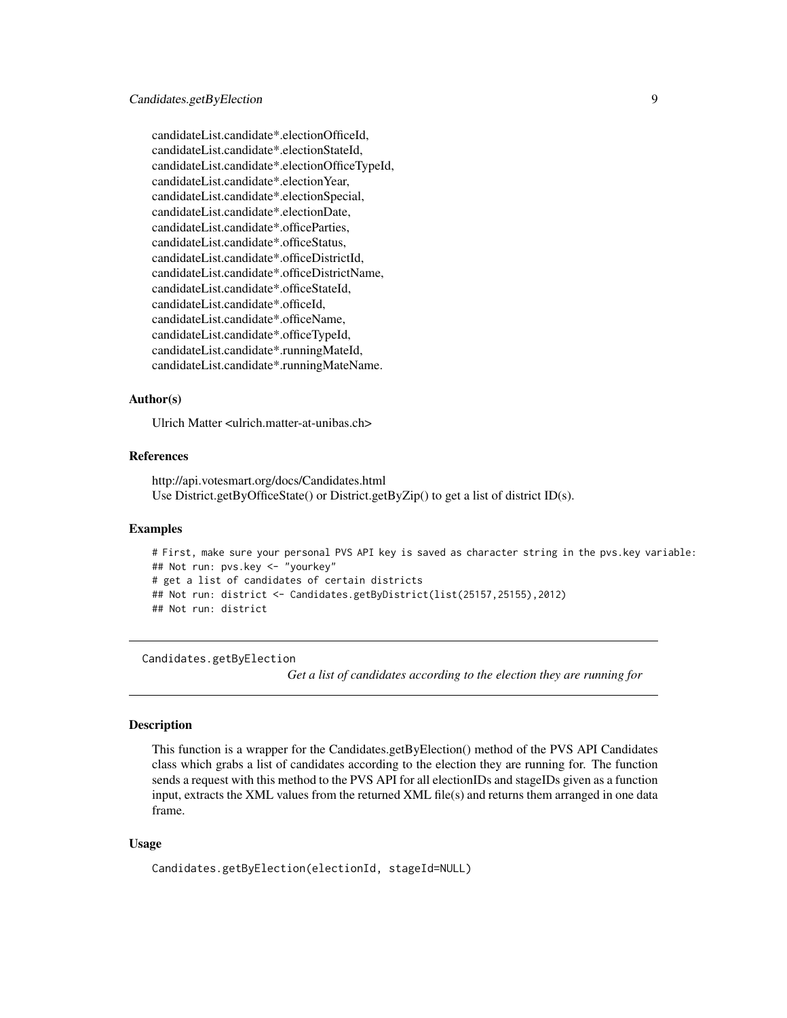<span id="page-8-0"></span>candidateList.candidate\*.electionOfficeId, candidateList.candidate\*.electionStateId, candidateList.candidate\*.electionOfficeTypeId, candidateList.candidate\*.electionYear, candidateList.candidate\*.electionSpecial, candidateList.candidate\*.electionDate, candidateList.candidate\*.officeParties, candidateList.candidate\*.officeStatus, candidateList.candidate\*.officeDistrictId, candidateList.candidate\*.officeDistrictName, candidateList.candidate\*.officeStateId, candidateList.candidate\*.officeId, candidateList.candidate\*.officeName, candidateList.candidate\*.officeTypeId, candidateList.candidate\*.runningMateId, candidateList.candidate\*.runningMateName.

#### Author(s)

Ulrich Matter <ulrich.matter-at-unibas.ch>

### References

http://api.votesmart.org/docs/Candidates.html Use District.getByOfficeState() or District.getByZip() to get a list of district ID(s).

#### Examples

```
# First, make sure your personal PVS API key is saved as character string in the pvs.key variable:
## Not run: pvs.key <- "yourkey"
# get a list of candidates of certain districts
## Not run: district <- Candidates.getByDistrict(list(25157,25155),2012)
## Not run: district
```
Candidates.getByElection

*Get a list of candidates according to the election they are running for*

#### **Description**

This function is a wrapper for the Candidates.getByElection() method of the PVS API Candidates class which grabs a list of candidates according to the election they are running for. The function sends a request with this method to the PVS API for all electionIDs and stageIDs given as a function input, extracts the XML values from the returned XML file(s) and returns them arranged in one data frame.

# Usage

Candidates.getByElection(electionId, stageId=NULL)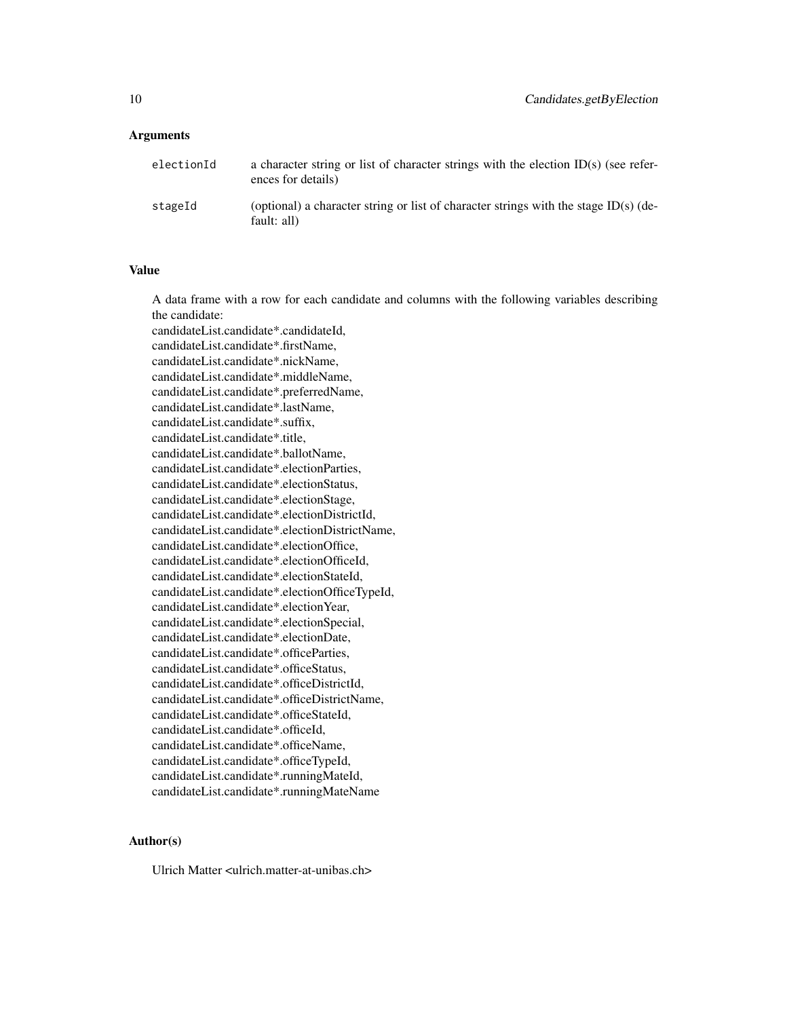#### **Arguments**

| electionId | a character string or list of character strings with the election $ID(s)$ (see refer-<br>ences for details) |
|------------|-------------------------------------------------------------------------------------------------------------|
| stageId    | (optional) a character string or list of character strings with the stage ID(s) (de-<br>fault: all)         |

#### Value

A data frame with a row for each candidate and columns with the following variables describing the candidate:

candidateList.candidate\*.candidateId, candidateList.candidate\*.firstName, candidateList.candidate\*.nickName, candidateList.candidate\*.middleName, candidateList.candidate\*.preferredName, candidateList.candidate\*.lastName, candidateList.candidate\*.suffix, candidateList.candidate\*.title, candidateList.candidate\*.ballotName, candidateList.candidate\*.electionParties, candidateList.candidate\*.electionStatus, candidateList.candidate\*.electionStage, candidateList.candidate\*.electionDistrictId, candidateList.candidate\*.electionDistrictName, candidateList.candidate\*.electionOffice, candidateList.candidate\*.electionOfficeId, candidateList.candidate\*.electionStateId, candidateList.candidate\*.electionOfficeTypeId, candidateList.candidate\*.electionYear, candidateList.candidate\*.electionSpecial, candidateList.candidate\*.electionDate, candidateList.candidate\*.officeParties, candidateList.candidate\*.officeStatus, candidateList.candidate\*.officeDistrictId, candidateList.candidate\*.officeDistrictName, candidateList.candidate\*.officeStateId, candidateList.candidate\*.officeId, candidateList.candidate\*.officeName, candidateList.candidate\*.officeTypeId, candidateList.candidate\*.runningMateId, candidateList.candidate\*.runningMateName

# Author(s)

Ulrich Matter <ulrich.matter-at-unibas.ch>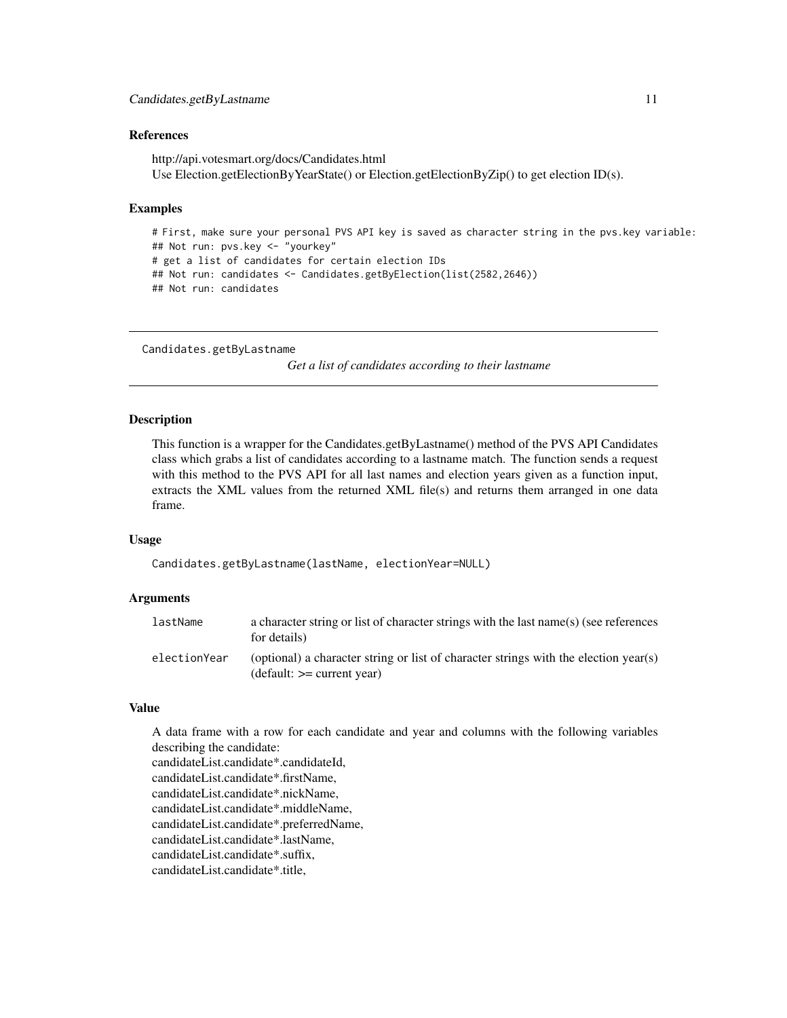#### <span id="page-10-0"></span>References

http://api.votesmart.org/docs/Candidates.html Use Election.getElectionByYearState() or Election.getElectionByZip() to get election ID(s).

# Examples

# First, make sure your personal PVS API key is saved as character string in the pvs.key variable: ## Not run: pvs.key <- "yourkey" # get a list of candidates for certain election IDs ## Not run: candidates <- Candidates.getByElection(list(2582,2646)) ## Not run: candidates

```
Candidates.getByLastname
```
*Get a list of candidates according to their lastname*

#### **Description**

This function is a wrapper for the Candidates.getByLastname() method of the PVS API Candidates class which grabs a list of candidates according to a lastname match. The function sends a request with this method to the PVS API for all last names and election years given as a function input, extracts the XML values from the returned XML file(s) and returns them arranged in one data frame.

#### Usage

Candidates.getByLastname(lastName, electionYear=NULL)

#### Arguments

| lastName     | a character string or list of character strings with the last name(s) (see references<br>for details)                |
|--------------|----------------------------------------------------------------------------------------------------------------------|
| electionYear | (optional) a character string or list of character strings with the election year(s)<br>$(detault: == current year)$ |

#### Value

A data frame with a row for each candidate and year and columns with the following variables describing the candidate: candidateList.candidate\*.candidateId,

candidateList.candidate\*.firstName, candidateList.candidate\*.nickName, candidateList.candidate\*.middleName, candidateList.candidate\*.preferredName, candidateList.candidate\*.lastName, candidateList.candidate\*.suffix, candidateList.candidate\*.title,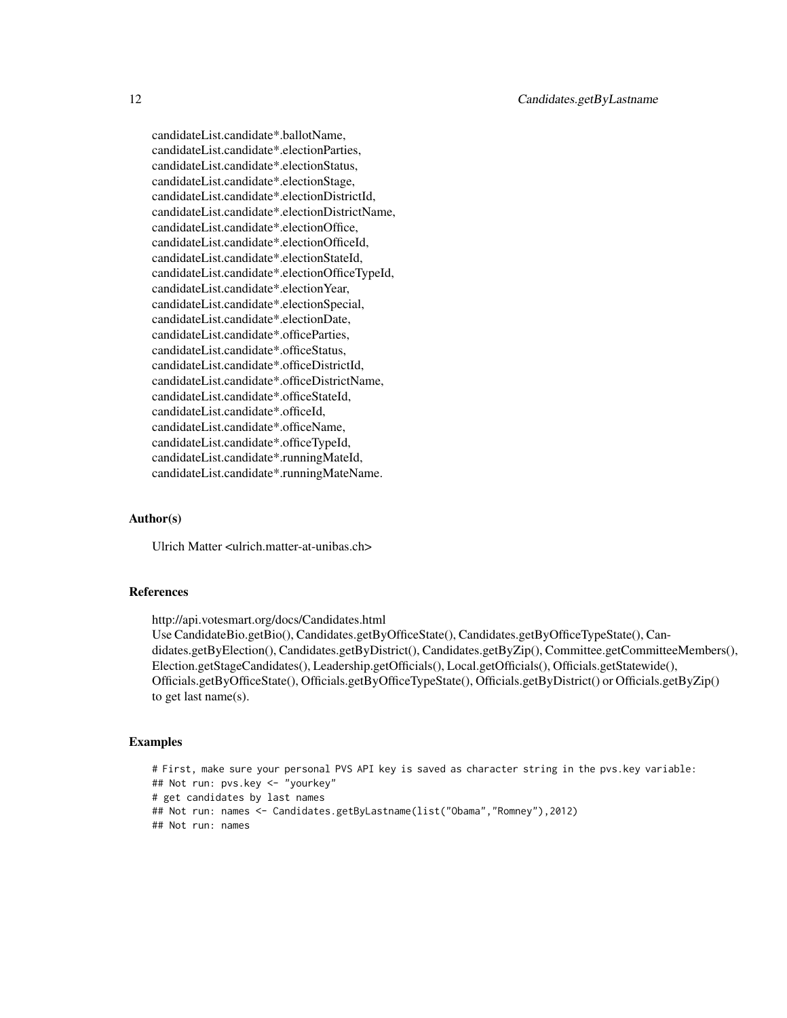candidateList.candidate\*.ballotName, candidateList.candidate\*.electionParties, candidateList.candidate\*.electionStatus, candidateList.candidate\*.electionStage, candidateList.candidate\*.electionDistrictId, candidateList.candidate\*.electionDistrictName, candidateList.candidate\*.electionOffice, candidateList.candidate\*.electionOfficeId, candidateList.candidate\*.electionStateId, candidateList.candidate\*.electionOfficeTypeId, candidateList.candidate\*.electionYear, candidateList.candidate\*.electionSpecial, candidateList.candidate\*.electionDate, candidateList.candidate\*.officeParties, candidateList.candidate\*.officeStatus, candidateList.candidate\*.officeDistrictId, candidateList.candidate\*.officeDistrictName, candidateList.candidate\*.officeStateId, candidateList.candidate\*.officeId, candidateList.candidate\*.officeName, candidateList.candidate\*.officeTypeId, candidateList.candidate\*.runningMateId, candidateList.candidate\*.runningMateName.

#### Author(s)

Ulrich Matter <ulrich.matter-at-unibas.ch>

#### References

http://api.votesmart.org/docs/Candidates.html Use CandidateBio.getBio(), Candidates.getByOfficeState(), Candidates.getByOfficeTypeState(), Candidates.getByElection(), Candidates.getByDistrict(), Candidates.getByZip(), Committee.getCommitteeMembers(), Election.getStageCandidates(), Leadership.getOfficials(), Local.getOfficials(), Officials.getStatewide(), Officials.getByOfficeState(), Officials.getByOfficeTypeState(), Officials.getByDistrict() or Officials.getByZip() to get last name(s).

# Examples

```
# First, make sure your personal PVS API key is saved as character string in the pvs.key variable:
## Not run: pvs.key <- "yourkey"
# get candidates by last names
## Not run: names <- Candidates.getByLastname(list("Obama","Romney"),2012)
## Not run: names
```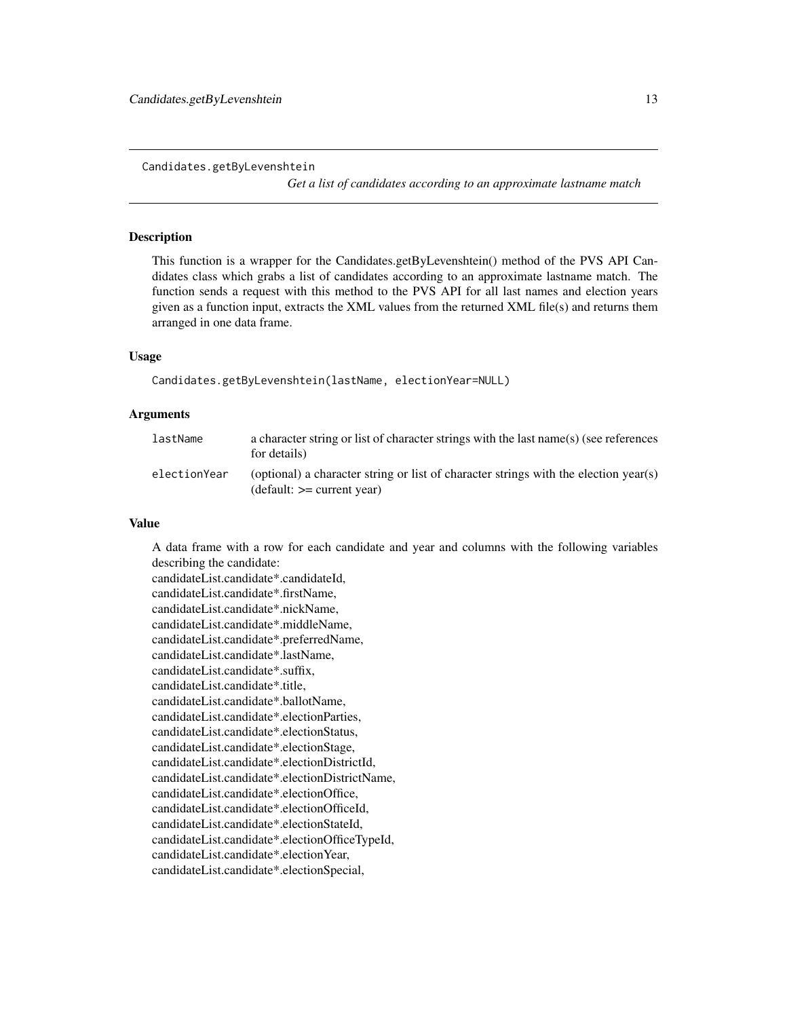<span id="page-12-0"></span>Candidates.getByLevenshtein

*Get a list of candidates according to an approximate lastname match*

#### **Description**

This function is a wrapper for the Candidates.getByLevenshtein() method of the PVS API Candidates class which grabs a list of candidates according to an approximate lastname match. The function sends a request with this method to the PVS API for all last names and election years given as a function input, extracts the XML values from the returned XML file(s) and returns them arranged in one data frame.

#### Usage

Candidates.getByLevenshtein(lastName, electionYear=NULL)

# Arguments

| lastName     | a character string or list of character strings with the last name(s) (see references<br>for details)                |
|--------------|----------------------------------------------------------------------------------------------------------------------|
| electionYear | (optional) a character string or list of character strings with the election year(s)<br>$(detault: == current year)$ |

# Value

A data frame with a row for each candidate and year and columns with the following variables describing the candidate: candidateList.candidate\*.candidateId, candidateList.candidate\*.firstName, candidateList.candidate\*.nickName, candidateList.candidate\*.middleName, candidateList.candidate\*.preferredName, candidateList.candidate\*.lastName, candidateList.candidate\*.suffix, candidateList.candidate\*.title, candidateList.candidate\*.ballotName, candidateList.candidate\*.electionParties, candidateList.candidate\*.electionStatus, candidateList.candidate\*.electionStage, candidateList.candidate\*.electionDistrictId, candidateList.candidate\*.electionDistrictName, candidateList.candidate\*.electionOffice, candidateList.candidate\*.electionOfficeId, candidateList.candidate\*.electionStateId, candidateList.candidate\*.electionOfficeTypeId, candidateList.candidate\*.electionYear, candidateList.candidate\*.electionSpecial,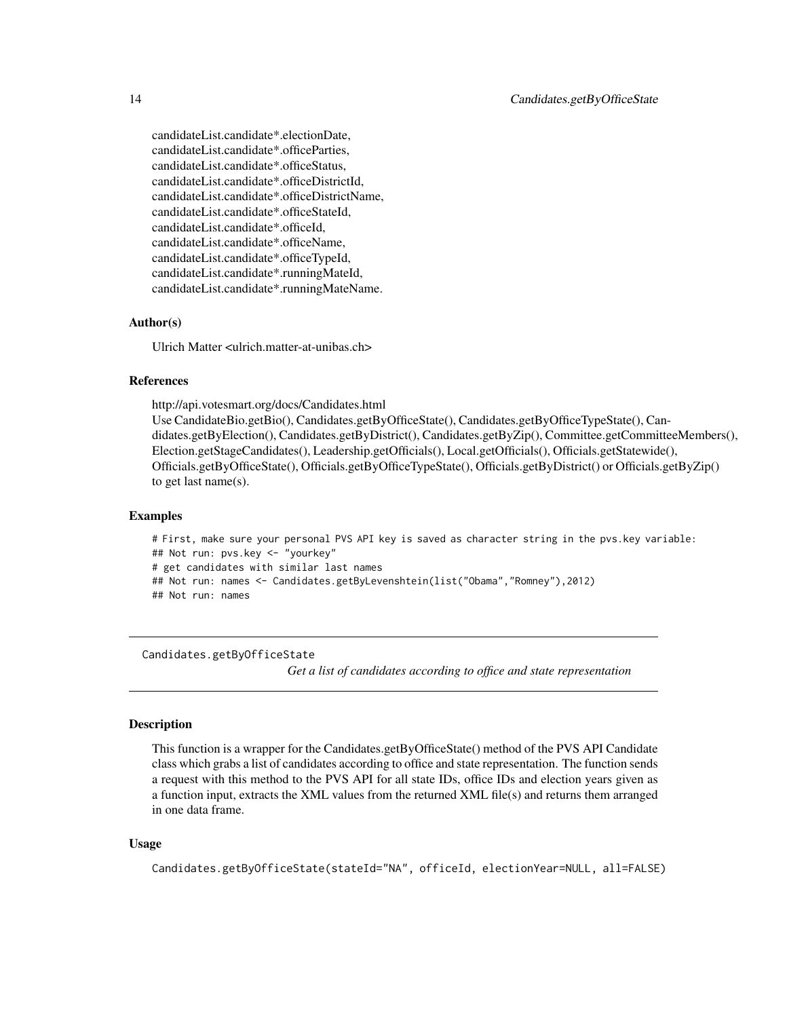<span id="page-13-0"></span>candidateList.candidate\*.electionDate, candidateList.candidate\*.officeParties, candidateList.candidate\*.officeStatus, candidateList.candidate\*.officeDistrictId, candidateList.candidate\*.officeDistrictName, candidateList.candidate\*.officeStateId, candidateList.candidate\*.officeId, candidateList.candidate\*.officeName, candidateList.candidate\*.officeTypeId, candidateList.candidate\*.runningMateId, candidateList.candidate\*.runningMateName.

#### Author(s)

Ulrich Matter <ulrich.matter-at-unibas.ch>

# References

http://api.votesmart.org/docs/Candidates.html

Use CandidateBio.getBio(), Candidates.getByOfficeState(), Candidates.getByOfficeTypeState(), Candidates.getByElection(), Candidates.getByDistrict(), Candidates.getByZip(), Committee.getCommitteeMembers(), Election.getStageCandidates(), Leadership.getOfficials(), Local.getOfficials(), Officials.getStatewide(), Officials.getByOfficeState(), Officials.getByOfficeTypeState(), Officials.getByDistrict() or Officials.getByZip() to get last name(s).

#### Examples

# First, make sure your personal PVS API key is saved as character string in the pvs.key variable: ## Not run: pvs.key <- "yourkey" # get candidates with similar last names ## Not run: names <- Candidates.getByLevenshtein(list("Obama","Romney"),2012) ## Not run: names

Candidates.getByOfficeState

*Get a list of candidates according to office and state representation*

# Description

This function is a wrapper for the Candidates.getByOfficeState() method of the PVS API Candidate class which grabs a list of candidates according to office and state representation. The function sends a request with this method to the PVS API for all state IDs, office IDs and election years given as a function input, extracts the XML values from the returned XML file(s) and returns them arranged in one data frame.

#### Usage

Candidates.getByOfficeState(stateId="NA", officeId, electionYear=NULL, all=FALSE)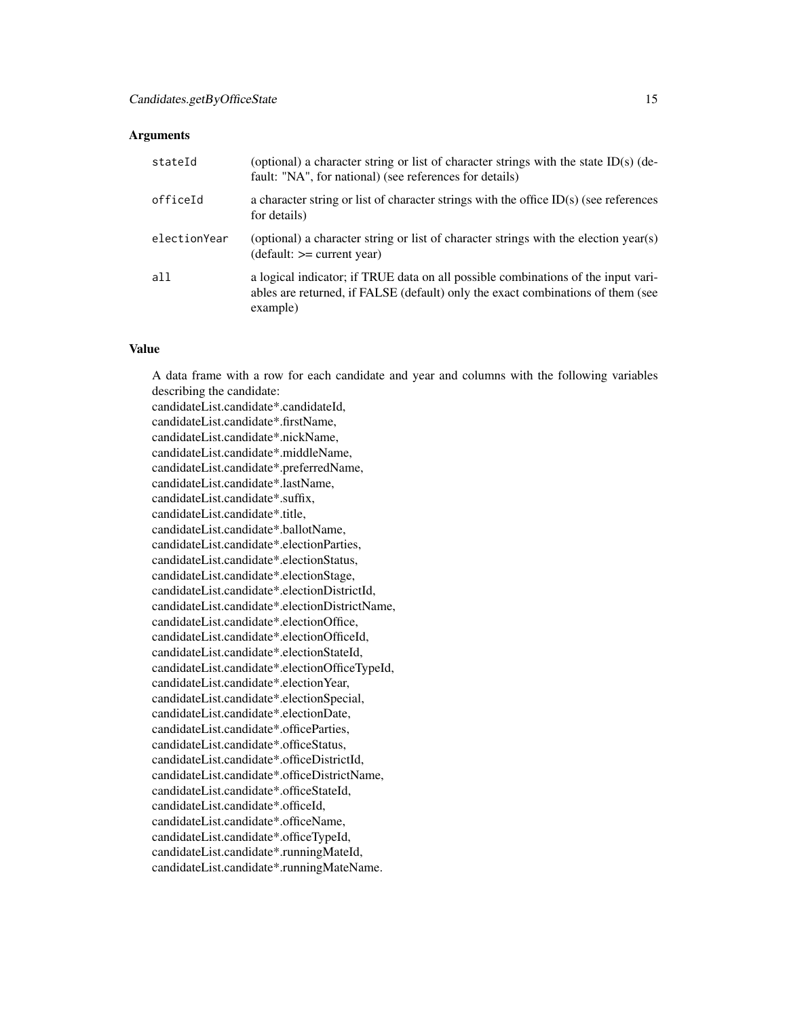#### **Arguments**

| stateId      | (optional) a character string or list of character strings with the state ID(s) (de-<br>fault: "NA", for national) (see references for details)                                  |
|--------------|----------------------------------------------------------------------------------------------------------------------------------------------------------------------------------|
| officeId     | a character string or list of character strings with the office $ID(s)$ (see references<br>for details)                                                                          |
| electionYear | (optional) a character string or list of character strings with the election year(s)<br>$(detault: == current year)$                                                             |
| all          | a logical indicator; if TRUE data on all possible combinations of the input vari-<br>ables are returned, if FALSE (default) only the exact combinations of them (see<br>example) |

#### Value

A data frame with a row for each candidate and year and columns with the following variables describing the candidate: candidateList.candidate\*.candidateId, candidateList.candidate\*.firstName, candidateList.candidate\*.nickName, candidateList.candidate\*.middleName, candidateList.candidate\*.preferredName, candidateList.candidate\*.lastName, candidateList.candidate\*.suffix, candidateList.candidate\*.title, candidateList.candidate\*.ballotName, candidateList.candidate\*.electionParties, candidateList.candidate\*.electionStatus, candidateList.candidate\*.electionStage, candidateList.candidate\*.electionDistrictId, candidateList.candidate\*.electionDistrictName, candidateList.candidate\*.electionOffice, candidateList.candidate\*.electionOfficeId, candidateList.candidate\*.electionStateId, candidateList.candidate\*.electionOfficeTypeId, candidateList.candidate\*.electionYear, candidateList.candidate\*.electionSpecial, candidateList.candidate\*.electionDate, candidateList.candidate\*.officeParties, candidateList.candidate\*.officeStatus, candidateList.candidate\*.officeDistrictId, candidateList.candidate\*.officeDistrictName, candidateList.candidate\*.officeStateId, candidateList.candidate\*.officeId, candidateList.candidate\*.officeName, candidateList.candidate\*.officeTypeId, candidateList.candidate\*.runningMateId, candidateList.candidate\*.runningMateName.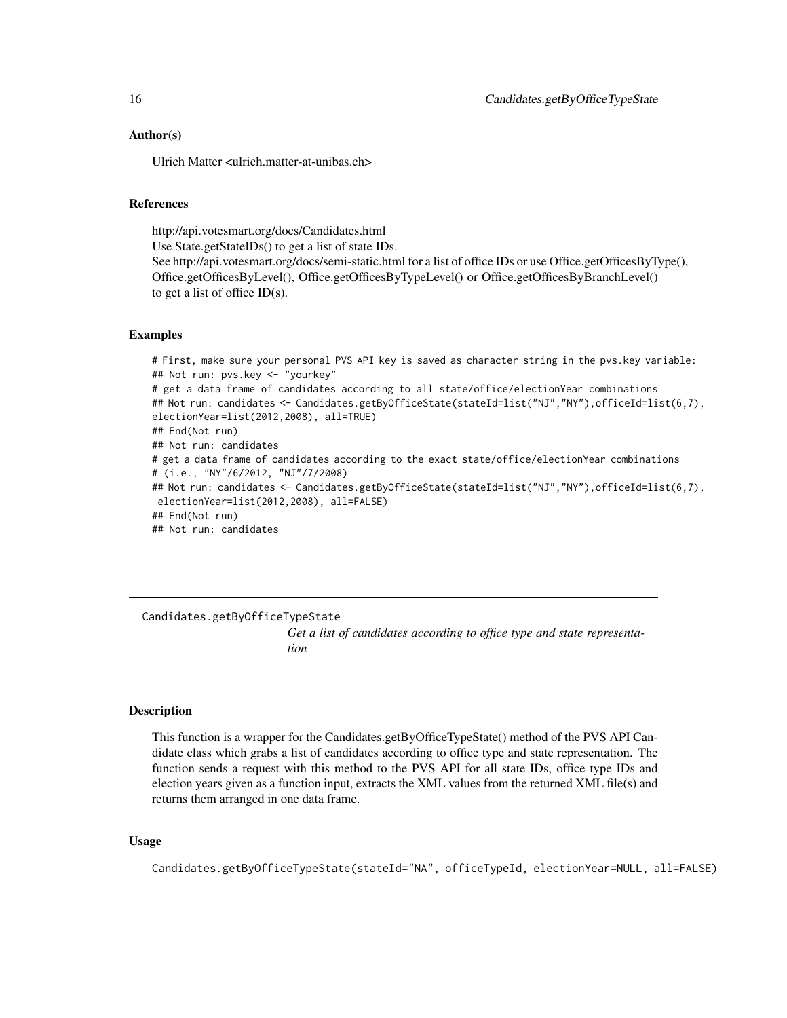#### <span id="page-15-0"></span>Author(s)

Ulrich Matter <ulrich.matter-at-unibas.ch>

# References

http://api.votesmart.org/docs/Candidates.html

Use State.getStateIDs() to get a list of state IDs.

See http://api.votesmart.org/docs/semi-static.html for a list of office IDs or use Office.getOfficesByType(), Office.getOfficesByLevel(), Office.getOfficesByTypeLevel() or Office.getOfficesByBranchLevel() to get a list of office ID(s).

#### Examples

# First, make sure your personal PVS API key is saved as character string in the pvs.key variable: ## Not run: pvs.key <- "yourkey" # get a data frame of candidates according to all state/office/electionYear combinations ## Not run: candidates <- Candidates.getByOfficeState(stateId=list("NJ","NY"),officeId=list(6,7), electionYear=list(2012,2008), all=TRUE) ## End(Not run) ## Not run: candidates # get a data frame of candidates according to the exact state/office/electionYear combinations # (i.e., "NY"/6/2012, "NJ"/7/2008) ## Not run: candidates <- Candidates.getByOfficeState(stateId=list("NJ","NY"),officeId=list(6,7), electionYear=list(2012,2008), all=FALSE) ## End(Not run) ## Not run: candidates

Candidates.getByOfficeTypeState *Get a list of candidates according to office type and state representation*

#### Description

This function is a wrapper for the Candidates.getByOfficeTypeState() method of the PVS API Candidate class which grabs a list of candidates according to office type and state representation. The function sends a request with this method to the PVS API for all state IDs, office type IDs and election years given as a function input, extracts the XML values from the returned XML file(s) and returns them arranged in one data frame.

#### Usage

Candidates.getByOfficeTypeState(stateId="NA", officeTypeId, electionYear=NULL, all=FALSE)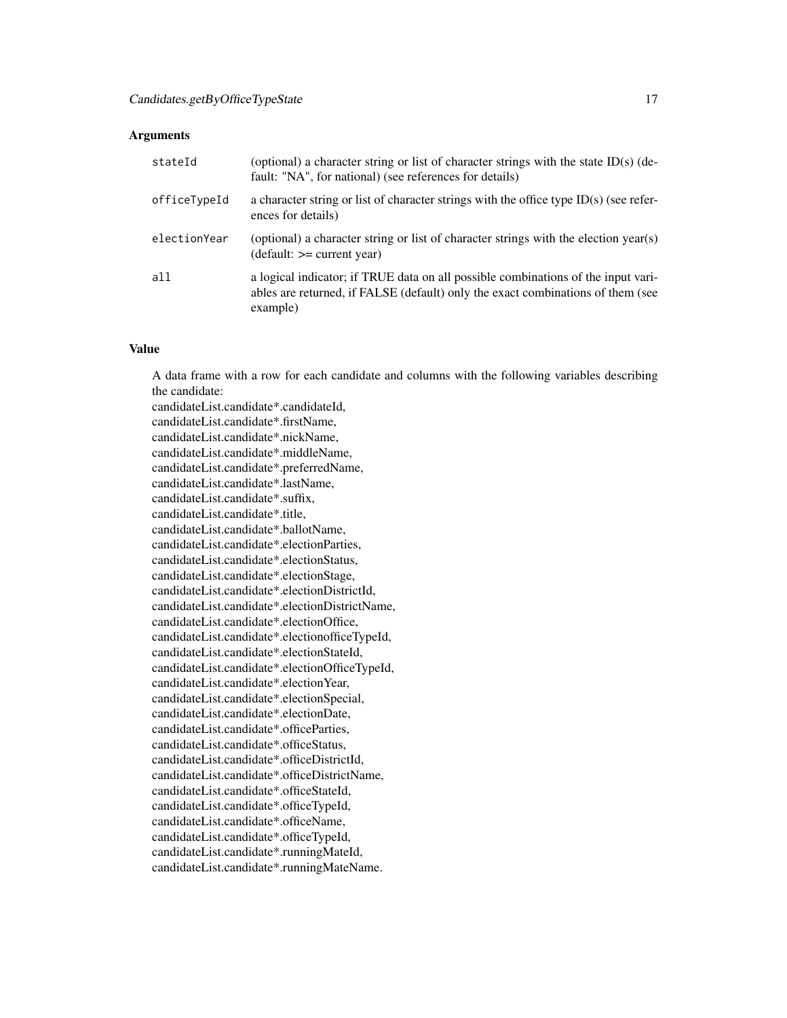#### **Arguments**

| stateId      | (optional) a character string or list of character strings with the state $ID(s)$ (de-<br>fault: "NA", for national) (see references for details)                                |
|--------------|----------------------------------------------------------------------------------------------------------------------------------------------------------------------------------|
| officeTypeId | a character string or list of character strings with the office type $ID(s)$ (see refer-<br>ences for details)                                                                   |
| electionYear | (optional) a character string or list of character strings with the election year(s)<br>$(detault: == current year)$                                                             |
| all          | a logical indicator; if TRUE data on all possible combinations of the input vari-<br>ables are returned, if FALSE (default) only the exact combinations of them (see<br>example) |

#### Value

A data frame with a row for each candidate and columns with the following variables describing the candidate:

candidateList.candidate\*.candidateId, candidateList.candidate\*.firstName, candidateList.candidate\*.nickName, candidateList.candidate\*.middleName, candidateList.candidate\*.preferredName, candidateList.candidate\*.lastName, candidateList.candidate\*.suffix, candidateList.candidate\*.title, candidateList.candidate\*.ballotName, candidateList.candidate\*.electionParties, candidateList.candidate\*.electionStatus, candidateList.candidate\*.electionStage, candidateList.candidate\*.electionDistrictId, candidateList.candidate\*.electionDistrictName, candidateList.candidate\*.electionOffice, candidateList.candidate\*.electionofficeTypeId, candidateList.candidate\*.electionStateId, candidateList.candidate\*.electionOfficeTypeId, candidateList.candidate\*.electionYear, candidateList.candidate\*.electionSpecial, candidateList.candidate\*.electionDate, candidateList.candidate\*.officeParties, candidateList.candidate\*.officeStatus, candidateList.candidate\*.officeDistrictId, candidateList.candidate\*.officeDistrictName, candidateList.candidate\*.officeStateId, candidateList.candidate\*.officeTypeId, candidateList.candidate\*.officeName, candidateList.candidate\*.officeTypeId, candidateList.candidate\*.runningMateId, candidateList.candidate\*.runningMateName.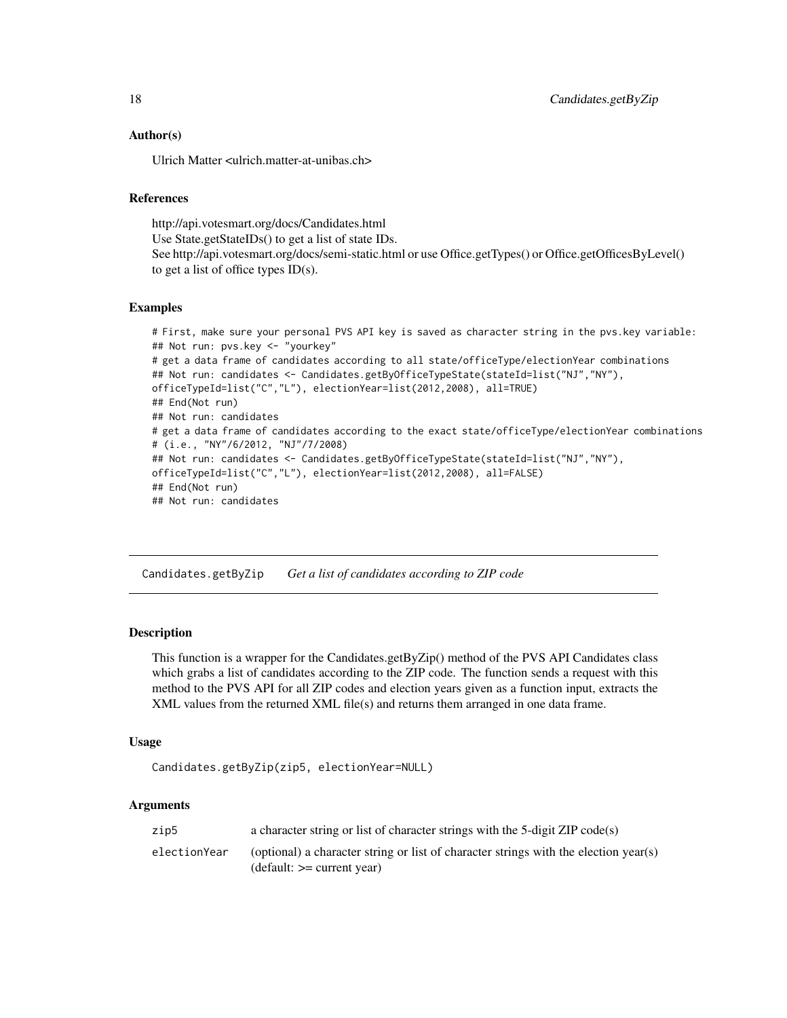# Author(s)

Ulrich Matter <ulrich.matter-at-unibas.ch>

# References

http://api.votesmart.org/docs/Candidates.html

Use State.getStateIDs() to get a list of state IDs.

See http://api.votesmart.org/docs/semi-static.html or use Office.getTypes() or Office.getOfficesByLevel() to get a list of office types  $ID(s)$ .

#### Examples

```
# First, make sure your personal PVS API key is saved as character string in the pvs.key variable:
## Not run: pvs.key <- "yourkey"
# get a data frame of candidates according to all state/officeType/electionYear combinations
## Not run: candidates <- Candidates.getByOfficeTypeState(stateId=list("NJ","NY"),
officeTypeId=list("C","L"), electionYear=list(2012,2008), all=TRUE)
## End(Not run)
## Not run: candidates
# get a data frame of candidates according to the exact state/officeType/electionYear combinations
# (i.e., "NY"/6/2012, "NJ"/7/2008)
## Not run: candidates <- Candidates.getByOfficeTypeState(stateId=list("NJ","NY"),
officeTypeId=list("C","L"), electionYear=list(2012,2008), all=FALSE)
## End(Not run)
## Not run: candidates
```
Candidates.getByZip *Get a list of candidates according to ZIP code*

# Description

This function is a wrapper for the Candidates.getByZip() method of the PVS API Candidates class which grabs a list of candidates according to the ZIP code. The function sends a request with this method to the PVS API for all ZIP codes and election years given as a function input, extracts the XML values from the returned XML file(s) and returns them arranged in one data frame.

#### Usage

```
Candidates.getByZip(zip5, electionYear=NULL)
```
# Arguments

| zip5         | a character string or list of character strings with the 5-digit ZIP code(s)                                         |
|--------------|----------------------------------------------------------------------------------------------------------------------|
| electionYear | (optional) a character string or list of character strings with the election year(s)<br>$(detault: == current year)$ |

<span id="page-17-0"></span>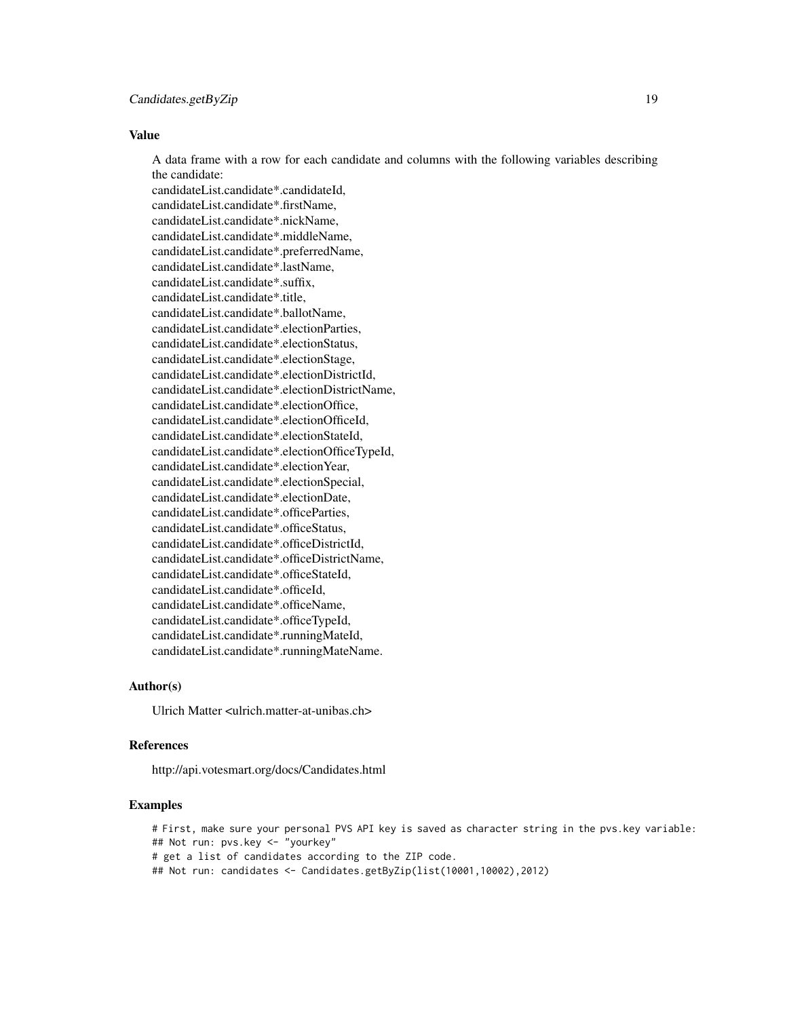# Value

A data frame with a row for each candidate and columns with the following variables describing the candidate:

candidateList.candidate\*.candidateId, candidateList.candidate\*.firstName, candidateList.candidate\*.nickName, candidateList.candidate\*.middleName, candidateList.candidate\*.preferredName, candidateList.candidate\*.lastName, candidateList.candidate\*.suffix, candidateList.candidate\*.title, candidateList.candidate\*.ballotName, candidateList.candidate\*.electionParties, candidateList.candidate\*.electionStatus, candidateList.candidate\*.electionStage, candidateList.candidate\*.electionDistrictId, candidateList.candidate\*.electionDistrictName, candidateList.candidate\*.electionOffice, candidateList.candidate\*.electionOfficeId, candidateList.candidate\*.electionStateId, candidateList.candidate\*.electionOfficeTypeId, candidateList.candidate\*.electionYear, candidateList.candidate\*.electionSpecial, candidateList.candidate\*.electionDate, candidateList.candidate\*.officeParties, candidateList.candidate\*.officeStatus, candidateList.candidate\*.officeDistrictId, candidateList.candidate\*.officeDistrictName, candidateList.candidate\*.officeStateId, candidateList.candidate\*.officeId, candidateList.candidate\*.officeName, candidateList.candidate\*.officeTypeId, candidateList.candidate\*.runningMateId, candidateList.candidate\*.runningMateName.

# Author(s)

Ulrich Matter <ulrich matter-at-unibas.ch>

#### References

http://api.votesmart.org/docs/Candidates.html

#### Examples

# First, make sure your personal PVS API key is saved as character string in the pvs.key variable: ## Not run: pvs.key <- "yourkey" # get a list of candidates according to the ZIP code. ## Not run: candidates <- Candidates.getByZip(list(10001,10002),2012)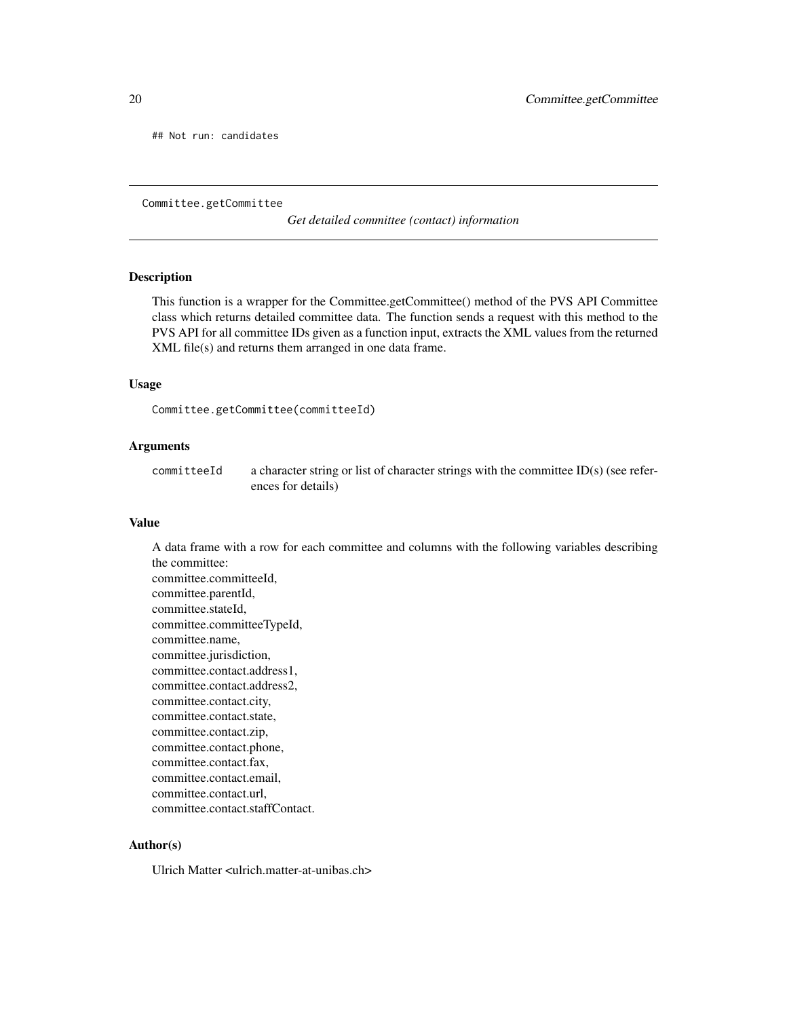<span id="page-19-0"></span>## Not run: candidates

Committee.getCommittee

*Get detailed committee (contact) information*

#### Description

This function is a wrapper for the Committee.getCommittee() method of the PVS API Committee class which returns detailed committee data. The function sends a request with this method to the PVS API for all committee IDs given as a function input, extracts the XML values from the returned XML file(s) and returns them arranged in one data frame.

#### Usage

```
Committee.getCommittee(committeeId)
```
# Arguments

committeeId a character string or list of character strings with the committee ID(s) (see references for details)

# Value

A data frame with a row for each committee and columns with the following variables describing the committee: committee.committeeId, committee.parentId, committee.stateId, committee.committeeTypeId, committee.name, committee.jurisdiction, committee.contact.address1, committee.contact.address2, committee.contact.city, committee.contact.state, committee.contact.zip, committee.contact.phone, committee.contact.fax, committee.contact.email, committee.contact.url, committee.contact.staffContact.

# Author(s)

Ulrich Matter <ulrich.matter-at-unibas.ch>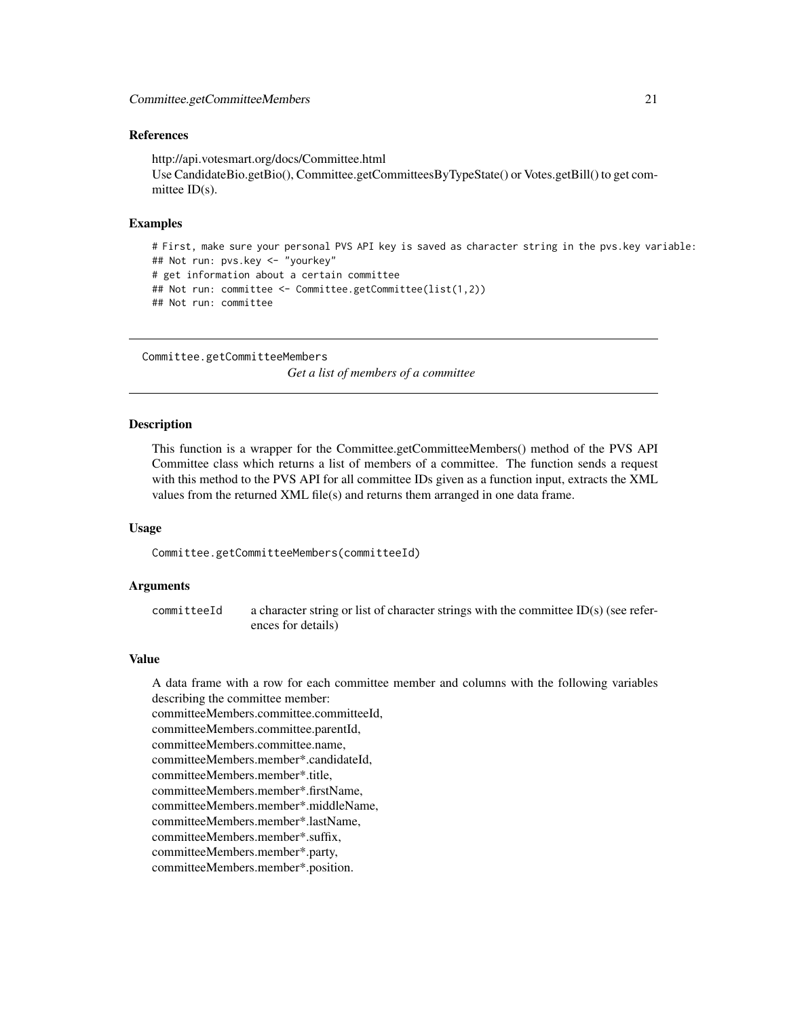#### <span id="page-20-0"></span>References

http://api.votesmart.org/docs/Committee.html Use CandidateBio.getBio(), Committee.getCommitteesByTypeState() or Votes.getBill() to get committee ID(s).

#### Examples

```
# First, make sure your personal PVS API key is saved as character string in the pvs.key variable:
## Not run: pvs.key <- "yourkey"
# get information about a certain committee
## Not run: committee <- Committee.getCommittee(list(1,2))
## Not run: committee
```

```
Committee.getCommitteeMembers
```
*Get a list of members of a committee*

### Description

This function is a wrapper for the Committee.getCommitteeMembers() method of the PVS API Committee class which returns a list of members of a committee. The function sends a request with this method to the PVS API for all committee IDs given as a function input, extracts the XML values from the returned XML file(s) and returns them arranged in one data frame.

#### Usage

Committee.getCommitteeMembers(committeeId)

# Arguments

committeeId a character string or list of character strings with the committee ID(s) (see references for details)

# Value

A data frame with a row for each committee member and columns with the following variables describing the committee member: committeeMembers.committee.committeeId, committeeMembers.committee.parentId, committeeMembers.committee.name, committeeMembers.member\*.candidateId, committeeMembers.member\*.title, committeeMembers.member\*.firstName, committeeMembers.member\*.middleName, committeeMembers.member\*.lastName, committeeMembers.member\*.suffix, committeeMembers.member\*.party, committeeMembers.member\*.position.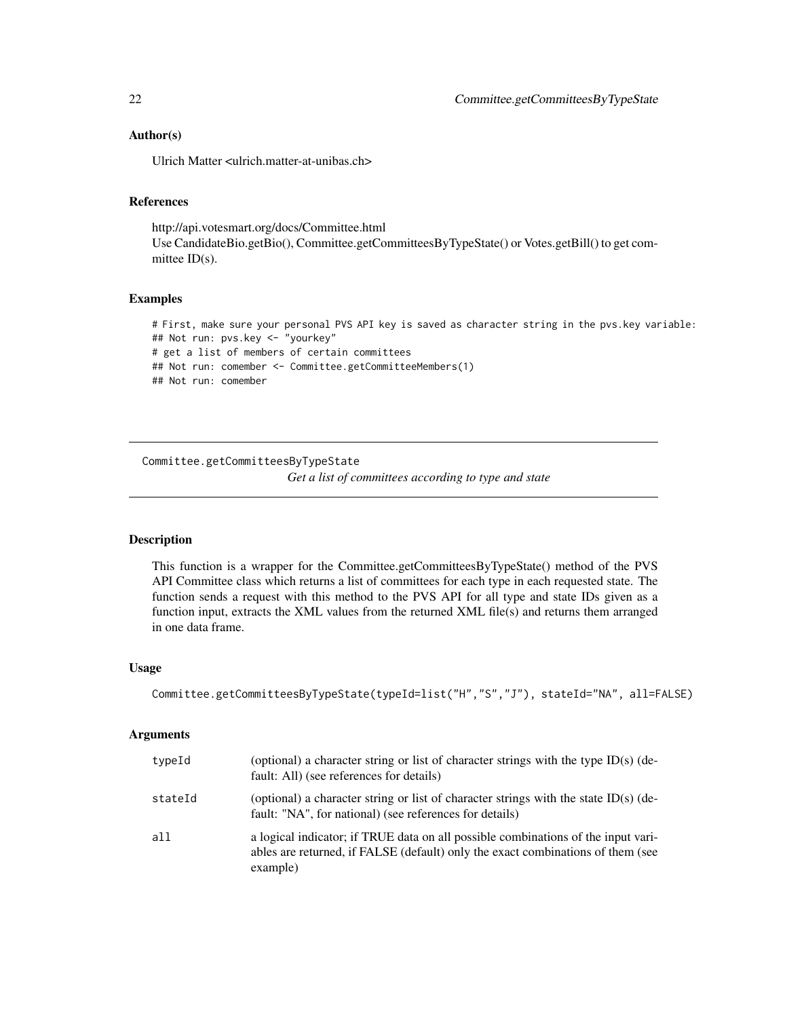# Author(s)

Ulrich Matter <ulrich.matter-at-unibas.ch>

# References

http://api.votesmart.org/docs/Committee.html Use CandidateBio.getBio(), Committee.getCommitteesByTypeState() or Votes.getBill() to get committee ID(s).

# Examples

# First, make sure your personal PVS API key is saved as character string in the pvs.key variable: ## Not run: pvs.key <- "yourkey" # get a list of members of certain committees ## Not run: comember <- Committee.getCommitteeMembers(1) ## Not run: comember

Committee.getCommitteesByTypeState

*Get a list of committees according to type and state*

#### Description

This function is a wrapper for the Committee.getCommitteesByTypeState() method of the PVS API Committee class which returns a list of committees for each type in each requested state. The function sends a request with this method to the PVS API for all type and state IDs given as a function input, extracts the XML values from the returned XML file(s) and returns them arranged in one data frame.

#### Usage

```
Committee.getCommitteesByTypeState(typeId=list("H","S","J"), stateId="NA", all=FALSE)
```
#### Arguments

| typeId  | (optional) a character string or list of character strings with the type $ID(s)$ (de-<br>fault: All) (see references for details)                                                |
|---------|----------------------------------------------------------------------------------------------------------------------------------------------------------------------------------|
| stateId | (optional) a character string or list of character strings with the state ID(s) (de-<br>fault: "NA", for national) (see references for details)                                  |
| all     | a logical indicator; if TRUE data on all possible combinations of the input vari-<br>ables are returned, if FALSE (default) only the exact combinations of them (see<br>example) |

<span id="page-21-0"></span>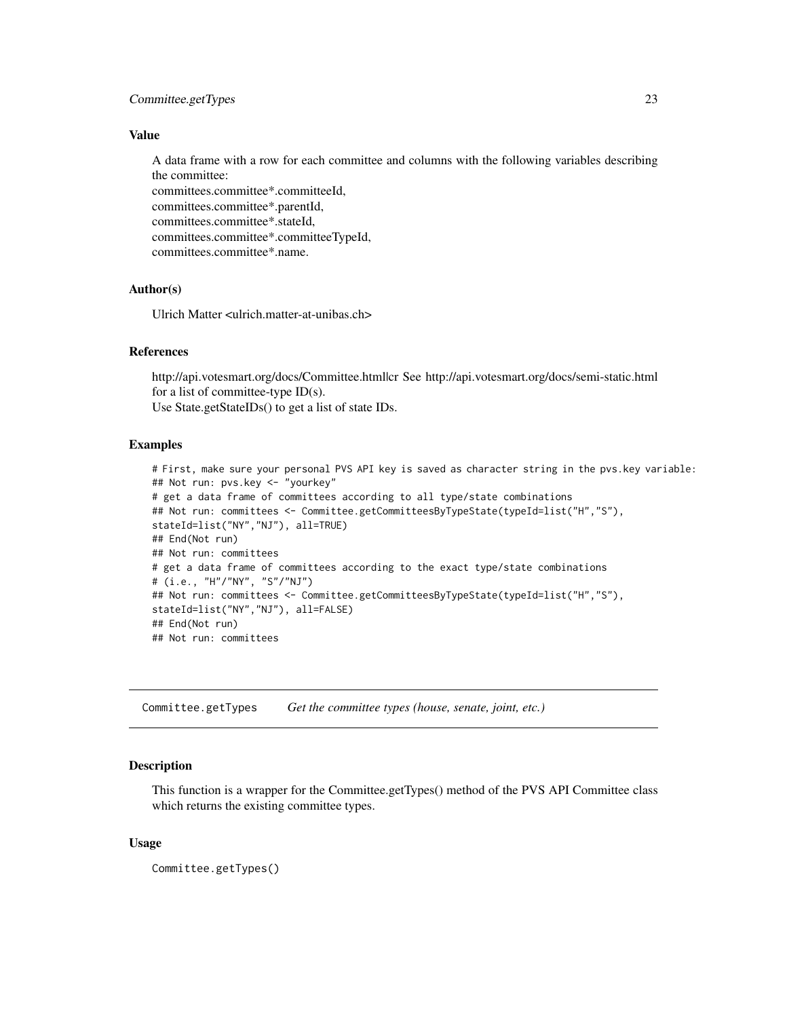# <span id="page-22-0"></span>Committee.getTypes 23

# Value

A data frame with a row for each committee and columns with the following variables describing the committee:

committees.committee\*.committeeId, committees.committee\*.parentId, committees.committee\*.stateId, committees.committee\*.committeeTypeId, committees.committee\*.name.

# Author(s)

Ulrich Matter <ulrich.matter-at-unibas.ch>

# References

http://api.votesmart.org/docs/Committee.html|cr See http://api.votesmart.org/docs/semi-static.html for a list of committee-type  $ID(s)$ .

Use State.getStateIDs() to get a list of state IDs.

#### Examples

```
# First, make sure your personal PVS API key is saved as character string in the pvs.key variable:
## Not run: pvs.key <- "yourkey"
# get a data frame of committees according to all type/state combinations
## Not run: committees <- Committee.getCommitteesByTypeState(typeId=list("H","S"),
stateId=list("NY","NJ"), all=TRUE)
## End(Not run)
## Not run: committees
# get a data frame of committees according to the exact type/state combinations
# (i.e., "H"/"NY", "S"/"NJ")
## Not run: committees <- Committee.getCommitteesByTypeState(typeId=list("H","S"),
stateId=list("NY","NJ"), all=FALSE)
## End(Not run)
## Not run: committees
```
Committee.getTypes *Get the committee types (house, senate, joint, etc.)*

# Description

This function is a wrapper for the Committee.getTypes() method of the PVS API Committee class which returns the existing committee types.

#### Usage

Committee.getTypes()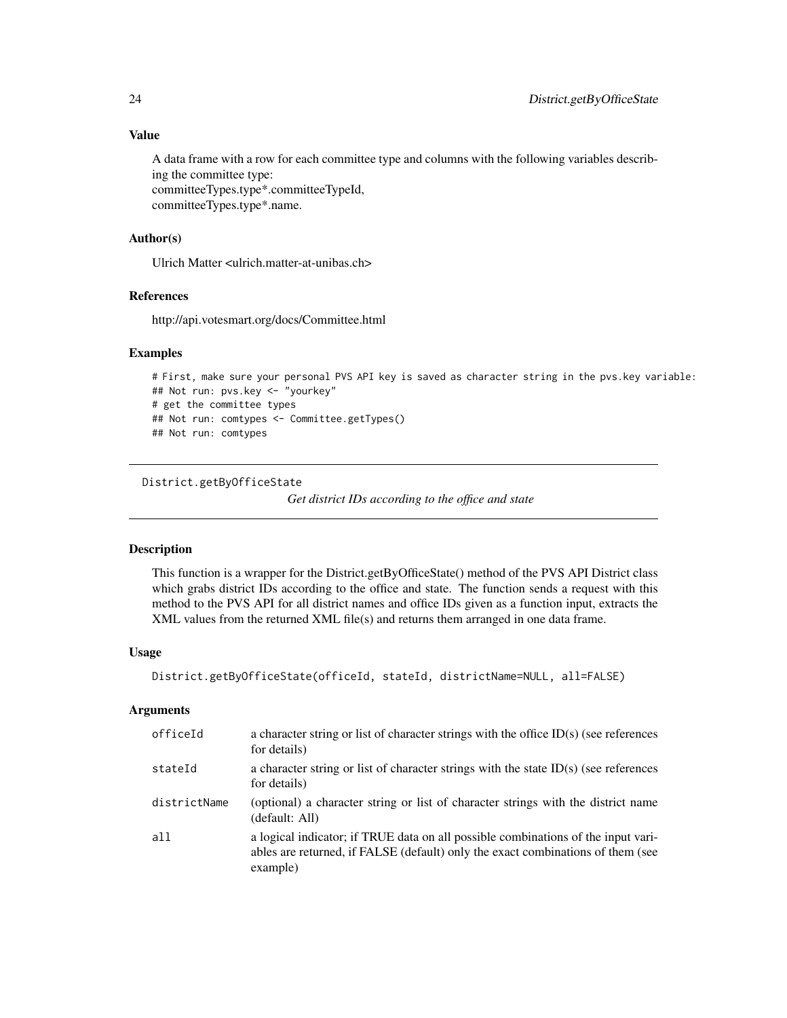A data frame with a row for each committee type and columns with the following variables describing the committee type: committeeTypes.type\*.committeeTypeId,

committeeTypes.type\*.name.

# Author(s)

Ulrich Matter <ulrich.matter-at-unibas.ch>

# References

http://api.votesmart.org/docs/Committee.html

# Examples

```
# First, make sure your personal PVS API key is saved as character string in the pvs.key variable:
## Not run: pvs.key <- "yourkey"
# get the committee types
## Not run: comtypes <- Committee.getTypes()
## Not run: comtypes
```

```
District.getByOfficeState
```

```
Get district IDs according to the office and state
```
#### Description

This function is a wrapper for the District.getByOfficeState() method of the PVS API District class which grabs district IDs according to the office and state. The function sends a request with this method to the PVS API for all district names and office IDs given as a function input, extracts the XML values from the returned XML file(s) and returns them arranged in one data frame.

#### Usage

```
District.getByOfficeState(officeId, stateId, districtName=NULL, all=FALSE)
```
#### Arguments

| officeId     | a character string or list of character strings with the office ID(s) (see references<br>for details)                                                                            |
|--------------|----------------------------------------------------------------------------------------------------------------------------------------------------------------------------------|
| stateId      | a character string or list of character strings with the state $ID(s)$ (see references<br>for details)                                                                           |
| districtName | (optional) a character string or list of character strings with the district name<br>(default: All)                                                                              |
| all          | a logical indicator; if TRUE data on all possible combinations of the input vari-<br>ables are returned, if FALSE (default) only the exact combinations of them (see<br>example) |

<span id="page-23-0"></span>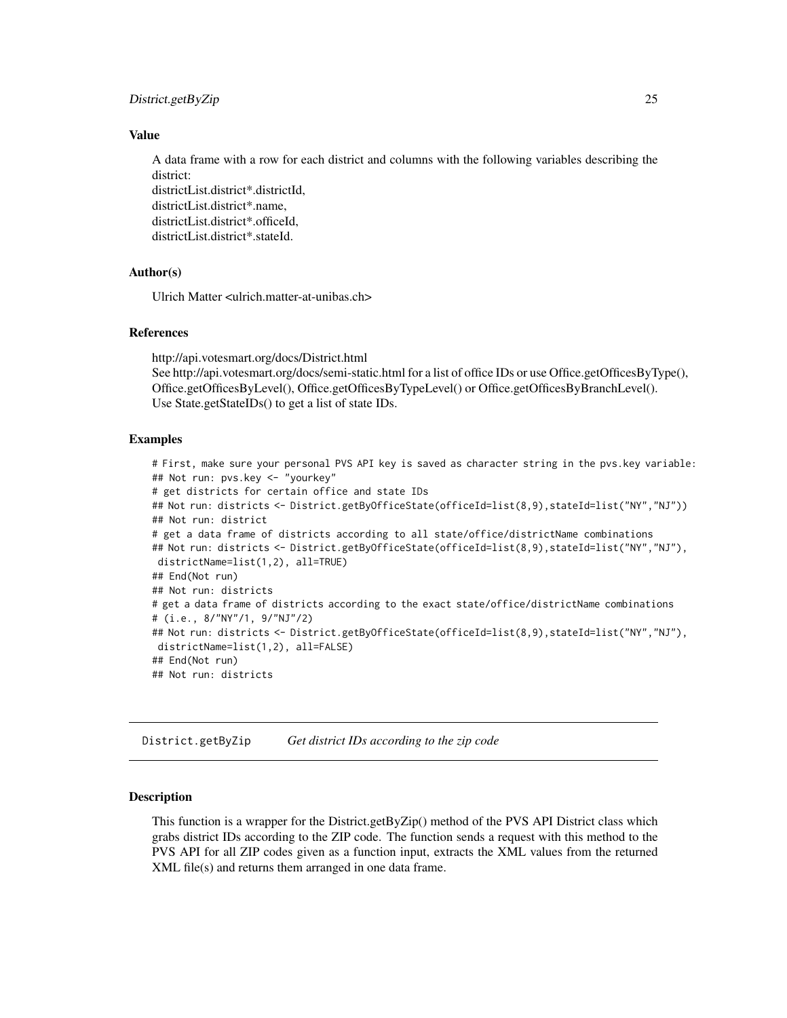#### <span id="page-24-0"></span>District.getByZip 25

#### Value

A data frame with a row for each district and columns with the following variables describing the district:

districtList.district\*.districtId, districtList.district\*.name, districtList.district\*.officeId, districtList.district\*.stateId.

# Author(s)

Ulrich Matter <ulrich.matter-at-unibas.ch>

# References

http://api.votesmart.org/docs/District.html See http://api.votesmart.org/docs/semi-static.html for a list of office IDs or use Office.getOfficesByType(), Office.getOfficesByLevel(), Office.getOfficesByTypeLevel() or Office.getOfficesByBranchLevel(). Use State.getStateIDs() to get a list of state IDs.

#### Examples

```
# First, make sure your personal PVS API key is saved as character string in the pvs.key variable:
## Not run: pvs.key <- "yourkey"
# get districts for certain office and state IDs
## Not run: districts <- District.getByOfficeState(officeId=list(8,9),stateId=list("NY","NJ"))
## Not run: district
# get a data frame of districts according to all state/office/districtName combinations
## Not run: districts <- District.getByOfficeState(officeId=list(8,9),stateId=list("NY","NJ"),
districtName=list(1,2), all=TRUE)
## End(Not run)
## Not run: districts
# get a data frame of districts according to the exact state/office/districtName combinations
# (i.e., 8/"NY"/1, 9/"NJ"/2)
## Not run: districts <- District.getByOfficeState(officeId=list(8,9),stateId=list("NY","NJ"),
districtName=list(1,2), all=FALSE)
## End(Not run)
## Not run: districts
```
District.getByZip *Get district IDs according to the zip code*

# Description

This function is a wrapper for the District.getByZip() method of the PVS API District class which grabs district IDs according to the ZIP code. The function sends a request with this method to the PVS API for all ZIP codes given as a function input, extracts the XML values from the returned XML file(s) and returns them arranged in one data frame.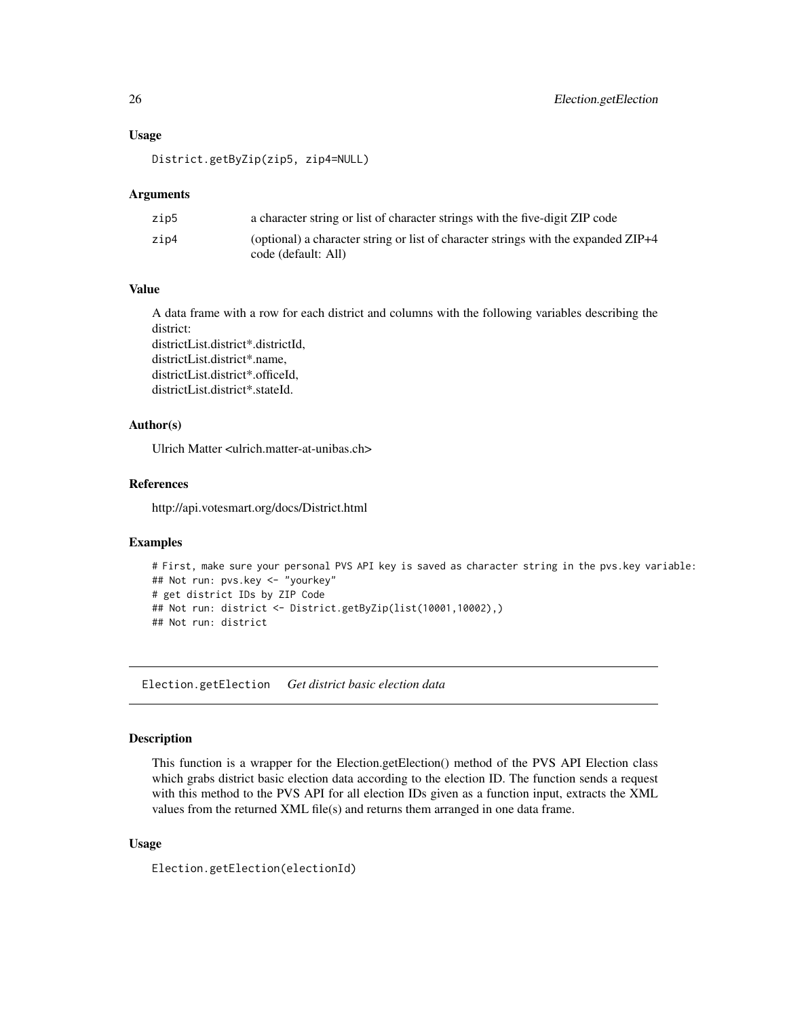#### <span id="page-25-0"></span>Usage

District.getByZip(zip5, zip4=NULL)

#### Arguments

| zip5 | a character string or list of character strings with the five-digit ZIP code                              |
|------|-----------------------------------------------------------------------------------------------------------|
| zip4 | (optional) a character string or list of character strings with the expanded ZIP+4<br>code (default: All) |

# Value

A data frame with a row for each district and columns with the following variables describing the district:

districtList.district\*.districtId, districtList.district\*.name, districtList.district\*.officeId, districtList.district\*.stateId.

# Author(s)

Ulrich Matter <ulrich.matter-at-unibas.ch>

# References

http://api.votesmart.org/docs/District.html

#### Examples

```
# First, make sure your personal PVS API key is saved as character string in the pvs.key variable:
## Not run: pvs.key <- "yourkey"
# get district IDs by ZIP Code
## Not run: district <- District.getByZip(list(10001,10002),)
## Not run: district
```
Election.getElection *Get district basic election data*

#### Description

This function is a wrapper for the Election.getElection() method of the PVS API Election class which grabs district basic election data according to the election ID. The function sends a request with this method to the PVS API for all election IDs given as a function input, extracts the XML values from the returned XML file(s) and returns them arranged in one data frame.

# Usage

Election.getElection(electionId)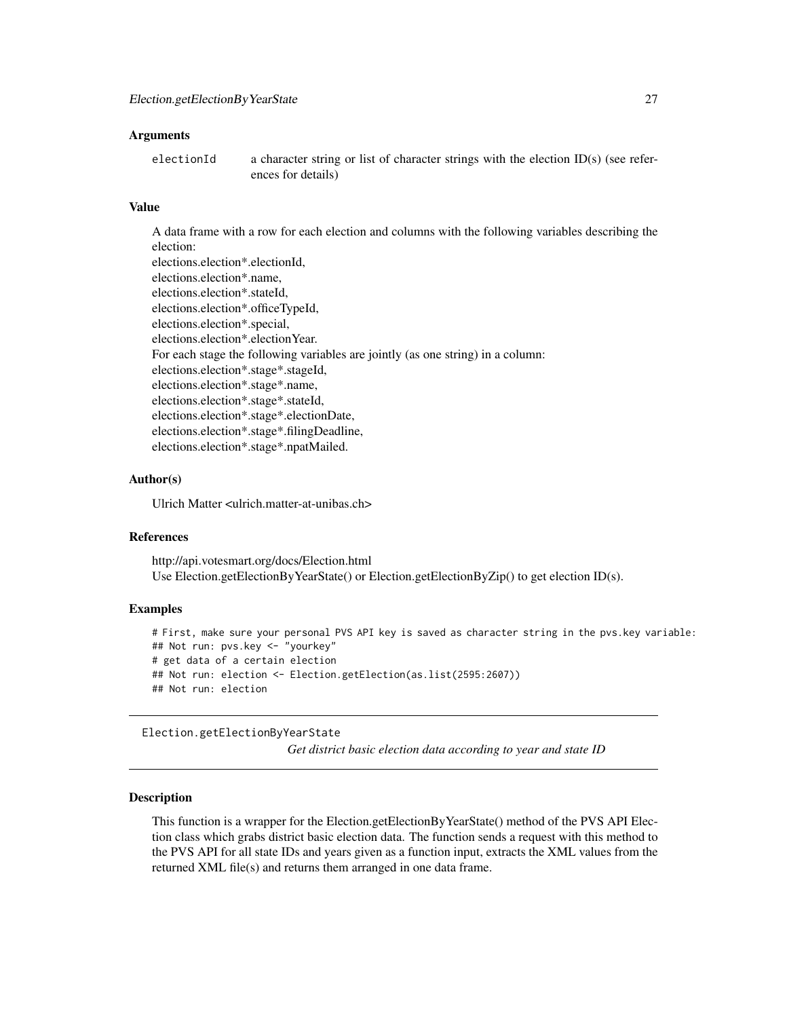#### <span id="page-26-0"></span>**Arguments**

electionId a character string or list of character strings with the election ID(s) (see references for details)

#### Value

A data frame with a row for each election and columns with the following variables describing the election: elections.election\*.electionId, elections.election\*.name, elections.election\*.stateId, elections.election\*.officeTypeId, elections.election\*.special, elections.election\*.electionYear. For each stage the following variables are jointly (as one string) in a column: elections.election\*.stage\*.stageId, elections.election\*.stage\*.name, elections.election\*.stage\*.stateId, elections.election\*.stage\*.electionDate, elections.election\*.stage\*.filingDeadline, elections.election\*.stage\*.npatMailed.

# Author(s)

Ulrich Matter <ulrich.matter-at-unibas.ch>

# References

http://api.votesmart.org/docs/Election.html Use Election.getElectionByYearState() or Election.getElectionByZip() to get election ID(s).

# Examples

```
# First, make sure your personal PVS API key is saved as character string in the pvs.key variable:
## Not run: pvs.key <- "yourkey"
# get data of a certain election
## Not run: election <- Election.getElection(as.list(2595:2607))
## Not run: election
```
Election.getElectionByYearState

*Get district basic election data according to year and state ID*

#### Description

This function is a wrapper for the Election.getElectionByYearState() method of the PVS API Election class which grabs district basic election data. The function sends a request with this method to the PVS API for all state IDs and years given as a function input, extracts the XML values from the returned XML file(s) and returns them arranged in one data frame.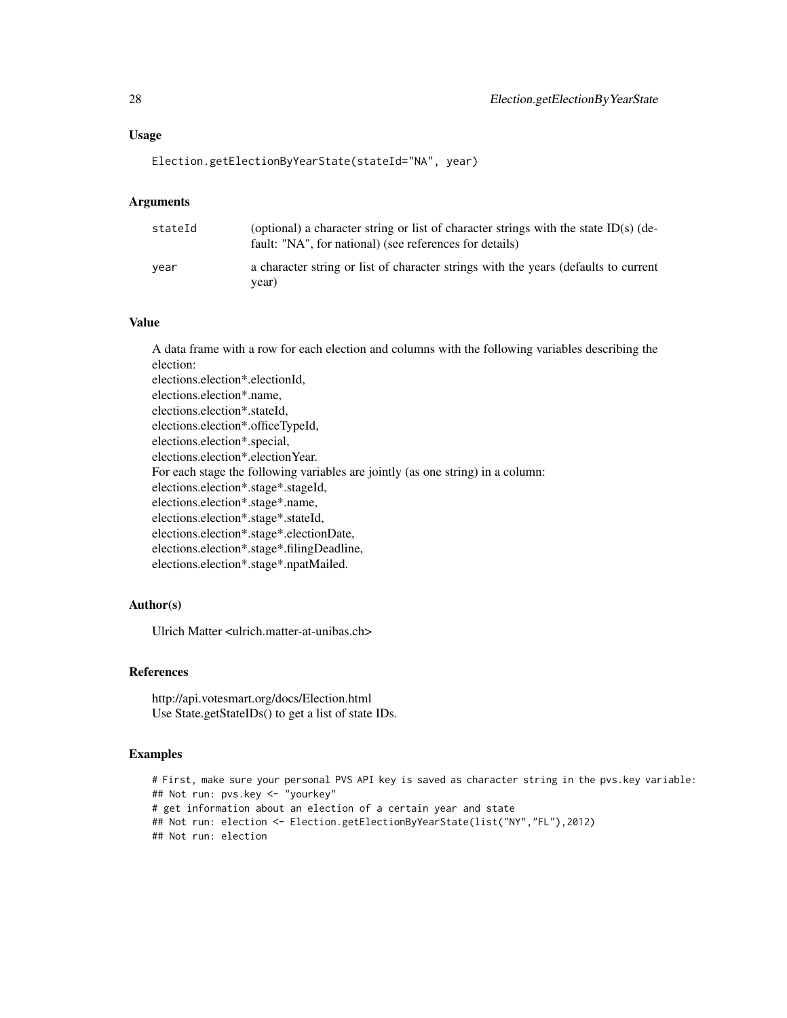# Usage

```
Election.getElectionByYearState(stateId="NA", year)
```
#### Arguments

| stateId | (optional) a character string or list of character strings with the state ID(s) (de-<br>fault: "NA", for national) (see references for details) |
|---------|-------------------------------------------------------------------------------------------------------------------------------------------------|
| vear    | a character string or list of character strings with the years (defaults to current<br>vear)                                                    |

# Value

A data frame with a row for each election and columns with the following variables describing the election: elections.election\*.electionId, elections.election\*.name, elections.election\*.stateId, elections.election\*.officeTypeId, elections.election\*.special, elections.election\*.electionYear. For each stage the following variables are jointly (as one string) in a column: elections.election\*.stage\*.stageId, elections.election\*.stage\*.name, elections.election\*.stage\*.stateId, elections.election\*.stage\*.electionDate, elections.election\*.stage\*.filingDeadline, elections.election\*.stage\*.npatMailed.

# Author(s)

Ulrich Matter <ulrich.matter-at-unibas.ch>

# References

http://api.votesmart.org/docs/Election.html Use State.getStateIDs() to get a list of state IDs.

#### Examples

```
# First, make sure your personal PVS API key is saved as character string in the pvs.key variable:
## Not run: pvs.key <- "yourkey"
# get information about an election of a certain year and state
## Not run: election <- Election.getElectionByYearState(list("NY","FL"),2012)
## Not run: election
```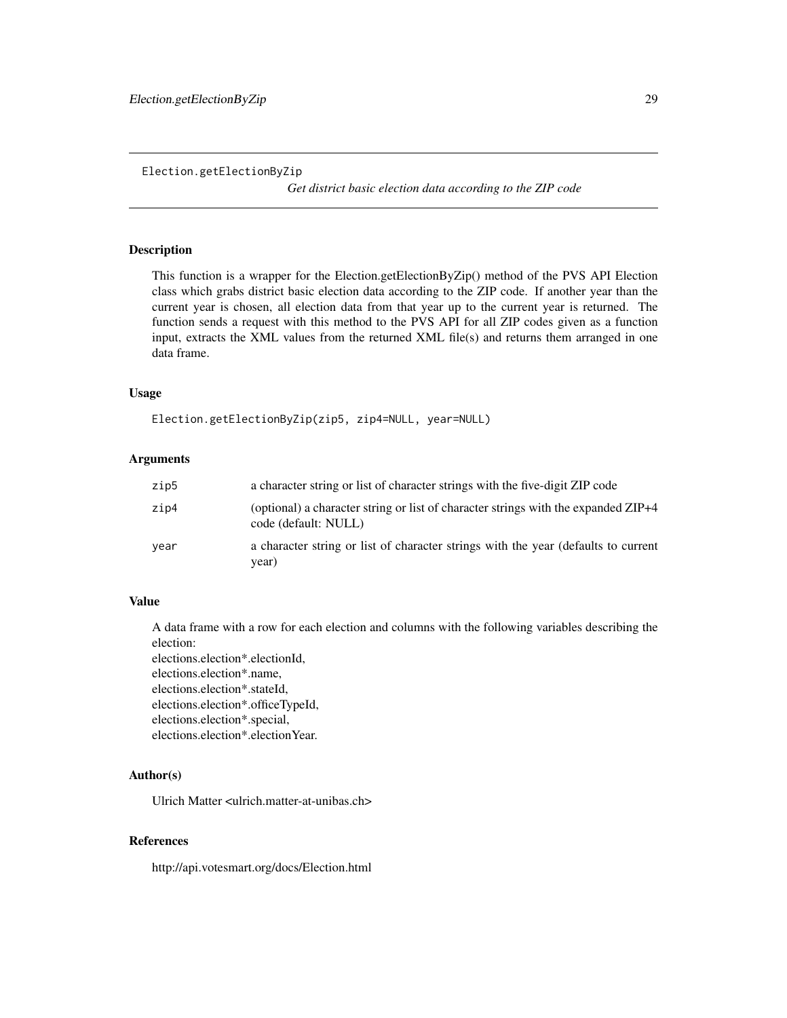<span id="page-28-0"></span>Election.getElectionByZip

*Get district basic election data according to the ZIP code*

#### Description

This function is a wrapper for the Election.getElectionByZip() method of the PVS API Election class which grabs district basic election data according to the ZIP code. If another year than the current year is chosen, all election data from that year up to the current year is returned. The function sends a request with this method to the PVS API for all ZIP codes given as a function input, extracts the XML values from the returned XML file(s) and returns them arranged in one data frame.

#### Usage

Election.getElectionByZip(zip5, zip4=NULL, year=NULL)

# Arguments

| zip5 | a character string or list of character strings with the five-digit ZIP code                               |
|------|------------------------------------------------------------------------------------------------------------|
| zip4 | (optional) a character string or list of character strings with the expanded ZIP+4<br>code (default: NULL) |
| year | a character string or list of character strings with the year (defaults to current<br>year)                |

# Value

A data frame with a row for each election and columns with the following variables describing the election:

elections.election\*.electionId, elections.election\*.name, elections.election\*.stateId, elections.election\*.officeTypeId, elections.election\*.special, elections.election\*.electionYear.

# Author(s)

Ulrich Matter <ulrich.matter-at-unibas.ch>

# References

http://api.votesmart.org/docs/Election.html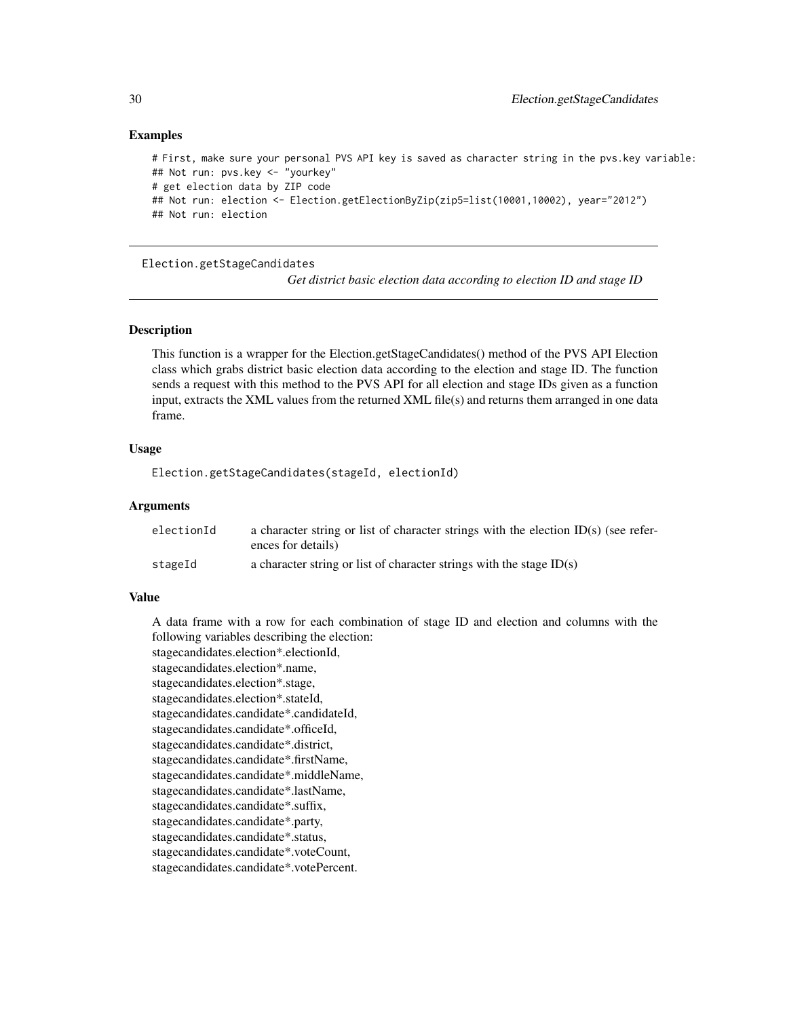#### Examples

```
# First, make sure your personal PVS API key is saved as character string in the pvs.key variable:
## Not run: pvs.key <- "yourkey"
# get election data by ZIP code
## Not run: election <- Election.getElectionByZip(zip5=list(10001,10002), year="2012")
## Not run: election
```
Election.getStageCandidates

*Get district basic election data according to election ID and stage ID*

#### Description

This function is a wrapper for the Election.getStageCandidates() method of the PVS API Election class which grabs district basic election data according to the election and stage ID. The function sends a request with this method to the PVS API for all election and stage IDs given as a function input, extracts the XML values from the returned XML file(s) and returns them arranged in one data frame.

# Usage

Election.getStageCandidates(stageId, electionId)

#### Arguments

| electionId | a character string or list of character strings with the election $ID(s)$ (see refer- |
|------------|---------------------------------------------------------------------------------------|
|            | ences for details)                                                                    |
| stageId    | a character string or list of character strings with the stage $ID(s)$                |

#### Value

A data frame with a row for each combination of stage ID and election and columns with the following variables describing the election:

stagecandidates.election\*.electionId, stagecandidates.election\*.name, stagecandidates.election\*.stage, stagecandidates.election\*.stateId, stagecandidates.candidate\*.candidateId, stagecandidates.candidate\*.officeId, stagecandidates.candidate\*.district, stagecandidates.candidate\*.firstName, stagecandidates.candidate\*.middleName, stagecandidates.candidate\*.lastName, stagecandidates.candidate\*.suffix, stagecandidates.candidate\*.party, stagecandidates.candidate\*.status, stagecandidates.candidate\*.voteCount, stagecandidates.candidate\*.votePercent.

<span id="page-29-0"></span>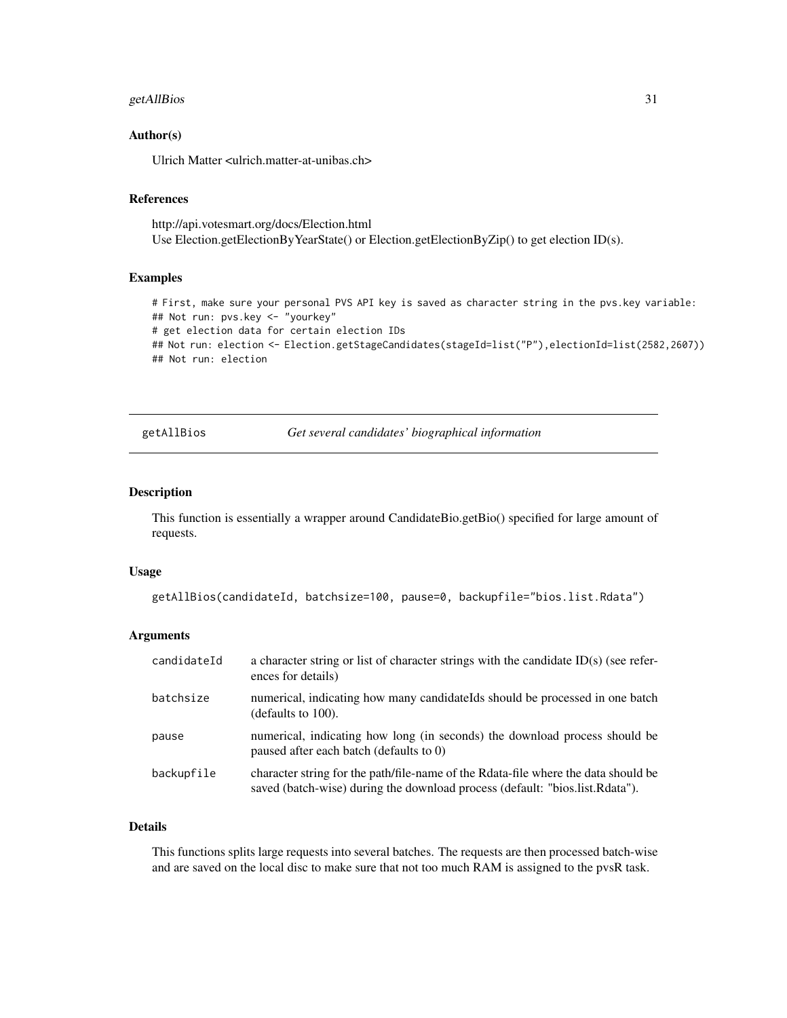# <span id="page-30-0"></span>getAllBios 31

#### Author(s)

Ulrich Matter <ulrich.matter-at-unibas.ch>

# References

http://api.votesmart.org/docs/Election.html Use Election.getElectionByYearState() or Election.getElectionByZip() to get election ID(s).

#### Examples

# First, make sure your personal PVS API key is saved as character string in the pvs.key variable: ## Not run: pvs.key <- "yourkey" # get election data for certain election IDs ## Not run: election <- Election.getStageCandidates(stageId=list("P"),electionId=list(2582,2607)) ## Not run: election

getAllBios *Get several candidates' biographical information*

#### Description

This function is essentially a wrapper around CandidateBio.getBio() specified for large amount of requests.

# Usage

```
getAllBios(candidateId, batchsize=100, pause=0, backupfile="bios.list.Rdata")
```
# Arguments

| candidateId | a character string or list of character strings with the candidate $ID(s)$ (see refer-<br>ences for details)                                                       |
|-------------|--------------------------------------------------------------------------------------------------------------------------------------------------------------------|
| batchsize   | numerical, indicating how many candidate lds should be processed in one batch<br>(defaults to $100$ ).                                                             |
| pause       | numerical, indicating how long (in seconds) the download process should be<br>paused after each batch (defaults to 0)                                              |
| backupfile  | character string for the path/file-name of the Rdata-file where the data should be<br>saved (batch-wise) during the download process (default: "bios.list.Rdata"). |

# Details

This functions splits large requests into several batches. The requests are then processed batch-wise and are saved on the local disc to make sure that not too much RAM is assigned to the pvsR task.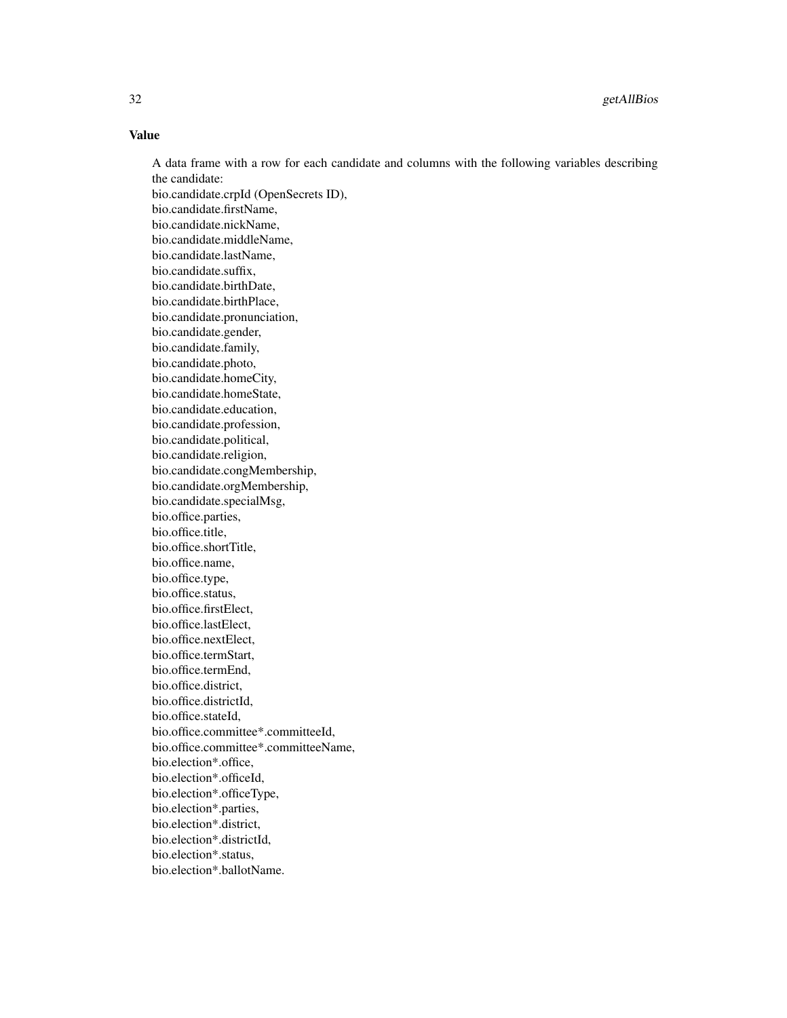# Value

A data frame with a row for each candidate and columns with the following variables describing the candidate: bio.candidate.crpId (OpenSecrets ID), bio.candidate.firstName, bio.candidate.nickName, bio.candidate.middleName, bio.candidate.lastName, bio.candidate.suffix, bio.candidate.birthDate, bio.candidate.birthPlace, bio.candidate.pronunciation, bio.candidate.gender, bio.candidate.family, bio.candidate.photo, bio.candidate.homeCity, bio.candidate.homeState, bio.candidate.education, bio.candidate.profession, bio.candidate.political, bio.candidate.religion, bio.candidate.congMembership, bio.candidate.orgMembership, bio.candidate.specialMsg, bio.office.parties, bio.office.title, bio.office.shortTitle, bio.office.name, bio.office.type, bio.office.status, bio.office.firstElect, bio.office.lastElect, bio.office.nextElect, bio.office.termStart, bio.office.termEnd, bio.office.district, bio.office.districtId, bio.office.stateId, bio.office.committee\*.committeeId, bio.office.committee\*.committeeName, bio.election\*.office, bio.election\*.officeId, bio.election\*.officeType, bio.election\*.parties, bio.election\*.district, bio.election\*.districtId, bio.election\*.status, bio.election\*.ballotName.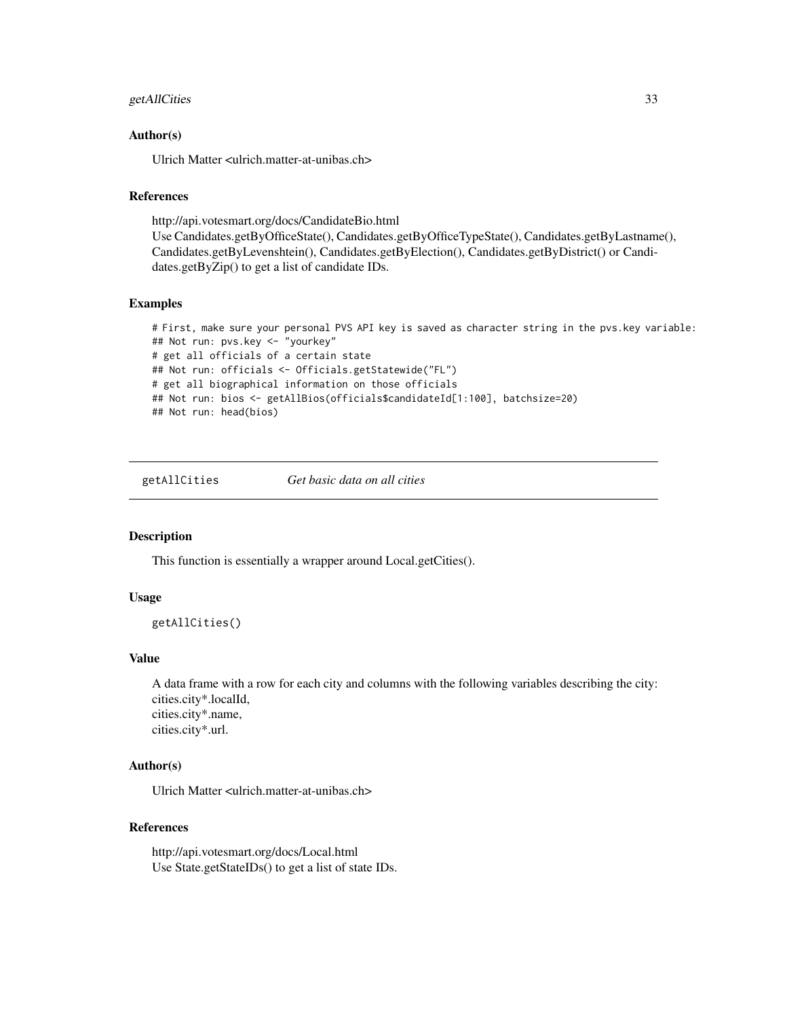# <span id="page-32-0"></span>getAllCities 33

# Author(s)

Ulrich Matter <ulrich.matter-at-unibas.ch>

#### References

http://api.votesmart.org/docs/CandidateBio.html Use Candidates.getByOfficeState(), Candidates.getByOfficeTypeState(), Candidates.getByLastname(), Candidates.getByLevenshtein(), Candidates.getByElection(), Candidates.getByDistrict() or Candidates.getByZip() to get a list of candidate IDs.

# Examples

```
# First, make sure your personal PVS API key is saved as character string in the pvs.key variable:
## Not run: pvs.key <- "yourkey"
# get all officials of a certain state
## Not run: officials <- Officials.getStatewide("FL")
# get all biographical information on those officials
## Not run: bios <- getAllBios(officials$candidateId[1:100], batchsize=20)
## Not run: head(bios)
```
getAllCities *Get basic data on all cities*

# Description

This function is essentially a wrapper around Local.getCities().

#### Usage

getAllCities()

# Value

A data frame with a row for each city and columns with the following variables describing the city: cities.city\*.localId, cities.city\*.name, cities.city\*.url.

#### Author(s)

Ulrich Matter <ulrich.matter-at-unibas.ch>

#### References

http://api.votesmart.org/docs/Local.html Use State.getStateIDs() to get a list of state IDs.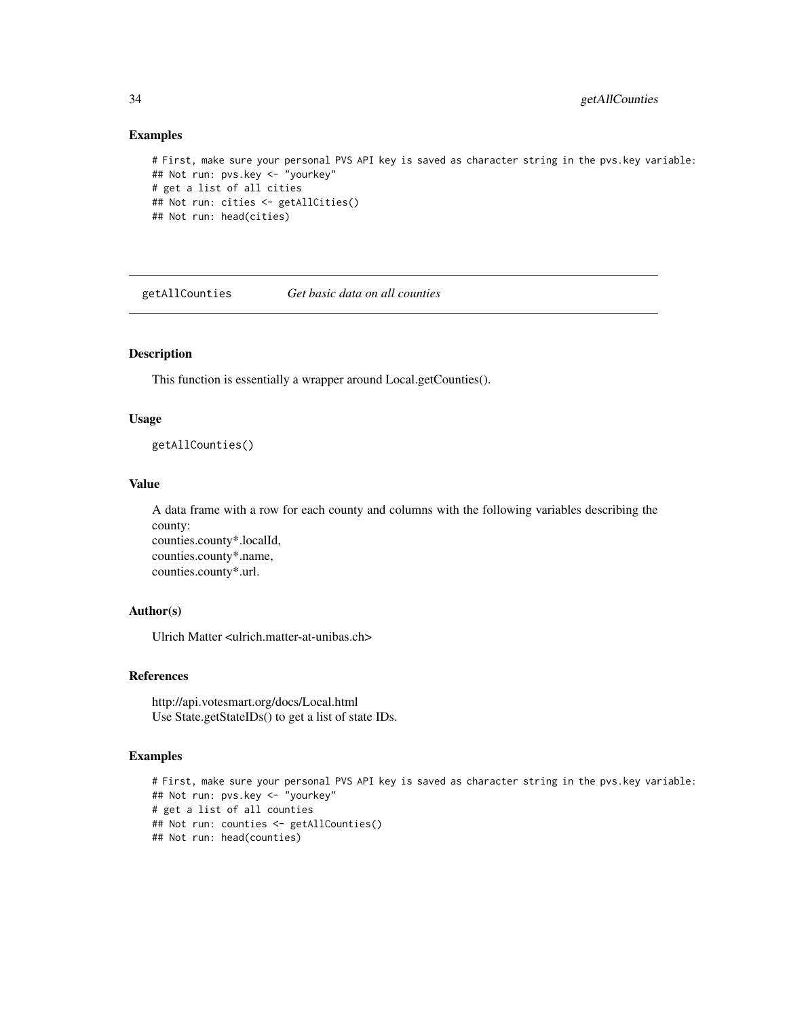#### Examples

```
# First, make sure your personal PVS API key is saved as character string in the pvs.key variable:
## Not run: pvs.key <- "yourkey"
# get a list of all cities
## Not run: cities <- getAllCities()
## Not run: head(cities)
```
getAllCounties *Get basic data on all counties*

# Description

This function is essentially a wrapper around Local.getCounties().

# Usage

getAllCounties()

#### Value

A data frame with a row for each county and columns with the following variables describing the county: counties.county\*.localId, counties.county\*.name, counties.county\*.url.

# Author(s)

Ulrich Matter <ulrich.matter-at-unibas.ch>

# References

http://api.votesmart.org/docs/Local.html Use State.getStateIDs() to get a list of state IDs.

# Examples

```
# First, make sure your personal PVS API key is saved as character string in the pvs.key variable:
## Not run: pvs.key <- "yourkey"
# get a list of all counties
## Not run: counties <- getAllCounties()
## Not run: head(counties)
```
<span id="page-33-0"></span>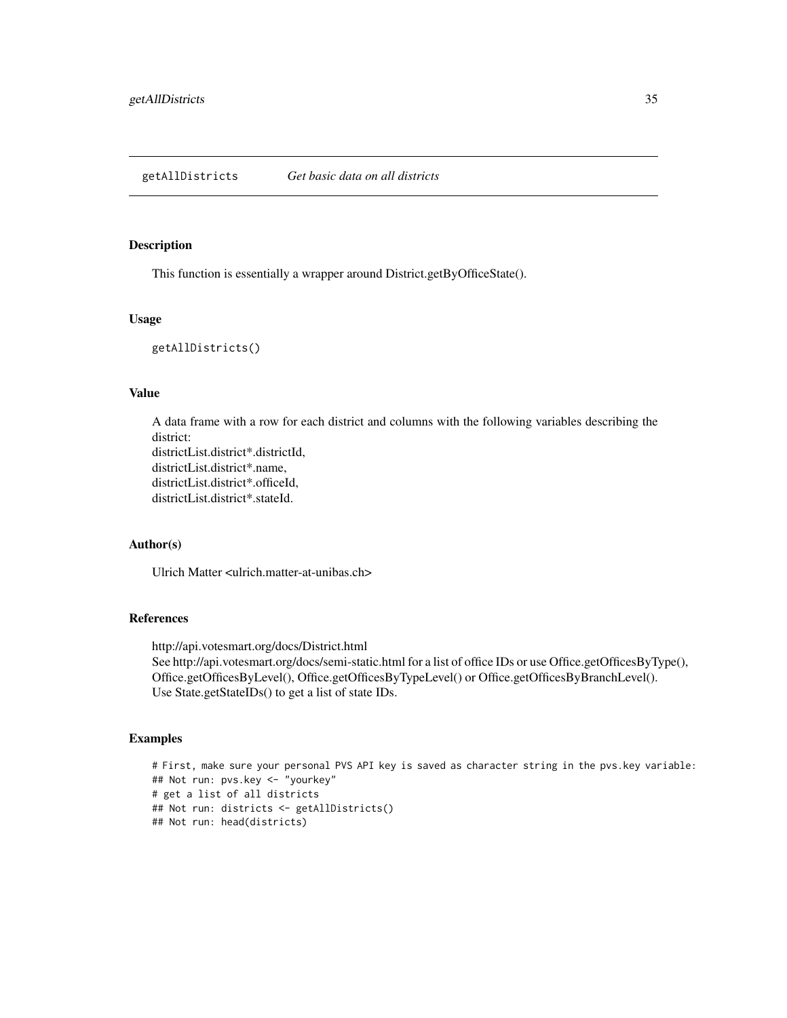#### <span id="page-34-0"></span>Description

This function is essentially a wrapper around District.getByOfficeState().

# Usage

getAllDistricts()

#### Value

A data frame with a row for each district and columns with the following variables describing the district: districtList.district\*.districtId, districtList.district\*.name, districtList.district\*.officeId, districtList.district\*.stateId.

# Author(s)

Ulrich Matter <ulrich.matter-at-unibas.ch>

# References

http://api.votesmart.org/docs/District.html See http://api.votesmart.org/docs/semi-static.html for a list of office IDs or use Office.getOfficesByType(), Office.getOfficesByLevel(), Office.getOfficesByTypeLevel() or Office.getOfficesByBranchLevel(). Use State.getStateIDs() to get a list of state IDs.

# Examples

# First, make sure your personal PVS API key is saved as character string in the pvs.key variable: ## Not run: pvs.key <- "yourkey" # get a list of all districts ## Not run: districts <- getAllDistricts() ## Not run: head(districts)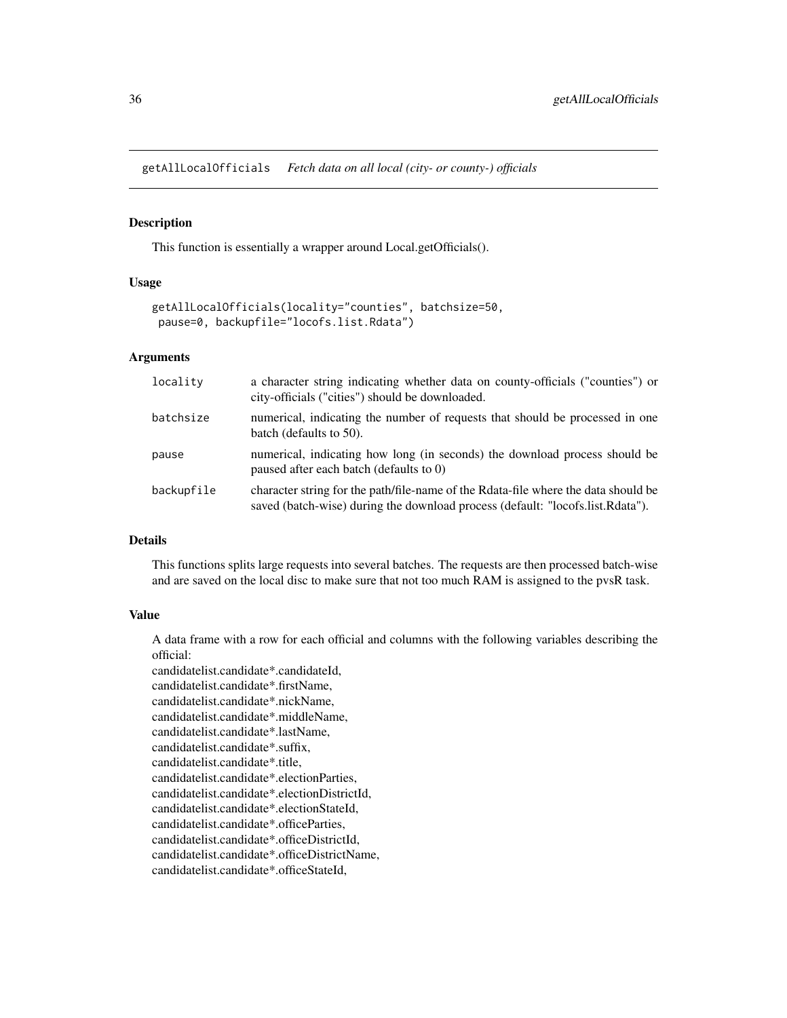<span id="page-35-0"></span>getAllLocalOfficials *Fetch data on all local (city- or county-) officials*

#### Description

This function is essentially a wrapper around Local.getOfficials().

# Usage

```
getAllLocalOfficials(locality="counties", batchsize=50,
pause=0, backupfile="locofs.list.Rdata")
```
# Arguments

| locality   | a character string indicating whether data on county-officials ("counties") or<br>city-officials ("cities") should be downloaded.                                    |
|------------|----------------------------------------------------------------------------------------------------------------------------------------------------------------------|
| batchsize  | numerical, indicating the number of requests that should be processed in one<br>batch (defaults to 50).                                                              |
| pause      | numerical, indicating how long (in seconds) the download process should be<br>paused after each batch (defaults to 0)                                                |
| backupfile | character string for the path/file-name of the Rdata-file where the data should be<br>saved (batch-wise) during the download process (default: "locofs.list.Rdata"). |

# Details

This functions splits large requests into several batches. The requests are then processed batch-wise and are saved on the local disc to make sure that not too much RAM is assigned to the pvsR task.

#### Value

A data frame with a row for each official and columns with the following variables describing the official:

candidatelist.candidate\*.candidateId, candidatelist.candidate\*.firstName, candidatelist.candidate\*.nickName, candidatelist.candidate\*.middleName, candidatelist.candidate\*.lastName, candidatelist.candidate\*.suffix, candidatelist.candidate\*.title, candidatelist.candidate\*.electionParties, candidatelist.candidate\*.electionDistrictId, candidatelist.candidate\*.electionStateId, candidatelist.candidate\*.officeParties, candidatelist.candidate\*.officeDistrictId, candidatelist.candidate\*.officeDistrictName, candidatelist.candidate\*.officeStateId,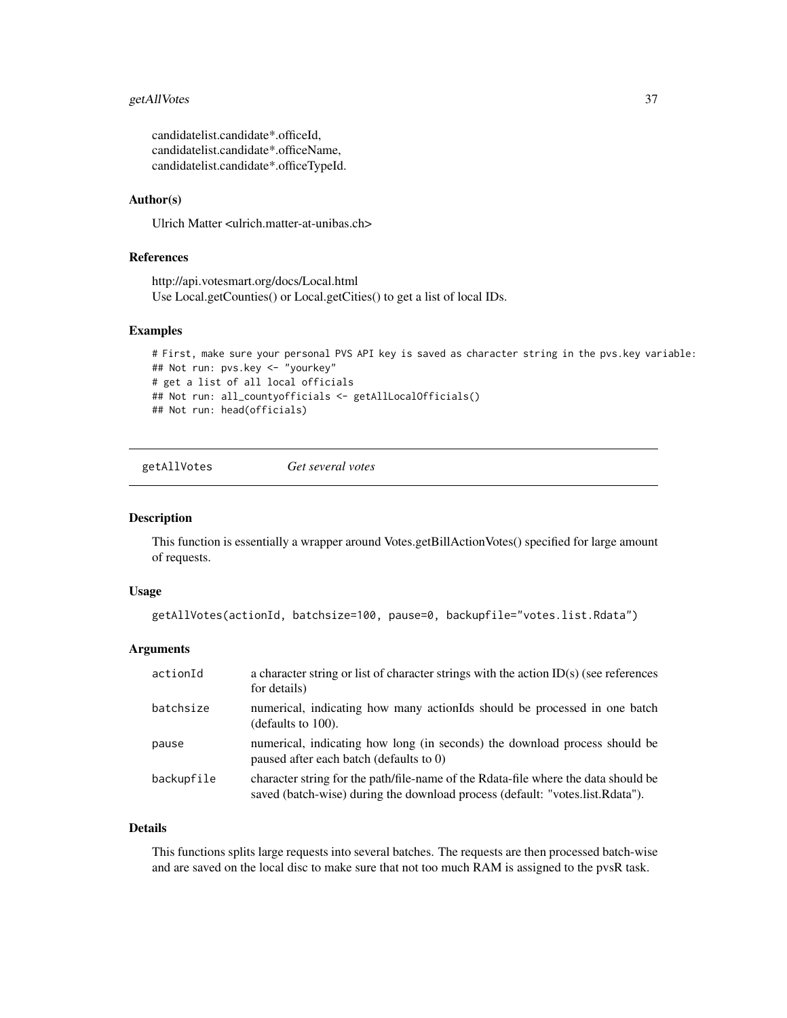# getAllVotes 37

candidatelist.candidate\*.officeId, candidatelist.candidate\*.officeName, candidatelist.candidate\*.officeTypeId.

# Author(s)

Ulrich Matter <ulrich.matter-at-unibas.ch>

# References

http://api.votesmart.org/docs/Local.html Use Local.getCounties() or Local.getCities() to get a list of local IDs.

## Examples

```
# First, make sure your personal PVS API key is saved as character string in the pvs.key variable:
## Not run: pvs.key <- "yourkey"
# get a list of all local officials
## Not run: all_countyofficials <- getAllLocalOfficials()
## Not run: head(officials)
```

```
getAllVotes Get several votes
```
## Description

This function is essentially a wrapper around Votes.getBillActionVotes() specified for large amount of requests.

# Usage

```
getAllVotes(actionId, batchsize=100, pause=0, backupfile="votes.list.Rdata")
```
## Arguments

| actionId   | a character string or list of character strings with the action $ID(s)$ (see references<br>for details)                                                             |
|------------|---------------------------------------------------------------------------------------------------------------------------------------------------------------------|
| batchsize  | numerical, indicating how many action onld be processed in one batch<br>(defaults to $100$ ).                                                                       |
| pause      | numerical, indicating how long (in seconds) the download process should be<br>paused after each batch (defaults to 0)                                               |
| backupfile | character string for the path/file-name of the Rdata-file where the data should be<br>saved (batch-wise) during the download process (default: "votes.list.Rdata"). |

# Details

This functions splits large requests into several batches. The requests are then processed batch-wise and are saved on the local disc to make sure that not too much RAM is assigned to the pvsR task.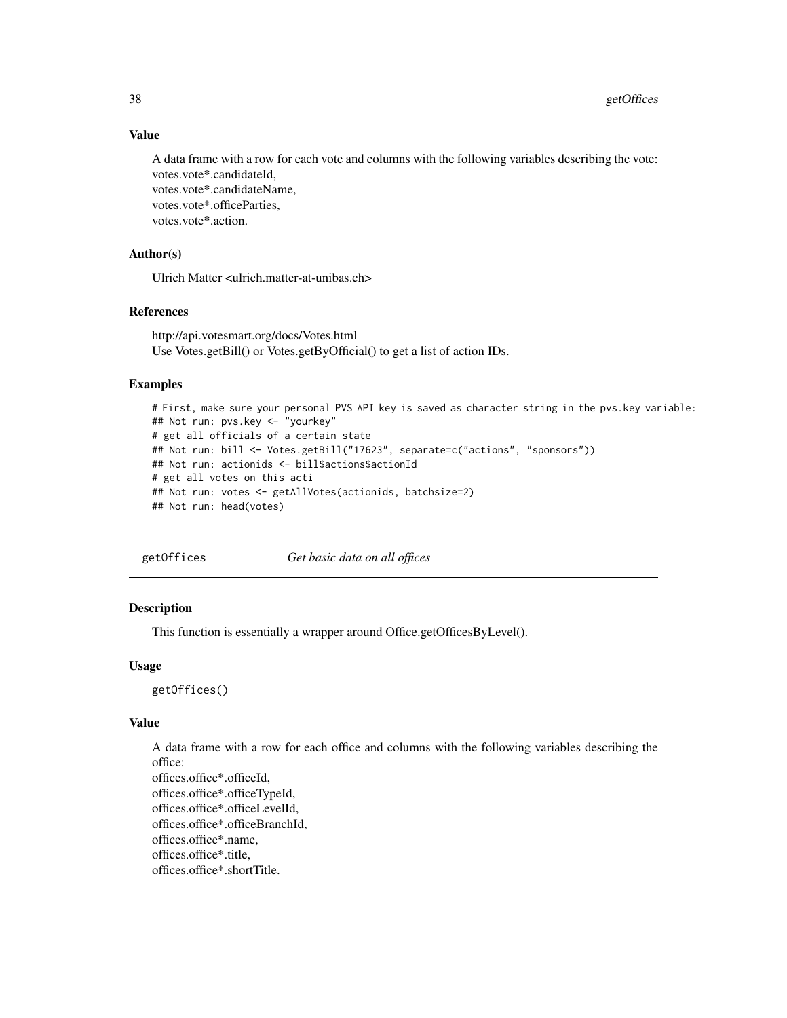38 getOffices

# Value

A data frame with a row for each vote and columns with the following variables describing the vote: votes.vote\*.candidateId, votes.vote\*.candidateName, votes.vote\*.officeParties, votes.vote\*.action.

# Author(s)

Ulrich Matter <ulrich.matter-at-unibas.ch>

# References

http://api.votesmart.org/docs/Votes.html Use Votes.getBill() or Votes.getByOfficial() to get a list of action IDs.

# Examples

```
# First, make sure your personal PVS API key is saved as character string in the pvs.key variable:
## Not run: pvs.key <- "yourkey"
# get all officials of a certain state
## Not run: bill <- Votes.getBill("17623", separate=c("actions", "sponsors"))
## Not run: actionids <- bill$actions$actionId
# get all votes on this acti
## Not run: votes <- getAllVotes(actionids, batchsize=2)
## Not run: head(votes)
```
getOffices *Get basic data on all offices*

# Description

This function is essentially a wrapper around Office.getOfficesByLevel().

#### Usage

getOffices()

# Value

A data frame with a row for each office and columns with the following variables describing the office: offices.office\*.officeId, offices.office\*.officeTypeId, offices.office\*.officeLevelId, offices.office\*.officeBranchId, offices.office\*.name, offices.office\*.title, offices.office\*.shortTitle.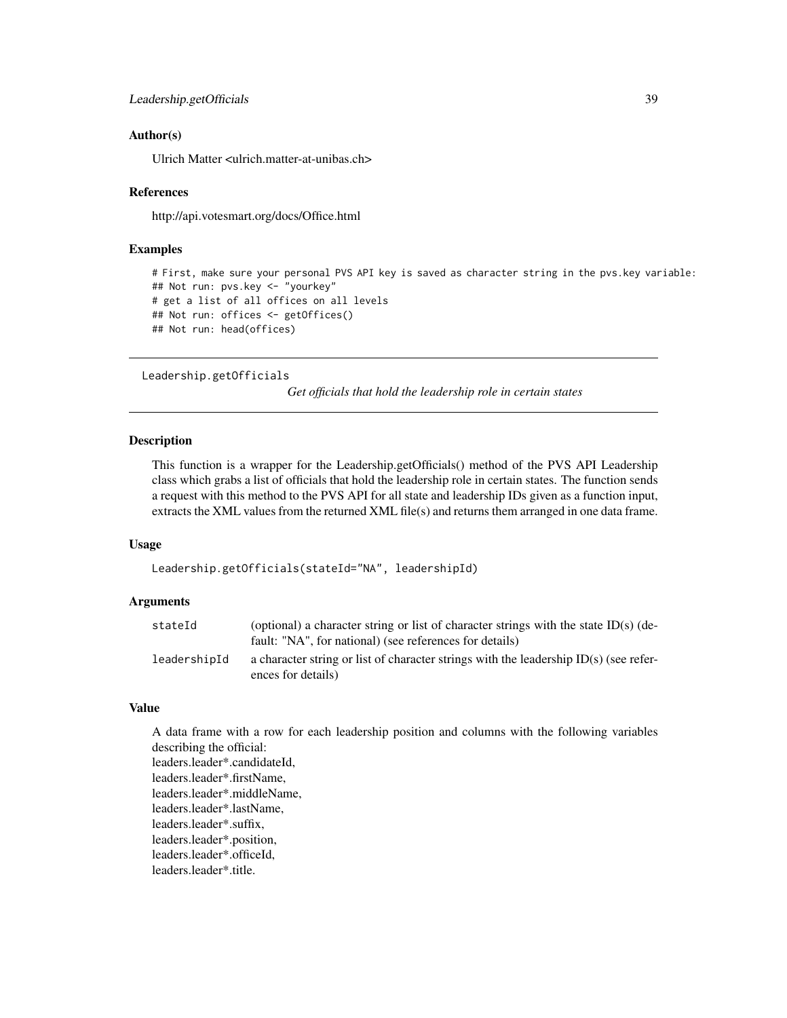## Author(s)

Ulrich Matter <ulrich.matter-at-unibas.ch>

#### References

http://api.votesmart.org/docs/Office.html

## Examples

```
# First, make sure your personal PVS API key is saved as character string in the pvs.key variable:
## Not run: pvs.key <- "yourkey"
# get a list of all offices on all levels
## Not run: offices <- getOffices()
## Not run: head(offices)
```
Leadership.getOfficials

*Get officials that hold the leadership role in certain states*

#### Description

This function is a wrapper for the Leadership.getOfficials() method of the PVS API Leadership class which grabs a list of officials that hold the leadership role in certain states. The function sends a request with this method to the PVS API for all state and leadership IDs given as a function input, extracts the XML values from the returned XML file(s) and returns them arranged in one data frame.

#### Usage

```
Leadership.getOfficials(stateId="NA", leadershipId)
```
# Arguments

| stateId      | (optional) a character string or list of character strings with the state ID(s) (de-<br>fault: "NA", for national) (see references for details) |
|--------------|-------------------------------------------------------------------------------------------------------------------------------------------------|
| leadershipId | a character string or list of character strings with the leadership $ID(s)$ (see refer-<br>ences for details)                                   |

#### Value

A data frame with a row for each leadership position and columns with the following variables describing the official: leaders.leader\*.candidateId, leaders.leader\*.firstName, leaders.leader\*.middleName, leaders.leader\*.lastName, leaders.leader\*.suffix, leaders.leader\*.position, leaders.leader\*.officeId, leaders.leader\*.title.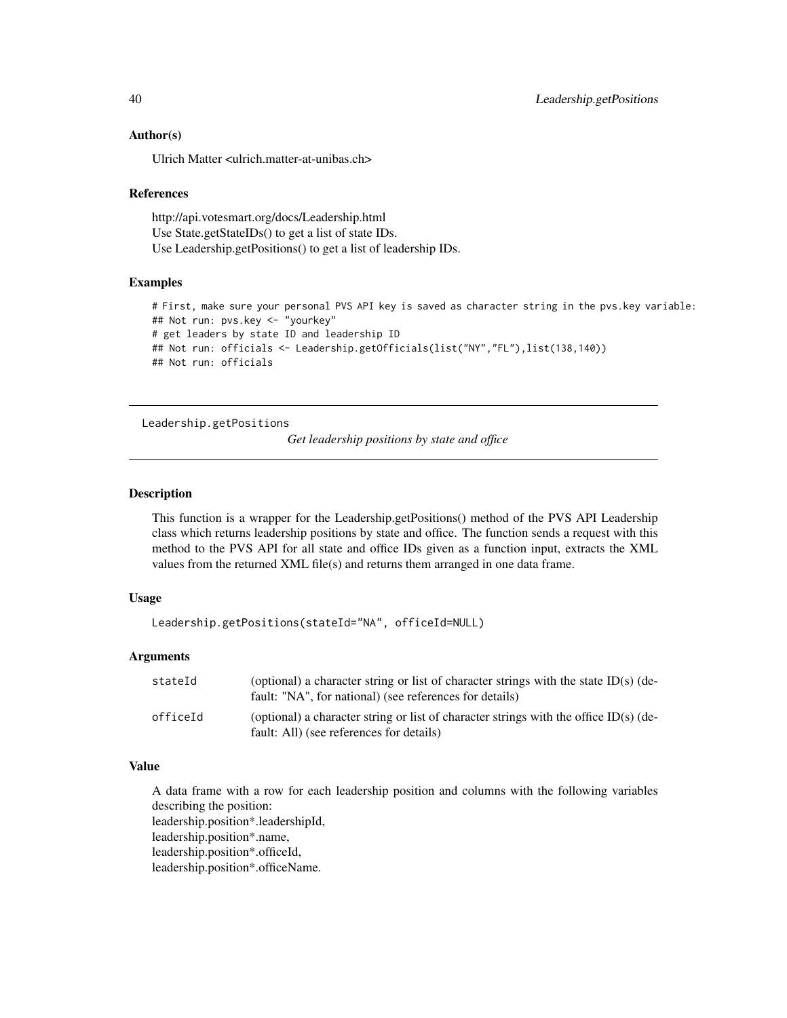## Author(s)

Ulrich Matter <ulrich.matter-at-unibas.ch>

#### References

http://api.votesmart.org/docs/Leadership.html Use State.getStateIDs() to get a list of state IDs. Use Leadership.getPositions() to get a list of leadership IDs.

# Examples

```
# First, make sure your personal PVS API key is saved as character string in the pvs.key variable:
## Not run: pvs.key <- "yourkey"
# get leaders by state ID and leadership ID
## Not run: officials <- Leadership.getOfficials(list("NY","FL"),list(138,140))
## Not run: officials
```

```
Leadership.getPositions
```
*Get leadership positions by state and office*

## Description

This function is a wrapper for the Leadership.getPositions() method of the PVS API Leadership class which returns leadership positions by state and office. The function sends a request with this method to the PVS API for all state and office IDs given as a function input, extracts the XML values from the returned XML file(s) and returns them arranged in one data frame.

## Usage

```
Leadership.getPositions(stateId="NA", officeId=NULL)
```
## Arguments

| stateId  | (optional) a character string or list of character strings with the state ID(s) (de-<br>fault: "NA", for national) (see references for details) |
|----------|-------------------------------------------------------------------------------------------------------------------------------------------------|
| officeId | (optional) a character string or list of character strings with the office ID(s) (de-<br>fault: All) (see references for details)               |

## Value

A data frame with a row for each leadership position and columns with the following variables describing the position:

leadership.position\*.leadershipId,

leadership.position\*.name,

leadership.position\*.officeId,

leadership.position\*.officeName.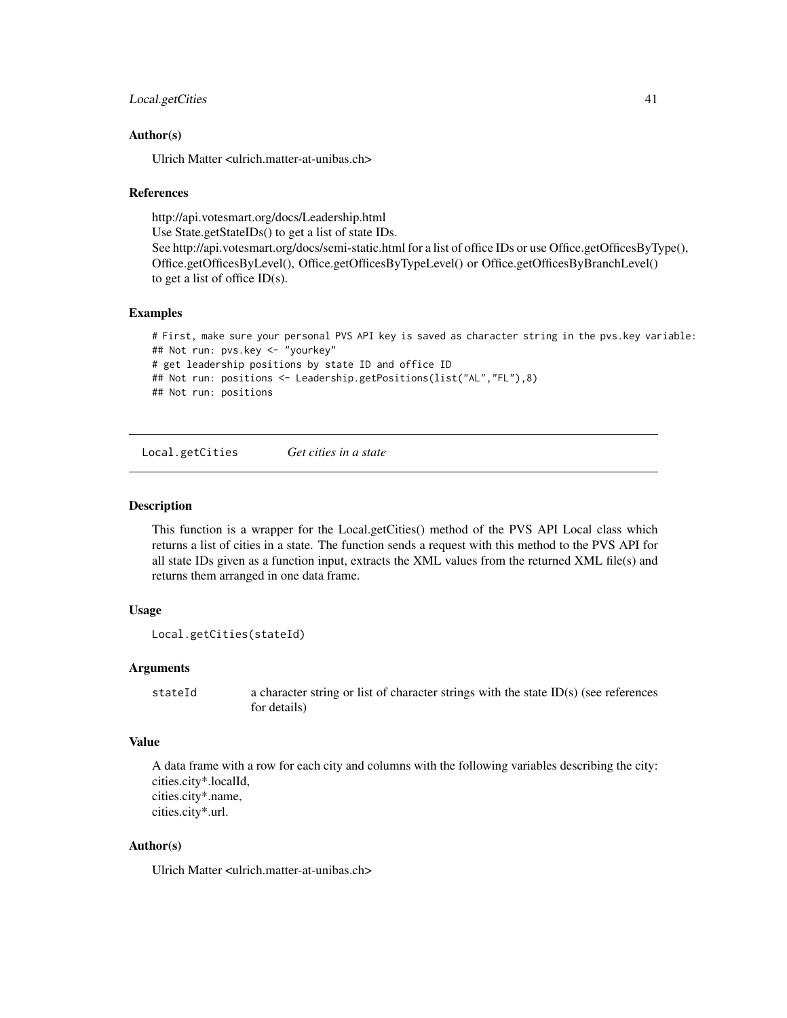# Local.getCities 41

## Author(s)

Ulrich Matter <ulrich.matter-at-unibas.ch>

#### References

http://api.votesmart.org/docs/Leadership.html

Use State.getStateIDs() to get a list of state IDs.

See http://api.votesmart.org/docs/semi-static.html for a list of office IDs or use Office.getOfficesByType(), Office.getOfficesByLevel(), Office.getOfficesByTypeLevel() or Office.getOfficesByBranchLevel() to get a list of office  $ID(s)$ .

# Examples

# First, make sure your personal PVS API key is saved as character string in the pvs.key variable: ## Not run: pvs.key <- "yourkey" # get leadership positions by state ID and office ID ## Not run: positions <- Leadership.getPositions(list("AL","FL"),8) ## Not run: positions

Local.getCities *Get cities in a state*

#### Description

This function is a wrapper for the Local.getCities() method of the PVS API Local class which returns a list of cities in a state. The function sends a request with this method to the PVS API for all state IDs given as a function input, extracts the XML values from the returned XML file(s) and returns them arranged in one data frame.

## Usage

```
Local.getCities(stateId)
```
## Arguments

stateId a character string or list of character strings with the state ID(s) (see references for details)

# Value

A data frame with a row for each city and columns with the following variables describing the city: cities.city\*.localId, cities.city\*.name, cities.city\*.url.

# Author(s)

Ulrich Matter <ulrich.matter-at-unibas.ch>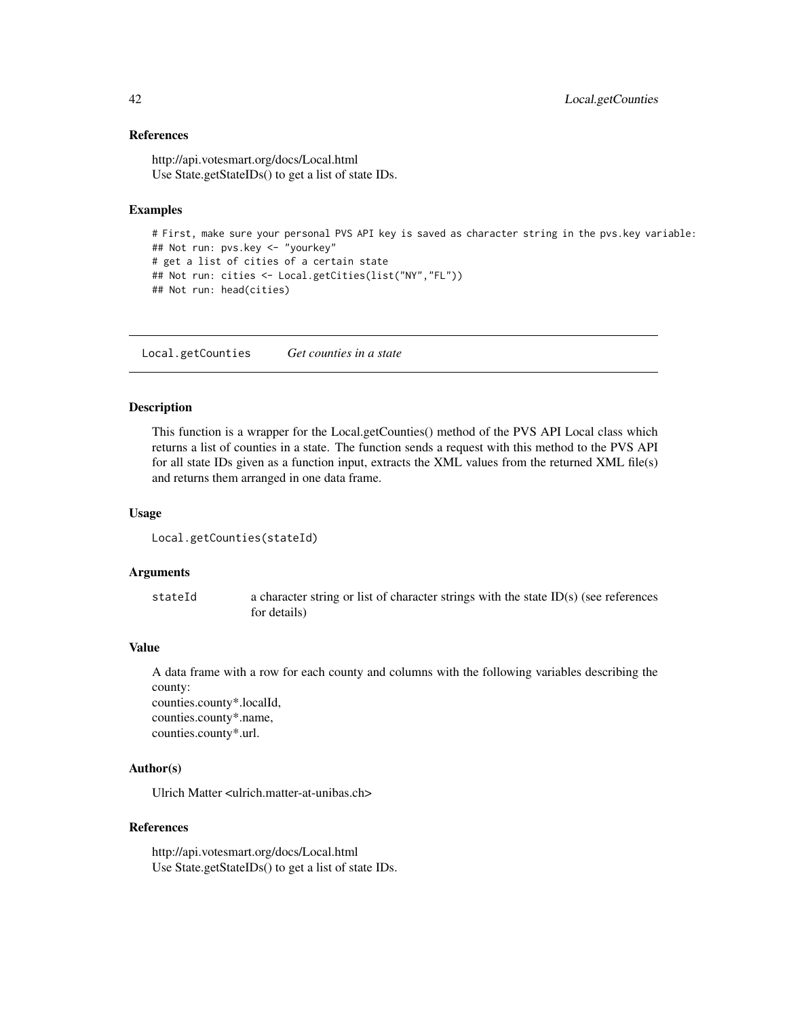## References

http://api.votesmart.org/docs/Local.html Use State.getStateIDs() to get a list of state IDs.

# Examples

```
# First, make sure your personal PVS API key is saved as character string in the pvs.key variable:
## Not run: pvs.key <- "yourkey"
# get a list of cities of a certain state
## Not run: cities <- Local.getCities(list("NY","FL"))
## Not run: head(cities)
```
Local.getCounties *Get counties in a state*

## Description

This function is a wrapper for the Local.getCounties() method of the PVS API Local class which returns a list of counties in a state. The function sends a request with this method to the PVS API for all state IDs given as a function input, extracts the XML values from the returned XML file(s) and returns them arranged in one data frame.

## Usage

```
Local.getCounties(stateId)
```
## Arguments

stateId a character string or list of character strings with the state ID(s) (see references for details)

#### Value

A data frame with a row for each county and columns with the following variables describing the county:

counties.county\*.localId, counties.county\*.name, counties.county\*.url.

# Author(s)

Ulrich Matter <ulrich.matter-at-unibas.ch>

#### References

http://api.votesmart.org/docs/Local.html Use State.getStateIDs() to get a list of state IDs.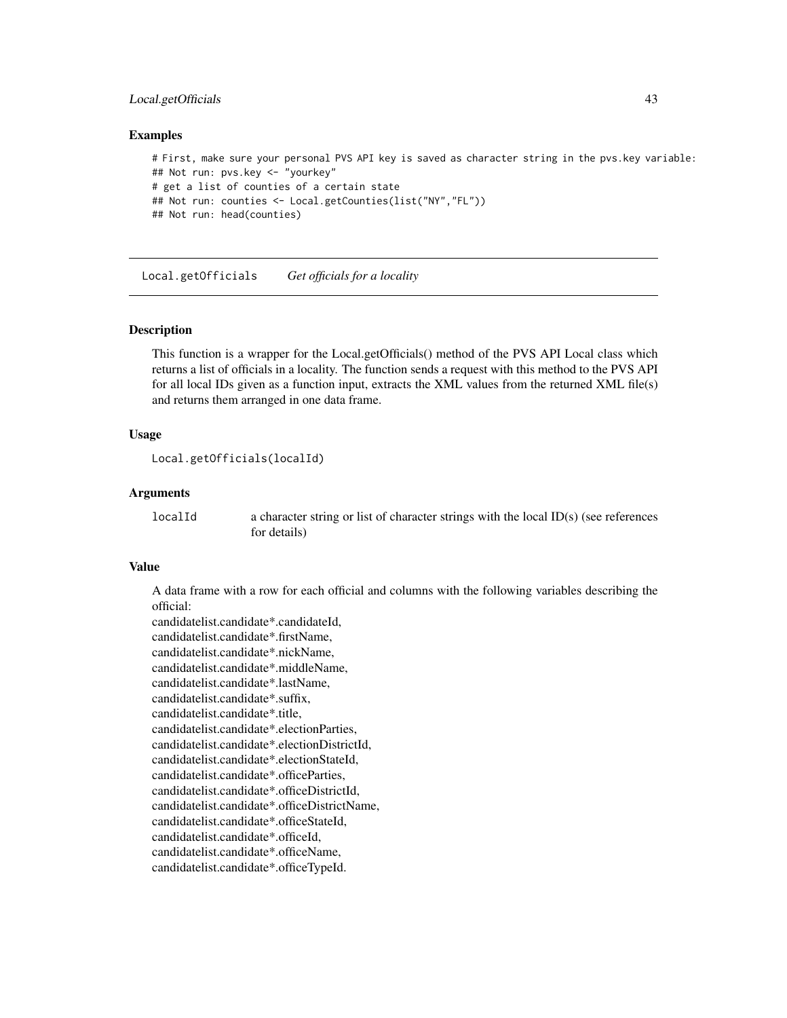# Local.getOfficials 43

#### Examples

```
# First, make sure your personal PVS API key is saved as character string in the pvs.key variable:
## Not run: pvs.key <- "yourkey"
# get a list of counties of a certain state
## Not run: counties <- Local.getCounties(list("NY","FL"))
## Not run: head(counties)
```
Local.getOfficials *Get officials for a locality*

## Description

This function is a wrapper for the Local.getOfficials() method of the PVS API Local class which returns a list of officials in a locality. The function sends a request with this method to the PVS API for all local IDs given as a function input, extracts the XML values from the returned XML file(s) and returns them arranged in one data frame.

## Usage

```
Local.getOfficials(localId)
```
## Arguments

```
localId a character string or list of character strings with the local ID(s) (see references
                  for details)
```
## Value

A data frame with a row for each official and columns with the following variables describing the official:

```
candidatelist.candidate*.candidateId,
candidatelist.candidate*.firstName,
candidatelist.candidate*.nickName,
candidatelist.candidate*.middleName,
candidatelist.candidate*.lastName,
candidatelist.candidate*.suffix,
candidatelist.candidate*.title,
candidatelist.candidate*.electionParties,
candidatelist.candidate*.electionDistrictId,
candidatelist.candidate*.electionStateId,
candidatelist.candidate*.officeParties,
candidatelist.candidate*.officeDistrictId,
candidatelist.candidate*.officeDistrictName,
candidatelist.candidate*.officeStateId,
candidatelist.candidate*.officeId,
candidatelist.candidate*.officeName,
candidatelist.candidate*.officeTypeId.
```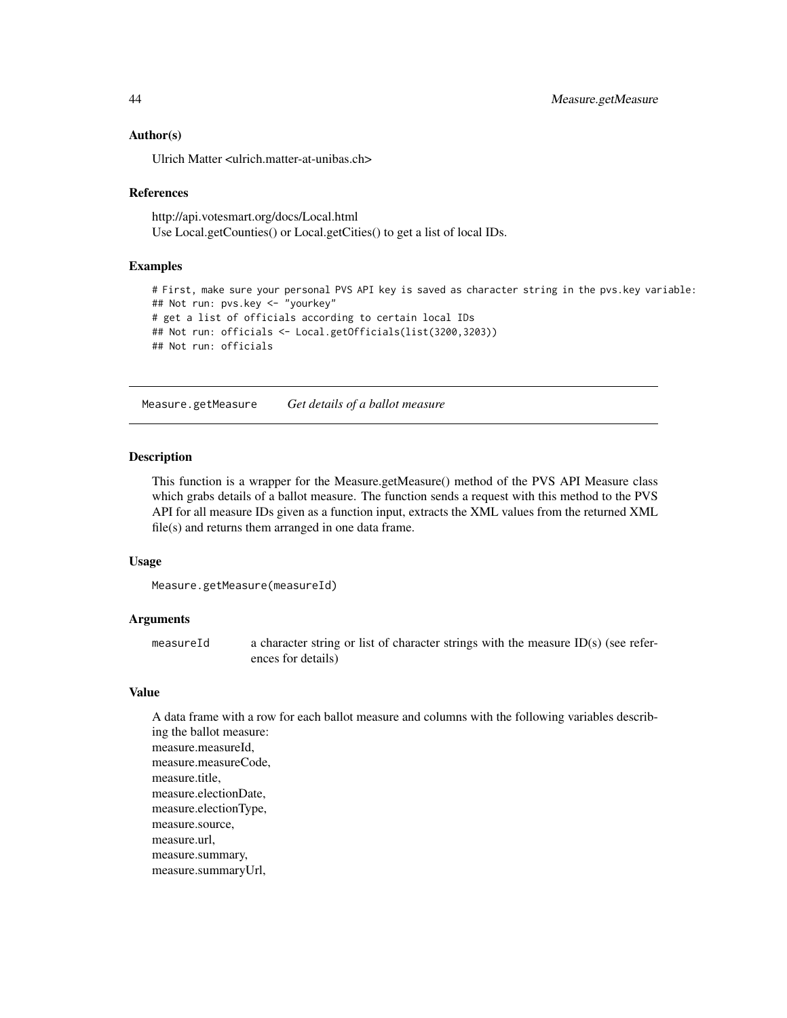## Author(s)

Ulrich Matter <ulrich.matter-at-unibas.ch>

#### References

http://api.votesmart.org/docs/Local.html Use Local.getCounties() or Local.getCities() to get a list of local IDs.

## Examples

```
# First, make sure your personal PVS API key is saved as character string in the pvs.key variable:
## Not run: pvs.key <- "yourkey"
# get a list of officials according to certain local IDs
## Not run: officials <- Local.getOfficials(list(3200,3203))
## Not run: officials
```
Measure.getMeasure *Get details of a ballot measure*

#### Description

This function is a wrapper for the Measure.getMeasure() method of the PVS API Measure class which grabs details of a ballot measure. The function sends a request with this method to the PVS API for all measure IDs given as a function input, extracts the XML values from the returned XML file(s) and returns them arranged in one data frame.

#### Usage

```
Measure.getMeasure(measureId)
```
#### Arguments

measureId a character string or list of character strings with the measure ID(s) (see references for details)

# Value

A data frame with a row for each ballot measure and columns with the following variables describing the ballot measure: measure.measureId, measure.measureCode, measure.title, measure.electionDate, measure.electionType, measure.source, measure.url, measure.summary, measure.summaryUrl,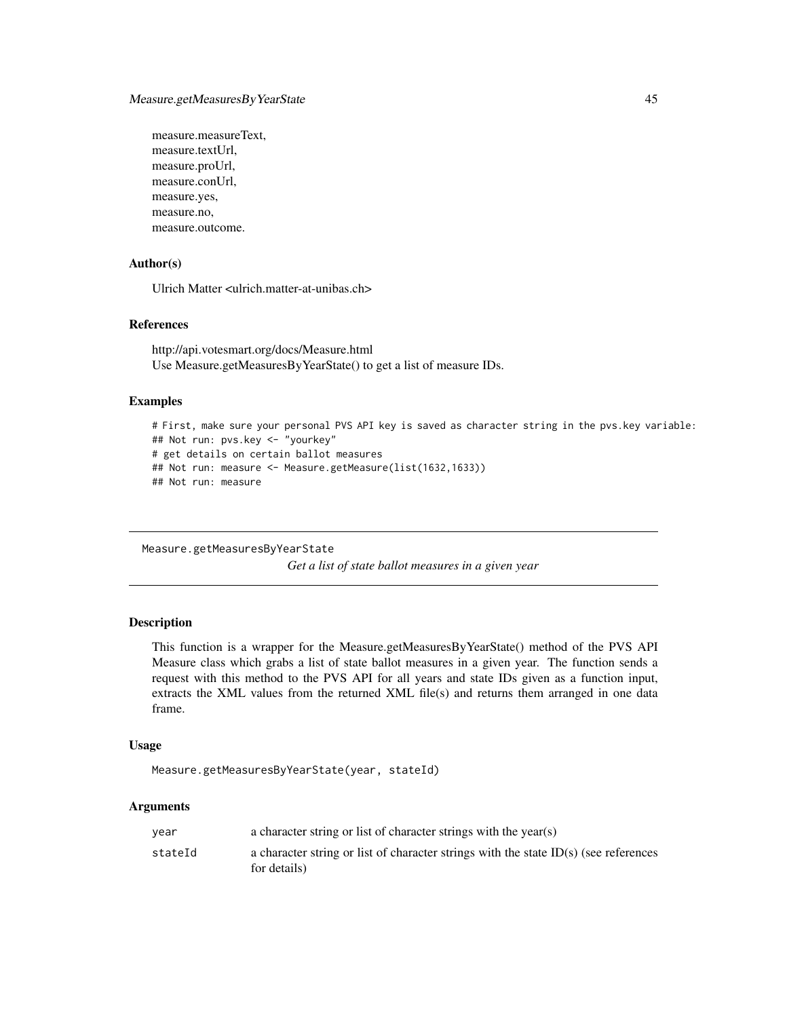measure.measureText, measure.textUrl, measure.proUrl, measure.conUrl, measure.yes, measure.no, measure.outcome.

## Author(s)

Ulrich Matter <ulrich.matter-at-unibas.ch>

# References

http://api.votesmart.org/docs/Measure.html Use Measure.getMeasuresByYearState() to get a list of measure IDs.

# Examples

```
# First, make sure your personal PVS API key is saved as character string in the pvs.key variable:
## Not run: pvs.key <- "yourkey"
# get details on certain ballot measures
## Not run: measure <- Measure.getMeasure(list(1632,1633))
## Not run: measure
```
Measure.getMeasuresByYearState *Get a list of state ballot measures in a given year*

# Description

This function is a wrapper for the Measure.getMeasuresByYearState() method of the PVS API Measure class which grabs a list of state ballot measures in a given year. The function sends a request with this method to the PVS API for all years and state IDs given as a function input, extracts the XML values from the returned XML file(s) and returns them arranged in one data frame.

# Usage

```
Measure.getMeasuresByYearState(year, stateId)
```
## Arguments

| vear    | a character string or list of character strings with the year(s)                                       |
|---------|--------------------------------------------------------------------------------------------------------|
| stateId | a character string or list of character strings with the state $ID(s)$ (see references<br>for details) |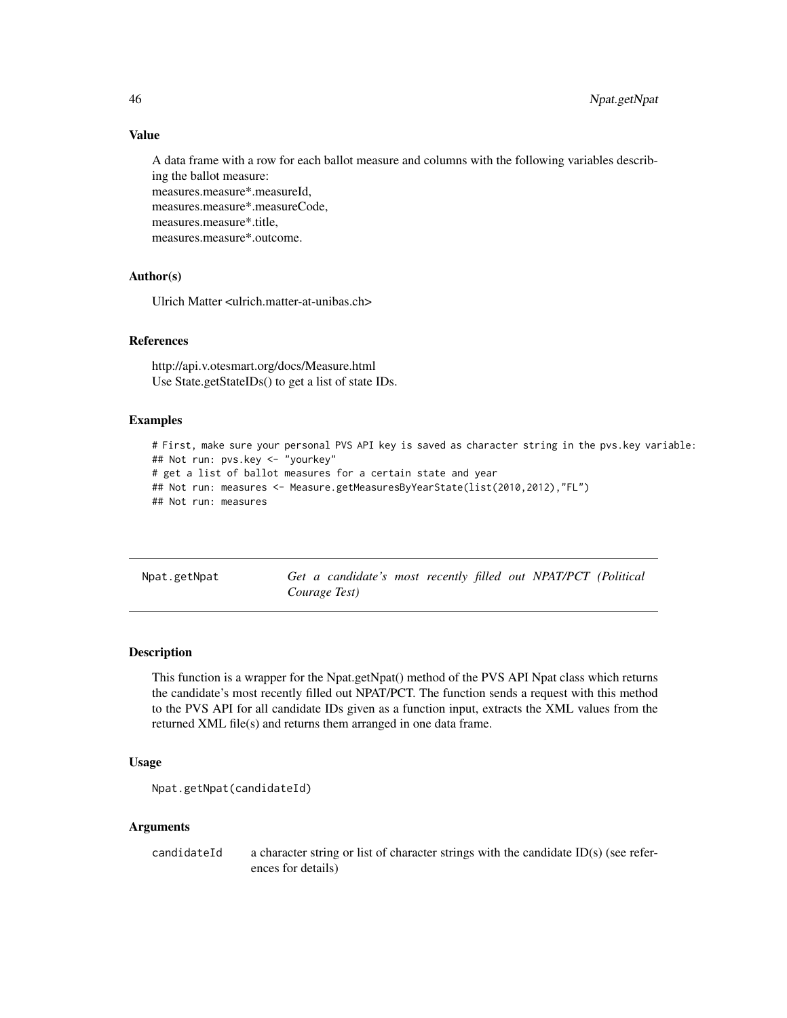# Value

A data frame with a row for each ballot measure and columns with the following variables describing the ballot measure: measures.measure\*.measureId, measures.measure\*.measureCode, measures.measure\*.title, measures.measure\*.outcome.

# Author(s)

Ulrich Matter <ulrich.matter-at-unibas.ch>

## References

http://api.v.otesmart.org/docs/Measure.html Use State.getStateIDs() to get a list of state IDs.

## Examples

```
# First, make sure your personal PVS API key is saved as character string in the pvs.key variable:
## Not run: pvs.key <- "yourkey"
# get a list of ballot measures for a certain state and year
## Not run: measures <- Measure.getMeasuresByYearState(list(2010,2012),"FL")
## Not run: measures
```
Npat.getNpat *Get a candidate's most recently filled out NPAT/PCT (Political Courage Test)*

## Description

This function is a wrapper for the Npat.getNpat() method of the PVS API Npat class which returns the candidate's most recently filled out NPAT/PCT. The function sends a request with this method to the PVS API for all candidate IDs given as a function input, extracts the XML values from the returned XML file(s) and returns them arranged in one data frame.

## Usage

```
Npat.getNpat(candidateId)
```
#### Arguments

candidateId a character string or list of character strings with the candidate ID(s) (see references for details)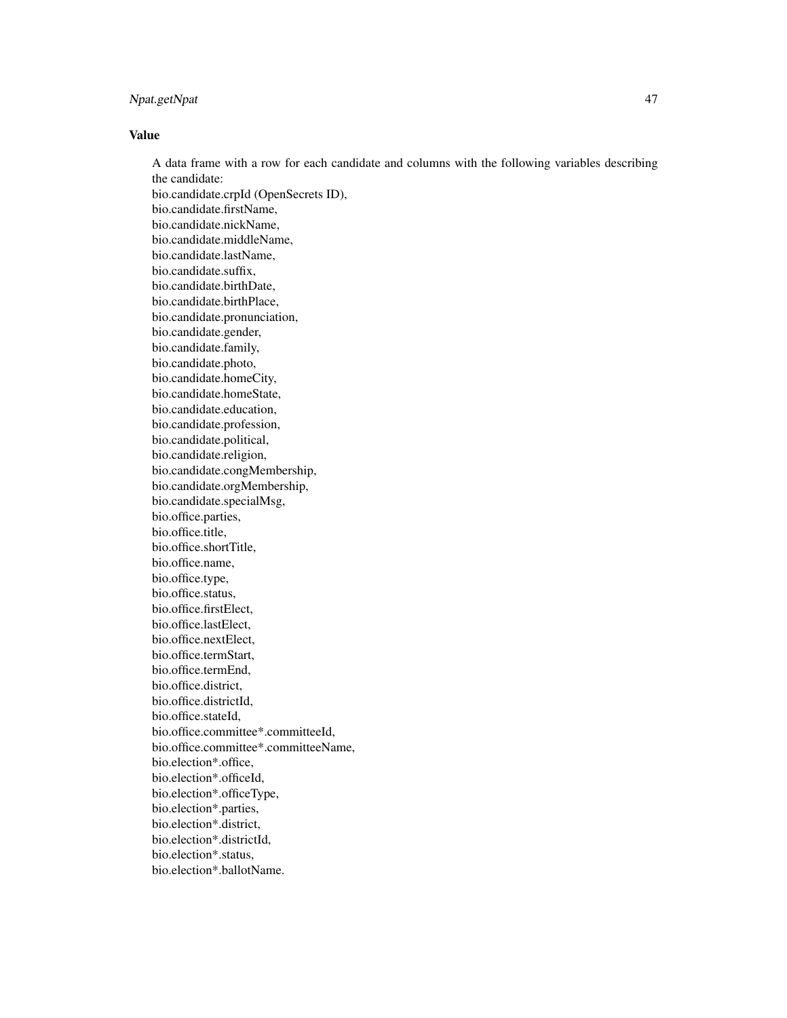# Npat.getNpat 47

## Value

A data frame with a row for each candidate and columns with the following variables describing the candidate: bio.candidate.crpId (OpenSecrets ID), bio.candidate.firstName, bio.candidate.nickName, bio.candidate.middleName, bio.candidate.lastName, bio.candidate.suffix, bio.candidate.birthDate, bio.candidate.birthPlace, bio.candidate.pronunciation, bio.candidate.gender, bio.candidate.family, bio.candidate.photo, bio.candidate.homeCity, bio.candidate.homeState, bio.candidate.education, bio.candidate.profession, bio.candidate.political, bio.candidate.religion, bio.candidate.congMembership, bio.candidate.orgMembership, bio.candidate.specialMsg, bio.office.parties, bio.office.title, bio.office.shortTitle, bio.office.name, bio.office.type, bio.office.status, bio.office.firstElect, bio.office.lastElect, bio.office.nextElect, bio.office.termStart, bio.office.termEnd, bio.office.district, bio.office.districtId, bio.office.stateId, bio.office.committee\*.committeeId, bio.office.committee\*.committeeName, bio.election\*.office, bio.election\*.officeId, bio.election\*.officeType, bio.election\*.parties, bio.election\*.district, bio.election\*.districtId, bio.election\*.status, bio.election\*.ballotName.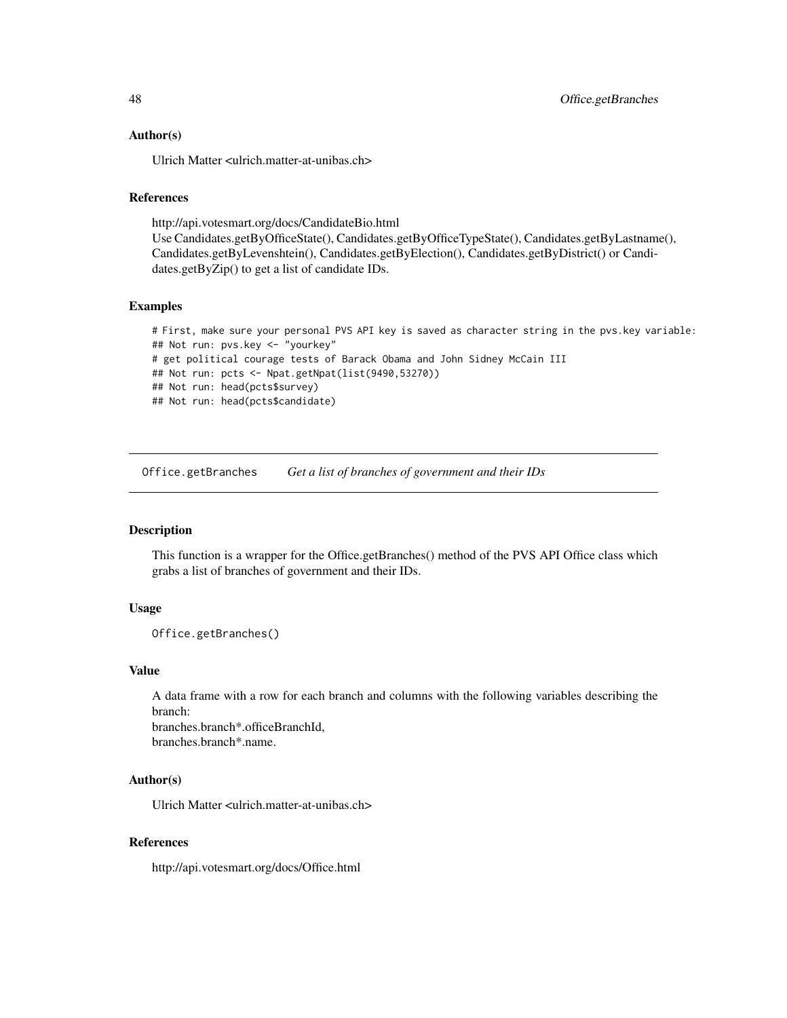## Author(s)

Ulrich Matter <ulrich.matter-at-unibas.ch>

# References

http://api.votesmart.org/docs/CandidateBio.html Use Candidates.getByOfficeState(), Candidates.getByOfficeTypeState(), Candidates.getByLastname(), Candidates.getByLevenshtein(), Candidates.getByElection(), Candidates.getByDistrict() or Candidates.getByZip() to get a list of candidate IDs.

#### Examples

```
# First, make sure your personal PVS API key is saved as character string in the pvs.key variable:
## Not run: pvs.key <- "yourkey"
# get political courage tests of Barack Obama and John Sidney McCain III
## Not run: pcts <- Npat.getNpat(list(9490,53270))
## Not run: head(pcts$survey)
## Not run: head(pcts$candidate)
```
Office.getBranches *Get a list of branches of government and their IDs*

# Description

This function is a wrapper for the Office.getBranches() method of the PVS API Office class which grabs a list of branches of government and their IDs.

# Usage

```
Office.getBranches()
```
#### Value

A data frame with a row for each branch and columns with the following variables describing the branch:

branches.branch\*.officeBranchId, branches.branch\*.name.

#### Author(s)

Ulrich Matter <ulrich.matter-at-unibas.ch>

## References

http://api.votesmart.org/docs/Office.html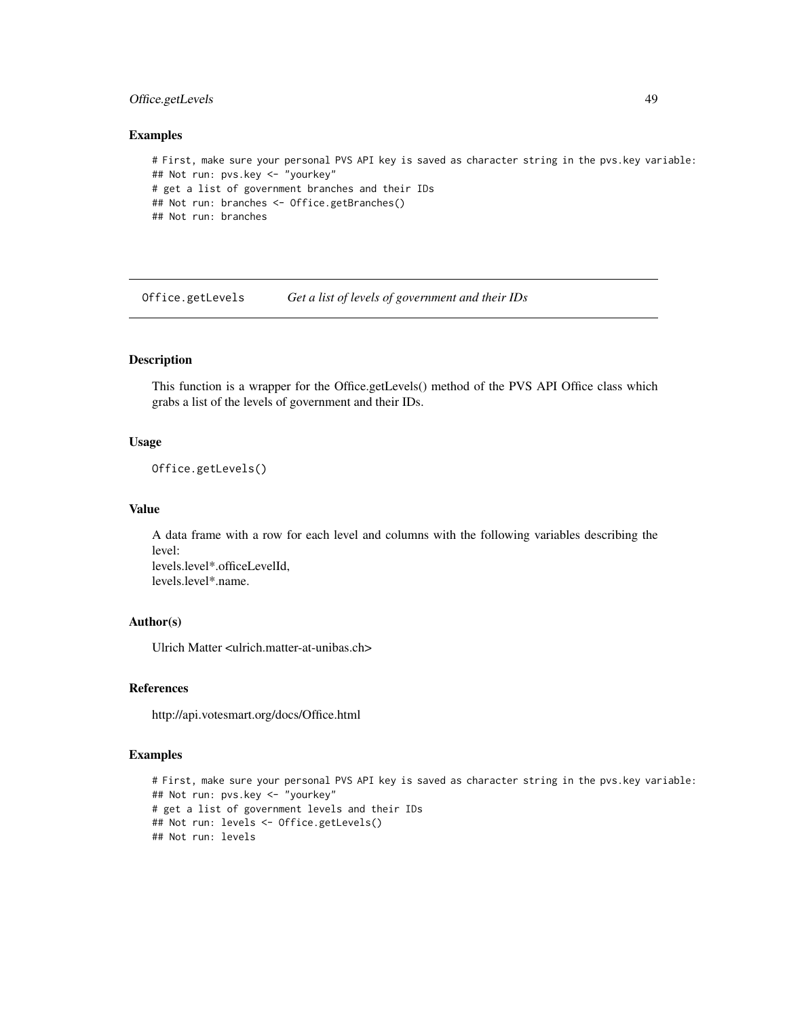# Office.getLevels 49

#### Examples

```
# First, make sure your personal PVS API key is saved as character string in the pvs.key variable:
## Not run: pvs.key <- "yourkey"
# get a list of government branches and their IDs
## Not run: branches <- Office.getBranches()
## Not run: branches
```
Office.getLevels *Get a list of levels of government and their IDs*

# Description

This function is a wrapper for the Office.getLevels() method of the PVS API Office class which grabs a list of the levels of government and their IDs.

## Usage

```
Office.getLevels()
```
## Value

A data frame with a row for each level and columns with the following variables describing the level: levels.level\*.officeLevelId, levels.level\*.name.

# Author(s)

Ulrich Matter <ulrich.matter-at-unibas.ch>

# References

http://api.votesmart.org/docs/Office.html

# Examples

```
# First, make sure your personal PVS API key is saved as character string in the pvs.key variable:
## Not run: pvs.key <- "yourkey"
# get a list of government levels and their IDs
## Not run: levels <- Office.getLevels()
## Not run: levels
```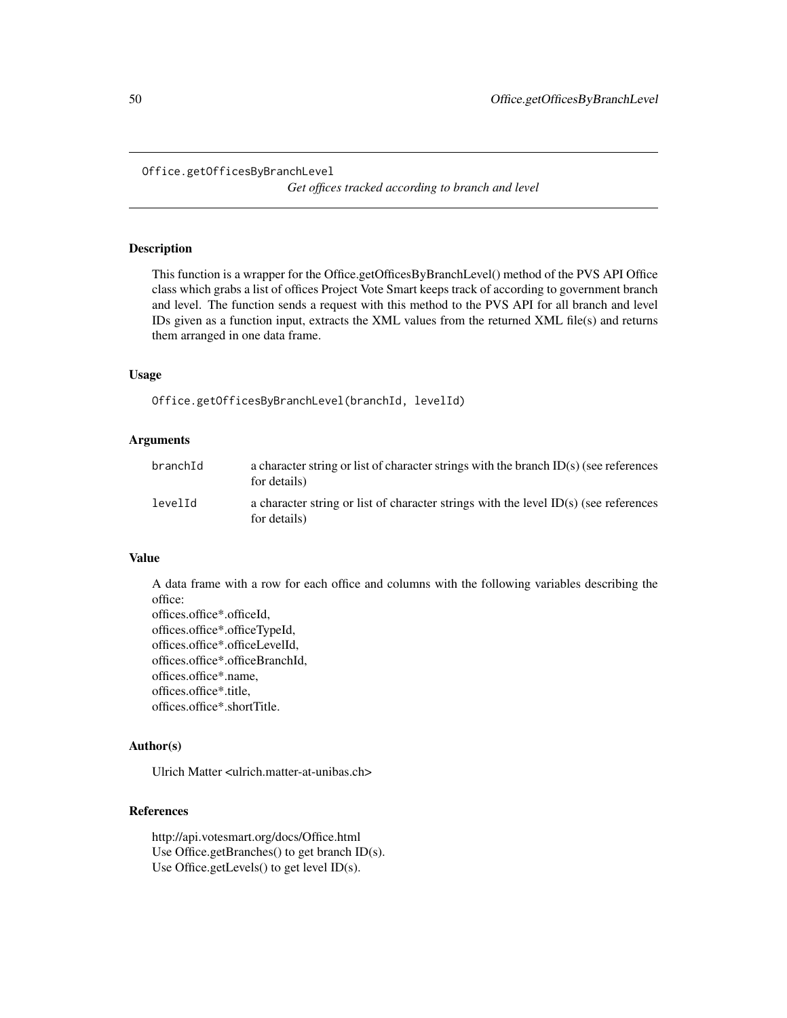```
Office.getOfficesByBranchLevel
```
*Get offices tracked according to branch and level*

# Description

This function is a wrapper for the Office.getOfficesByBranchLevel() method of the PVS API Office class which grabs a list of offices Project Vote Smart keeps track of according to government branch and level. The function sends a request with this method to the PVS API for all branch and level IDs given as a function input, extracts the XML values from the returned XML file(s) and returns them arranged in one data frame.

# Usage

Office.getOfficesByBranchLevel(branchId, levelId)

## Arguments

| branchId | a character string or list of character strings with the branch $ID(s)$ (see references<br>for details) |
|----------|---------------------------------------------------------------------------------------------------------|
| levelId  | a character string or list of character strings with the level $ID(s)$ (see references<br>for details)  |

## Value

A data frame with a row for each office and columns with the following variables describing the office:

offices.office\*.officeId, offices.office\*.officeTypeId, offices.office\*.officeLevelId, offices.office\*.officeBranchId, offices.office\*.name, offices.office\*.title, offices.office\*.shortTitle.

#### Author(s)

Ulrich Matter <ulrich.matter-at-unibas.ch>

#### References

http://api.votesmart.org/docs/Office.html Use Office.getBranches() to get branch ID(s). Use Office.getLevels() to get level ID(s).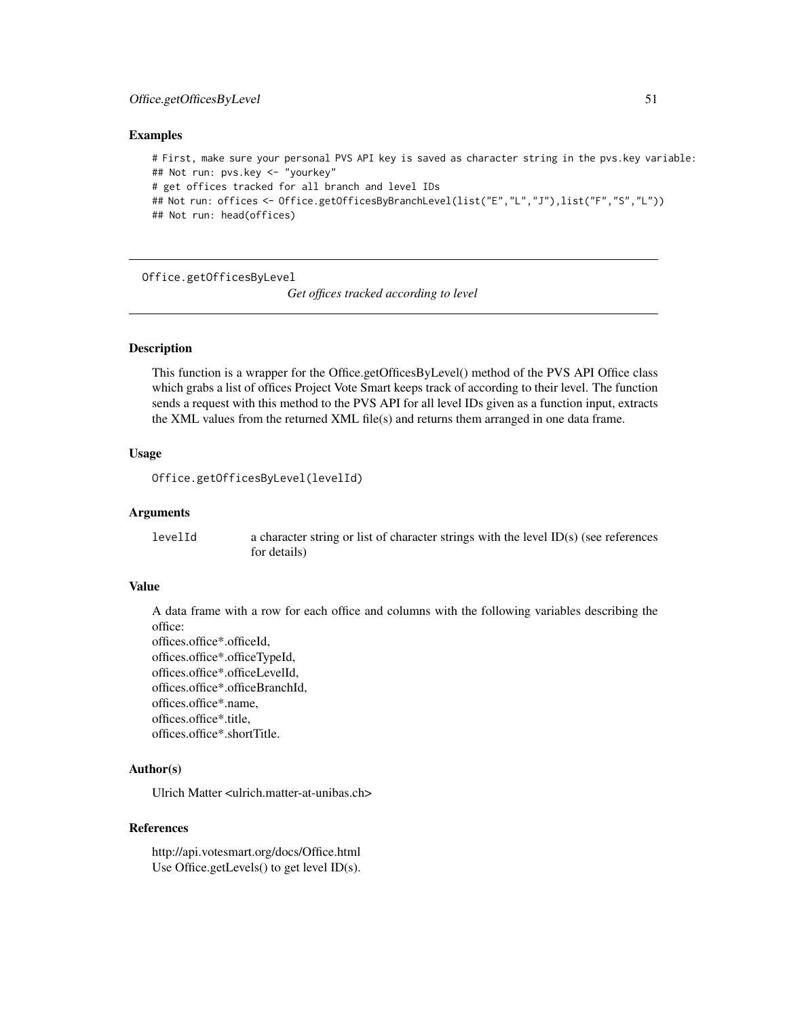#### Examples

```
# First, make sure your personal PVS API key is saved as character string in the pvs.key variable:
## Not run: pvs.key <- "yourkey"
# get offices tracked for all branch and level IDs
## Not run: offices <- Office.getOfficesByBranchLevel(list("E","L","J"),list("F","S","L"))
## Not run: head(offices)
```
Office.getOfficesByLevel

*Get offices tracked according to level*

#### Description

This function is a wrapper for the Office.getOfficesByLevel() method of the PVS API Office class which grabs a list of offices Project Vote Smart keeps track of according to their level. The function sends a request with this method to the PVS API for all level IDs given as a function input, extracts the XML values from the returned XML file(s) and returns them arranged in one data frame.

## Usage

```
Office.getOfficesByLevel(levelId)
```
## Arguments

levelId a character string or list of character strings with the level ID(s) (see references for details)

## Value

A data frame with a row for each office and columns with the following variables describing the office:

offices.office\*.officeId, offices.office\*.officeTypeId, offices.office\*.officeLevelId, offices.office\*.officeBranchId, offices.office\*.name, offices.office\*.title, offices.office\*.shortTitle.

# Author(s)

Ulrich Matter <ulrich.matter-at-unibas.ch>

#### References

http://api.votesmart.org/docs/Office.html Use Office.getLevels() to get level ID(s).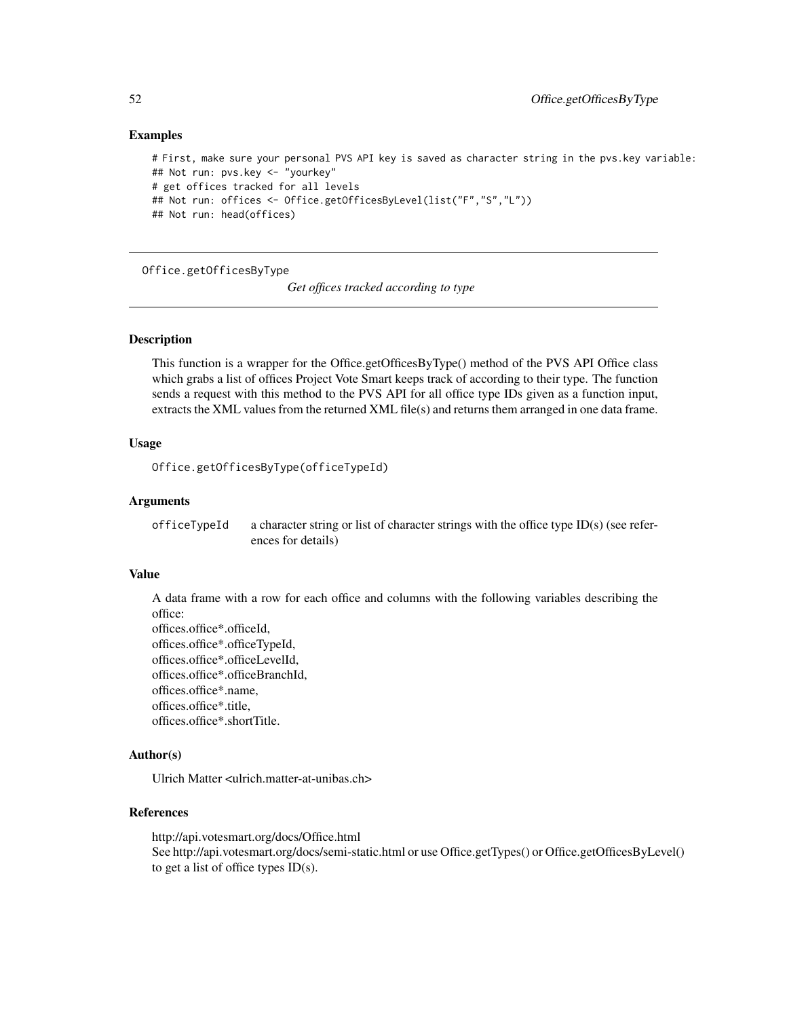## Examples

```
# First, make sure your personal PVS API key is saved as character string in the pvs.key variable:
## Not run: pvs.key <- "yourkey"
# get offices tracked for all levels
## Not run: offices <- Office.getOfficesByLevel(list("F","S","L"))
## Not run: head(offices)
```
Office.getOfficesByType

*Get offices tracked according to type*

# Description

This function is a wrapper for the Office.getOfficesByType() method of the PVS API Office class which grabs a list of offices Project Vote Smart keeps track of according to their type. The function sends a request with this method to the PVS API for all office type IDs given as a function input, extracts the XML values from the returned XML file(s) and returns them arranged in one data frame.

# Usage

Office.getOfficesByType(officeTypeId)

## Arguments

of ficeTypeId a character string or list of character strings with the office type ID(s) (see references for details)

# Value

A data frame with a row for each office and columns with the following variables describing the office:

offices.office\*.officeId, offices.office\*.officeTypeId, offices.office\*.officeLevelId, offices.office\*.officeBranchId, offices.office\*.name, offices.office\*.title, offices.office\*.shortTitle.

## Author(s)

Ulrich Matter <ulrich.matter-at-unibas.ch>

# References

http://api.votesmart.org/docs/Office.html See http://api.votesmart.org/docs/semi-static.html or use Office.getTypes() or Office.getOfficesByLevel() to get a list of office types ID(s).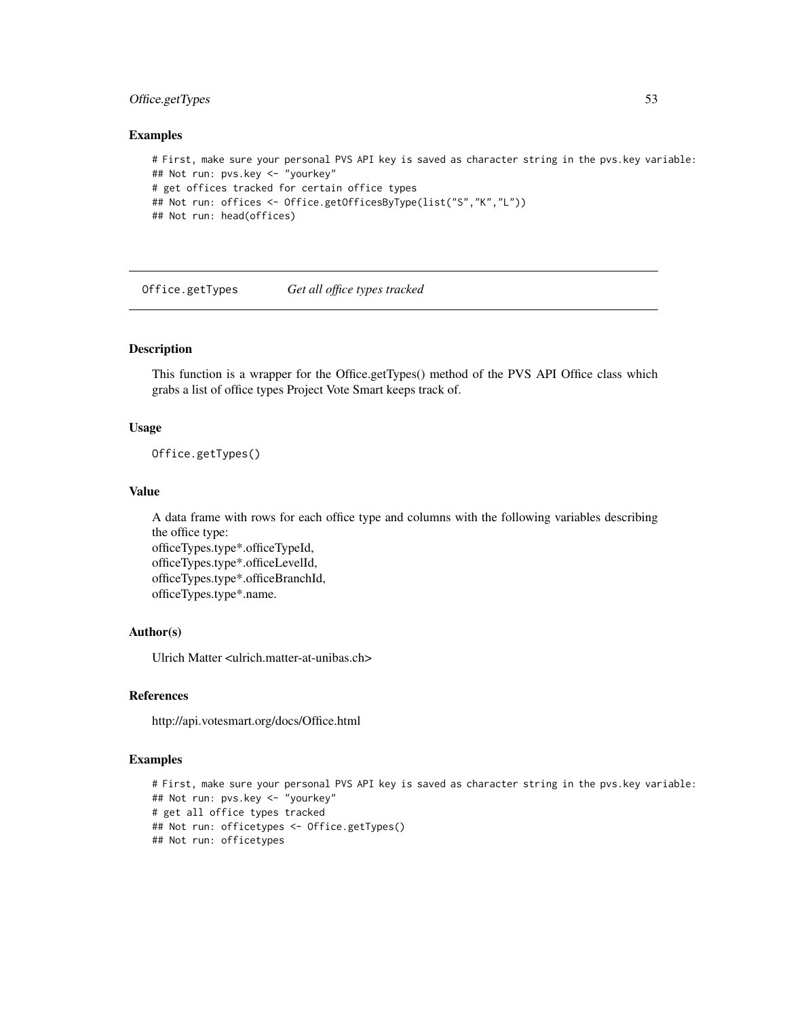# Office.getTypes 53

#### Examples

```
# First, make sure your personal PVS API key is saved as character string in the pvs.key variable:
## Not run: pvs.key <- "yourkey"
# get offices tracked for certain office types
## Not run: offices <- Office.getOfficesByType(list("S","K","L"))
## Not run: head(offices)
```
Office.getTypes *Get all office types tracked*

## Description

This function is a wrapper for the Office.getTypes() method of the PVS API Office class which grabs a list of office types Project Vote Smart keeps track of.

## Usage

Office.getTypes()

#### Value

A data frame with rows for each office type and columns with the following variables describing the office type:

officeTypes.type\*.officeTypeId, officeTypes.type\*.officeLevelId, officeTypes.type\*.officeBranchId, officeTypes.type\*.name.

## Author(s)

Ulrich Matter <ulrich.matter-at-unibas.ch>

#### References

http://api.votesmart.org/docs/Office.html

## Examples

```
# First, make sure your personal PVS API key is saved as character string in the pvs.key variable:
## Not run: pvs.key <- "yourkey"
# get all office types tracked
## Not run: officetypes <- Office.getTypes()
## Not run: officetypes
```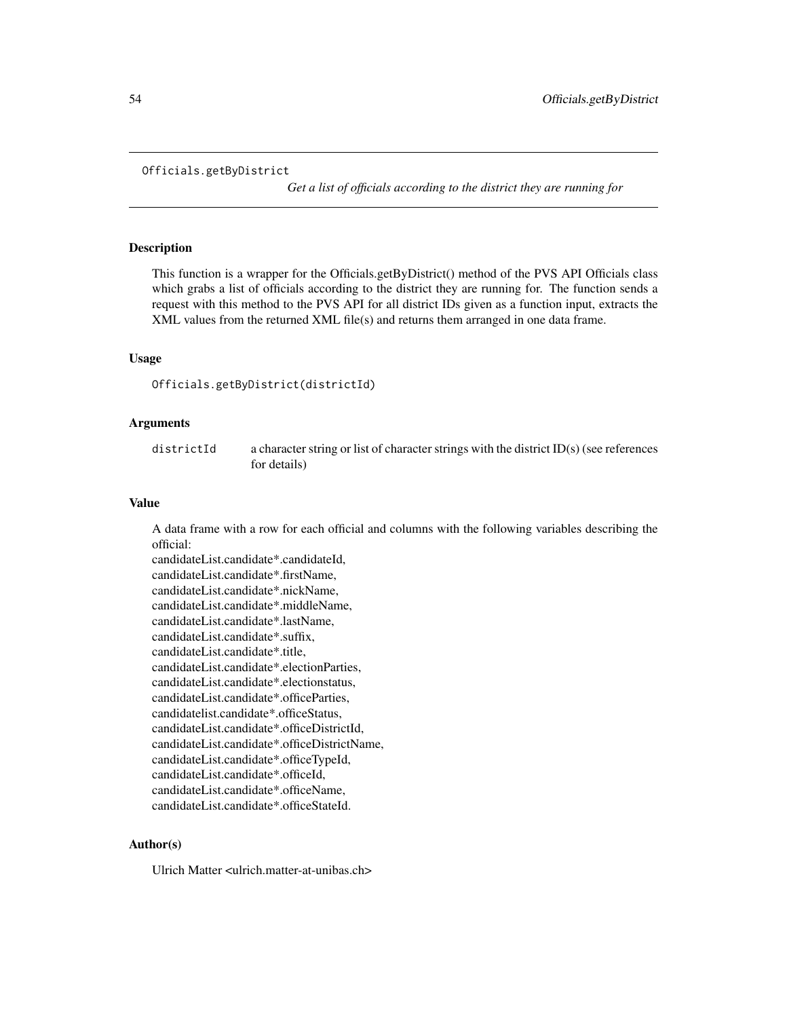#### Officials.getByDistrict

*Get a list of officials according to the district they are running for*

## Description

This function is a wrapper for the Officials.getByDistrict() method of the PVS API Officials class which grabs a list of officials according to the district they are running for. The function sends a request with this method to the PVS API for all district IDs given as a function input, extracts the XML values from the returned XML file(s) and returns them arranged in one data frame.

#### Usage

Officials.getByDistrict(districtId)

# Arguments

districtId a character string or list of character strings with the district ID(s) (see references for details)

# Value

A data frame with a row for each official and columns with the following variables describing the official:

candidateList.candidate\*.candidateId, candidateList.candidate\*.firstName, candidateList.candidate\*.nickName, candidateList.candidate\*.middleName, candidateList.candidate\*.lastName, candidateList.candidate\*.suffix, candidateList.candidate\*.title, candidateList.candidate\*.electionParties, candidateList.candidate\*.electionstatus, candidateList.candidate\*.officeParties, candidatelist.candidate\*.officeStatus, candidateList.candidate\*.officeDistrictId, candidateList.candidate\*.officeDistrictName, candidateList.candidate\*.officeTypeId, candidateList.candidate\*.officeId, candidateList.candidate\*.officeName, candidateList.candidate\*.officeStateId.

## Author(s)

Ulrich Matter <ulrich.matter-at-unibas.ch>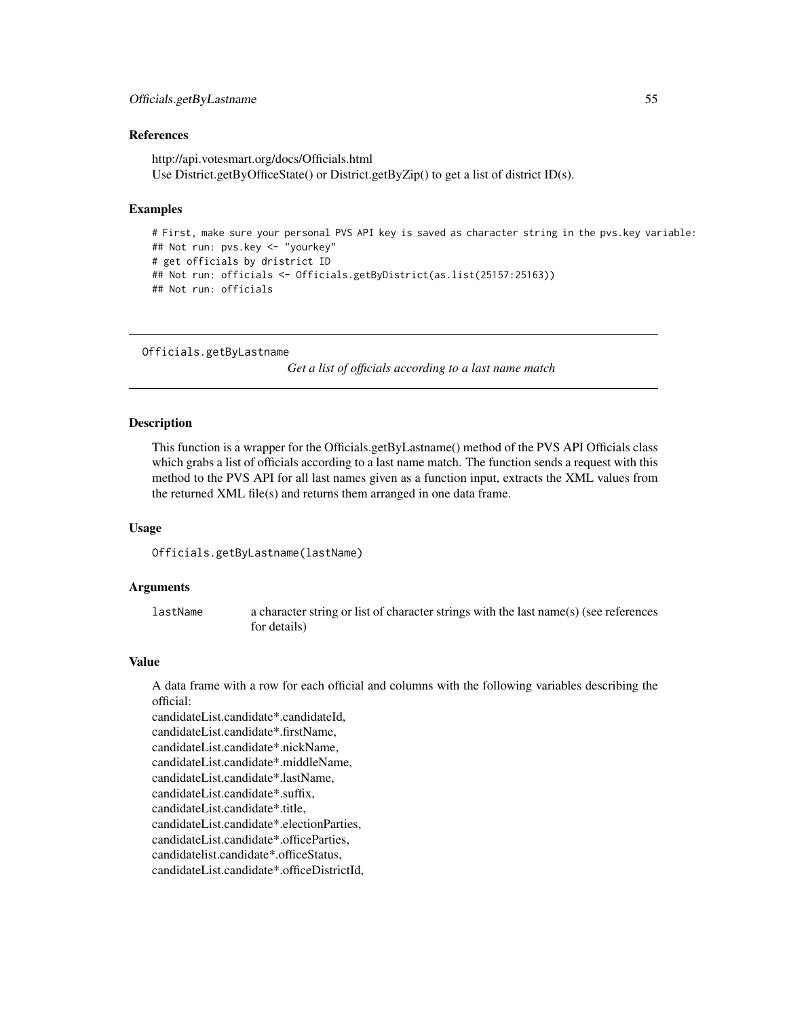# Officials.getByLastname 55

#### References

http://api.votesmart.org/docs/Officials.html Use District.getByOfficeState() or District.getByZip() to get a list of district ID(s).

## Examples

```
# First, make sure your personal PVS API key is saved as character string in the pvs.key variable:
## Not run: pvs.key <- "yourkey"
# get officials by dristrict ID
## Not run: officials <- Officials.getByDistrict(as.list(25157:25163))
## Not run: officials
```

```
Officials.getByLastname
```
*Get a list of officials according to a last name match*

# **Description**

This function is a wrapper for the Officials.getByLastname() method of the PVS API Officials class which grabs a list of officials according to a last name match. The function sends a request with this method to the PVS API for all last names given as a function input, extracts the XML values from the returned XML file(s) and returns them arranged in one data frame.

## Usage

Officials.getByLastname(lastName)

#### Arguments

lastName a character string or list of character strings with the last name(s) (see references for details)

#### Value

A data frame with a row for each official and columns with the following variables describing the official:

candidateList.candidate\*.candidateId, candidateList.candidate\*.firstName, candidateList.candidate\*.nickName, candidateList.candidate\*.middleName, candidateList.candidate\*.lastName, candidateList.candidate\*.suffix, candidateList.candidate\*.title, candidateList.candidate\*.electionParties, candidateList.candidate\*.officeParties, candidatelist.candidate\*.officeStatus, candidateList.candidate\*.officeDistrictId,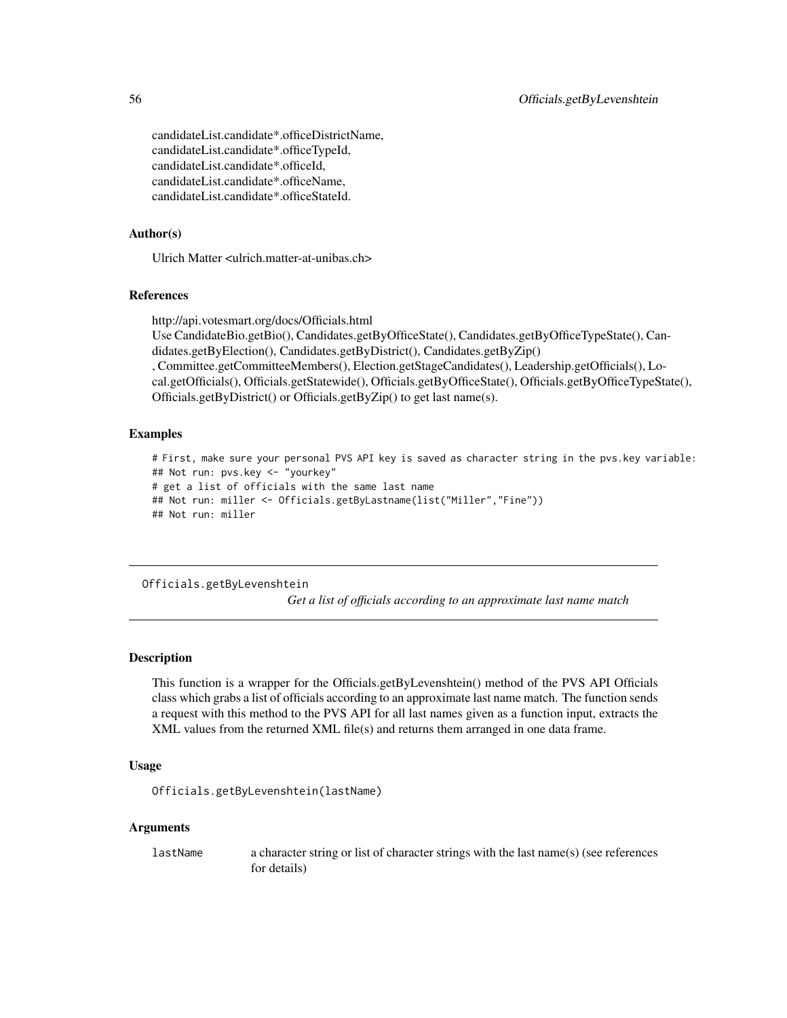candidateList.candidate\*.officeDistrictName, candidateList.candidate\*.officeTypeId, candidateList.candidate\*.officeId, candidateList.candidate\*.officeName, candidateList.candidate\*.officeStateId.

## Author(s)

Ulrich Matter <ulrich.matter-at-unibas.ch>

# References

http://api.votesmart.org/docs/Officials.html

Use CandidateBio.getBio(), Candidates.getByOfficeState(), Candidates.getByOfficeTypeState(), Candidates.getByElection(), Candidates.getByDistrict(), Candidates.getByZip()

, Committee.getCommitteeMembers(), Election.getStageCandidates(), Leadership.getOfficials(), Local.getOfficials(), Officials.getStatewide(), Officials.getByOfficeState(), Officials.getByOfficeTypeState(), Officials.getByDistrict() or Officials.getByZip() to get last name(s).

## Examples

# First, make sure your personal PVS API key is saved as character string in the pvs.key variable: ## Not run: pvs.key <- "yourkey" # get a list of officials with the same last name ## Not run: miller <- Officials.getByLastname(list("Miller","Fine")) ## Not run: miller

#### Officials.getByLevenshtein

*Get a list of officials according to an approximate last name match*

# Description

This function is a wrapper for the Officials.getByLevenshtein() method of the PVS API Officials class which grabs a list of officials according to an approximate last name match. The function sends a request with this method to the PVS API for all last names given as a function input, extracts the XML values from the returned XML file(s) and returns them arranged in one data frame.

## Usage

Officials.getByLevenshtein(lastName)

## Arguments

lastName a character string or list of character strings with the last name(s) (see references for details)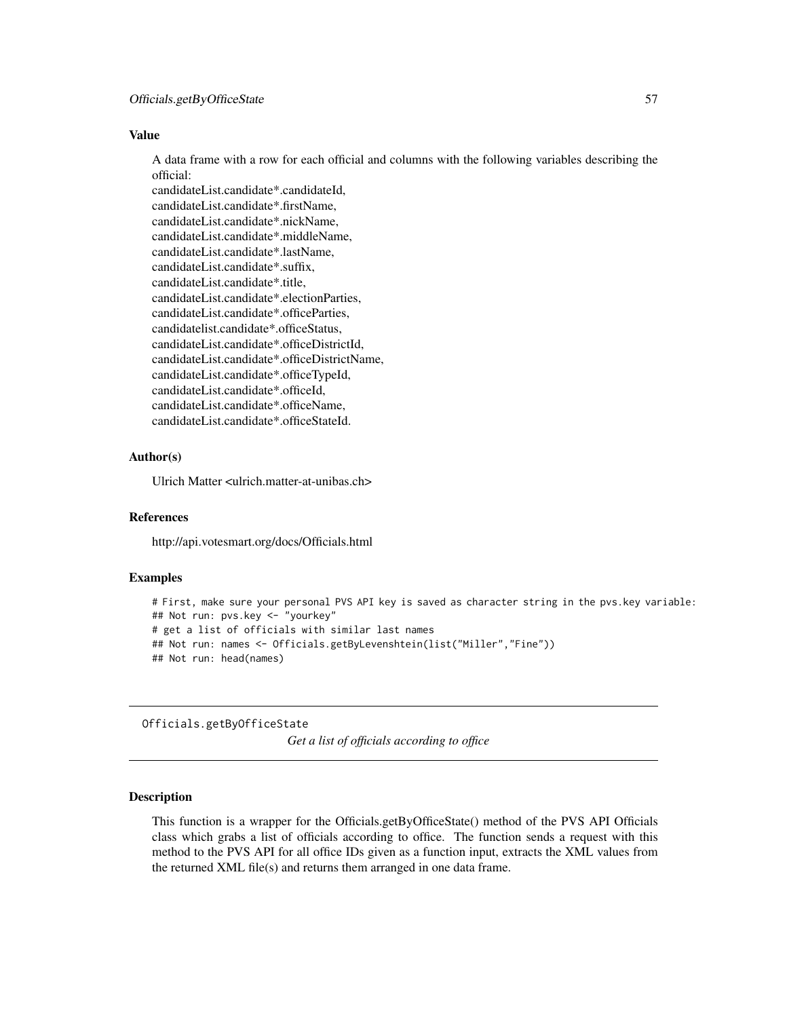# Value

A data frame with a row for each official and columns with the following variables describing the official:

candidateList.candidate\*.candidateId, candidateList.candidate\*.firstName, candidateList.candidate\*.nickName, candidateList.candidate\*.middleName, candidateList.candidate\*.lastName, candidateList.candidate\*.suffix, candidateList.candidate\*.title, candidateList.candidate\*.electionParties, candidateList.candidate\*.officeParties, candidatelist.candidate\*.officeStatus, candidateList.candidate\*.officeDistrictId, candidateList.candidate\*.officeDistrictName, candidateList.candidate\*.officeTypeId, candidateList.candidate\*.officeId, candidateList.candidate\*.officeName, candidateList.candidate\*.officeStateId.

# Author(s)

Ulrich Matter <ulrich.matter-at-unibas.ch>

# References

http://api.votesmart.org/docs/Officials.html

## Examples

```
# First, make sure your personal PVS API key is saved as character string in the pvs.key variable:
## Not run: pvs.key <- "yourkey"
# get a list of officials with similar last names
## Not run: names <- Officials.getByLevenshtein(list("Miller","Fine"))
## Not run: head(names)
```
Officials.getByOfficeState

*Get a list of officials according to office*

#### Description

This function is a wrapper for the Officials.getByOfficeState() method of the PVS API Officials class which grabs a list of officials according to office. The function sends a request with this method to the PVS API for all office IDs given as a function input, extracts the XML values from the returned XML file(s) and returns them arranged in one data frame.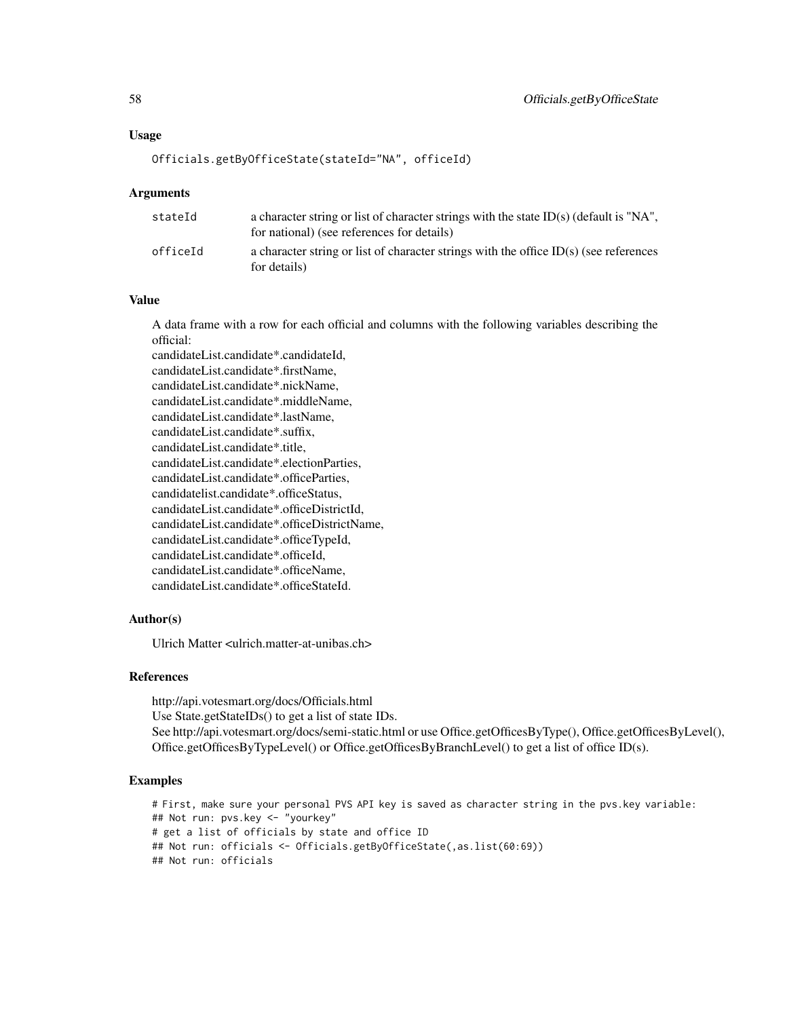#### Officials.getByOfficeState(stateId="NA", officeId)

#### Arguments

| stateId  | a character string or list of character strings with the state $ID(s)$ (default is "NA",<br>for national) (see references for details) |
|----------|----------------------------------------------------------------------------------------------------------------------------------------|
| officeId | a character string or list of character strings with the office $ID(s)$ (see references<br>for details)                                |

#### Value

A data frame with a row for each official and columns with the following variables describing the official:

candidateList.candidate\*.candidateId, candidateList.candidate\*.firstName, candidateList.candidate\*.nickName, candidateList.candidate\*.middleName, candidateList.candidate\*.lastName, candidateList.candidate\*.suffix, candidateList.candidate\*.title, candidateList.candidate\*.electionParties, candidateList.candidate\*.officeParties, candidatelist.candidate\*.officeStatus, candidateList.candidate\*.officeDistrictId, candidateList.candidate\*.officeDistrictName, candidateList.candidate\*.officeTypeId, candidateList.candidate\*.officeId, candidateList.candidate\*.officeName, candidateList.candidate\*.officeStateId.

# Author(s)

Ulrich Matter <ulrich.matter-at-unibas.ch>

## References

http://api.votesmart.org/docs/Officials.html Use State.getStateIDs() to get a list of state IDs. See http://api.votesmart.org/docs/semi-static.html or use Office.getOfficesByType(), Office.getOfficesByLevel(), Office.getOfficesByTypeLevel() or Office.getOfficesByBranchLevel() to get a list of office ID(s).

#### Examples

```
# First, make sure your personal PVS API key is saved as character string in the pvs.key variable:
## Not run: pvs.key <- "yourkey"
# get a list of officials by state and office ID
## Not run: officials <- Officials.getByOfficeState(,as.list(60:69))
## Not run: officials
```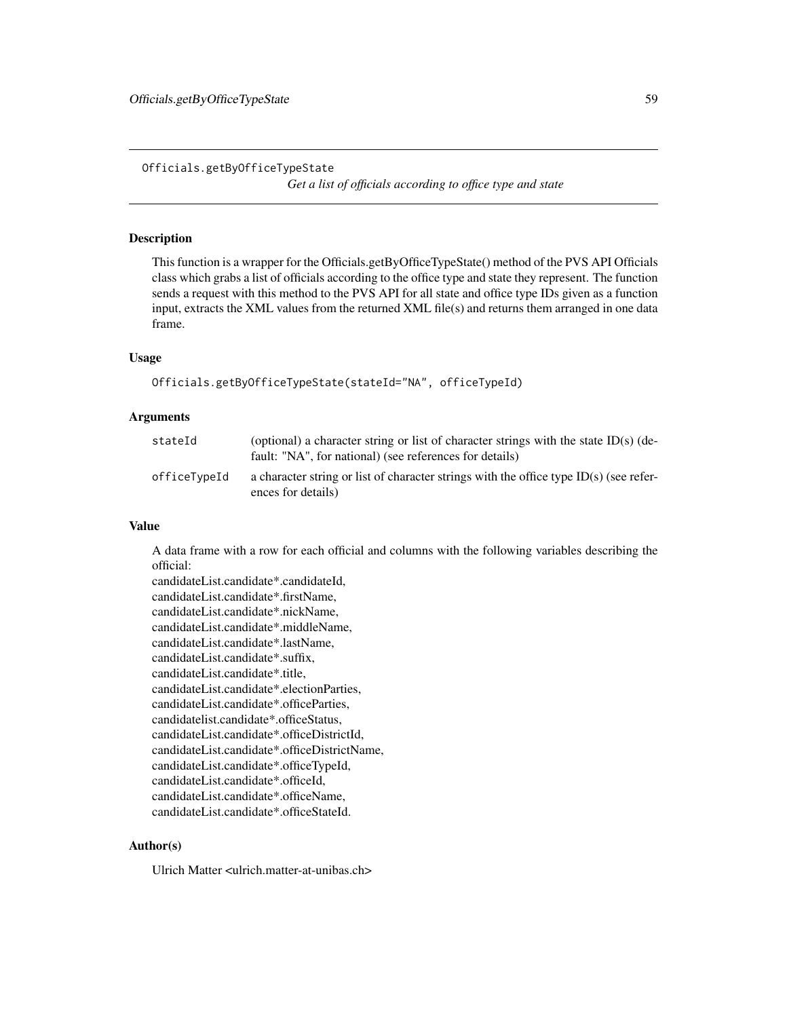Officials.getByOfficeTypeState *Get a list of officials according to office type and state*

## **Description**

This function is a wrapper for the Officials.getByOfficeTypeState() method of the PVS API Officials class which grabs a list of officials according to the office type and state they represent. The function sends a request with this method to the PVS API for all state and office type IDs given as a function input, extracts the XML values from the returned XML file(s) and returns them arranged in one data frame.

## Usage

```
Officials.getByOfficeTypeState(stateId="NA", officeTypeId)
```
## Arguments

| stateId      | (optional) a character string or list of character strings with the state ID(s) (de-<br>fault: "NA", for national) (see references for details) |
|--------------|-------------------------------------------------------------------------------------------------------------------------------------------------|
| officeTvpeId | a character string or list of character strings with the office type $ID(s)$ (see refer-<br>ences for details)                                  |

#### Value

A data frame with a row for each official and columns with the following variables describing the official:

candidateList.candidate\*.candidateId, candidateList.candidate\*.firstName, candidateList.candidate\*.nickName, candidateList.candidate\*.middleName, candidateList.candidate\*.lastName, candidateList.candidate\*.suffix, candidateList.candidate\*.title, candidateList.candidate\*.electionParties, candidateList.candidate\*.officeParties, candidatelist.candidate\*.officeStatus, candidateList.candidate\*.officeDistrictId, candidateList.candidate\*.officeDistrictName, candidateList.candidate\*.officeTypeId, candidateList.candidate\*.officeId, candidateList.candidate\*.officeName, candidateList.candidate\*.officeStateId.

# Author(s)

Ulrich Matter <ulrich.matter-at-unibas.ch>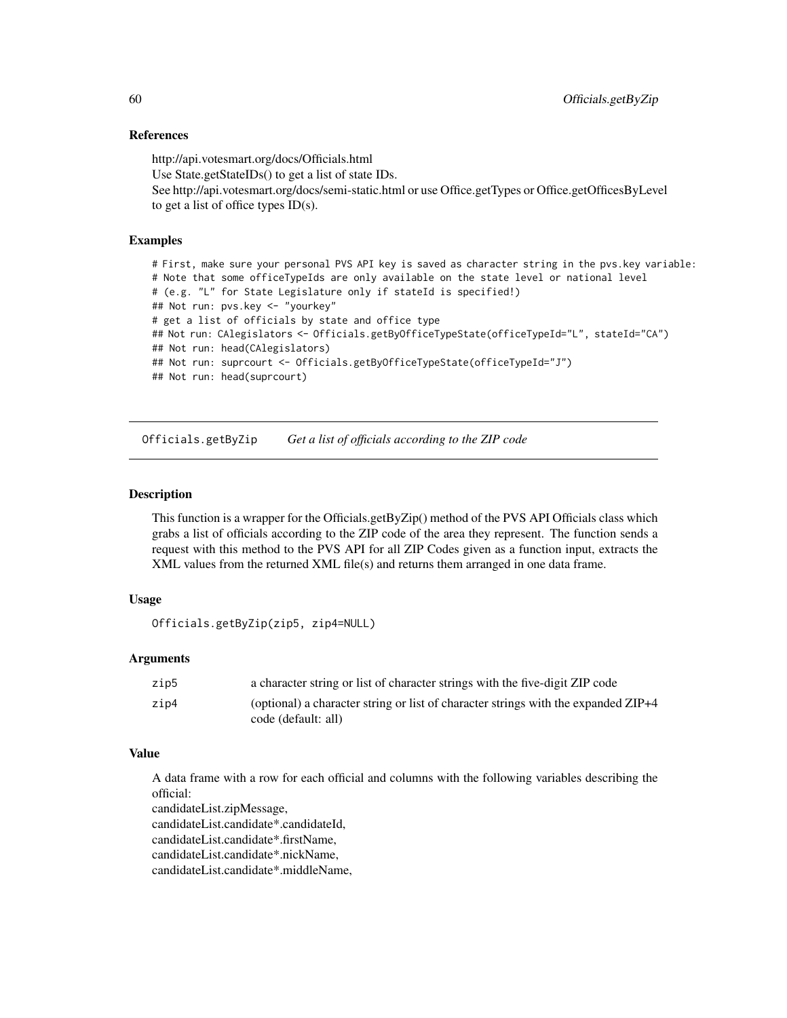## References

http://api.votesmart.org/docs/Officials.html Use State.getStateIDs() to get a list of state IDs. See http://api.votesmart.org/docs/semi-static.html or use Office.getTypes or Office.getOfficesByLevel to get a list of office types  $ID(s)$ .

# Examples

# First, make sure your personal PVS API key is saved as character string in the pvs.key variable: # Note that some officeTypeIds are only available on the state level or national level # (e.g. "L" for State Legislature only if stateId is specified!) ## Not run: pvs.key <- "yourkey" # get a list of officials by state and office type ## Not run: CAlegislators <- Officials.getByOfficeTypeState(officeTypeId="L", stateId="CA") ## Not run: head(CAlegislators) ## Not run: suprcourt <- Officials.getByOfficeTypeState(officeTypeId="J") ## Not run: head(suprcourt)

Officials.getByZip *Get a list of officials according to the ZIP code*

## Description

This function is a wrapper for the Officials.getByZip() method of the PVS API Officials class which grabs a list of officials according to the ZIP code of the area they represent. The function sends a request with this method to the PVS API for all ZIP Codes given as a function input, extracts the XML values from the returned XML file(s) and returns them arranged in one data frame.

## Usage

Officials.getByZip(zip5, zip4=NULL)

## Arguments

| zip5 | a character string or list of character strings with the five-digit ZIP code       |
|------|------------------------------------------------------------------------------------|
| zip4 | (optional) a character string or list of character strings with the expanded ZIP+4 |
|      | code (default: all)                                                                |

#### Value

A data frame with a row for each official and columns with the following variables describing the official:

candidateList.zipMessage, candidateList.candidate\*.candidateId, candidateList.candidate\*.firstName, candidateList.candidate\*.nickName,

candidateList.candidate\*.middleName,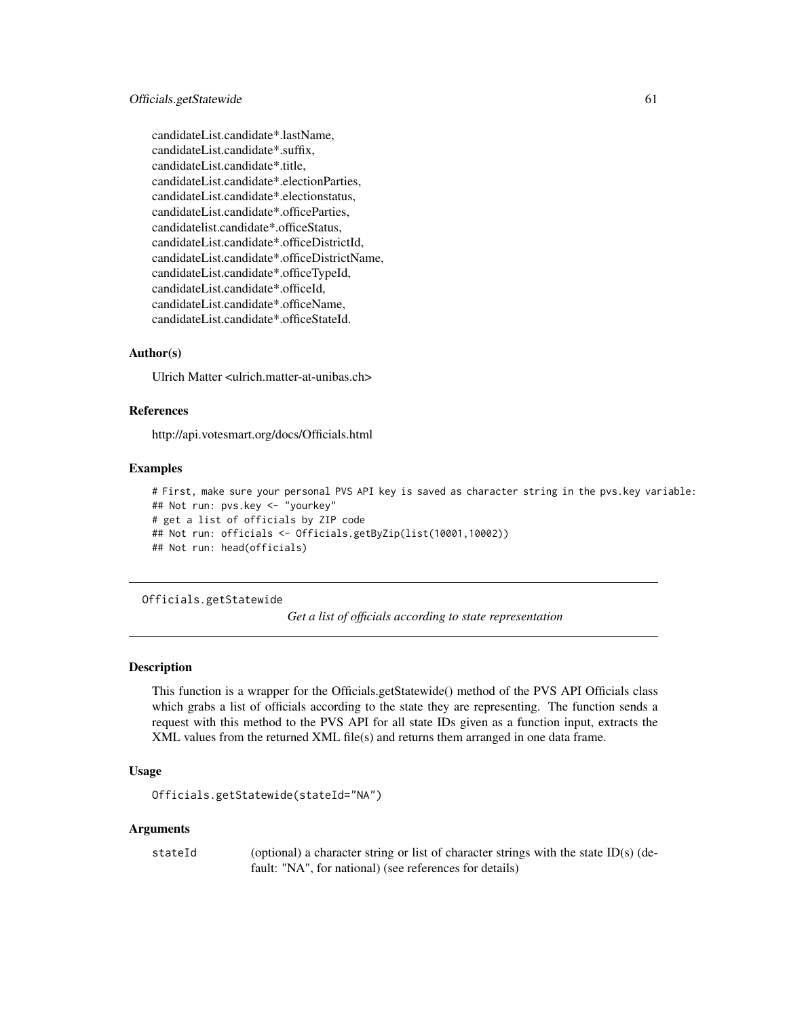candidateList.candidate\*.lastName, candidateList.candidate\*.suffix, candidateList.candidate\*.title, candidateList.candidate\*.electionParties, candidateList.candidate\*.electionstatus, candidateList.candidate\*.officeParties, candidatelist.candidate\*.officeStatus, candidateList.candidate\*.officeDistrictId, candidateList.candidate\*.officeDistrictName, candidateList.candidate\*.officeTypeId, candidateList.candidate\*.officeId, candidateList.candidate\*.officeName, candidateList.candidate\*.officeStateId.

# Author(s)

Ulrich Matter <ulrich.matter-at-unibas.ch>

## References

http://api.votesmart.org/docs/Officials.html

#### Examples

```
# First, make sure your personal PVS API key is saved as character string in the pvs.key variable:
## Not run: pvs.key <- "yourkey"
# get a list of officials by ZIP code
## Not run: officials <- Officials.getByZip(list(10001,10002))
## Not run: head(officials)
```
Officials.getStatewide

*Get a list of officials according to state representation*

## Description

This function is a wrapper for the Officials.getStatewide() method of the PVS API Officials class which grabs a list of officials according to the state they are representing. The function sends a request with this method to the PVS API for all state IDs given as a function input, extracts the XML values from the returned XML file(s) and returns them arranged in one data frame.

# Usage

```
Officials.getStatewide(stateId="NA")
```
# **Arguments**

| stateId | (optional) a character string or list of character strings with the state ID(s) (de- |
|---------|--------------------------------------------------------------------------------------|
|         | fault: "NA", for national) (see references for details)                              |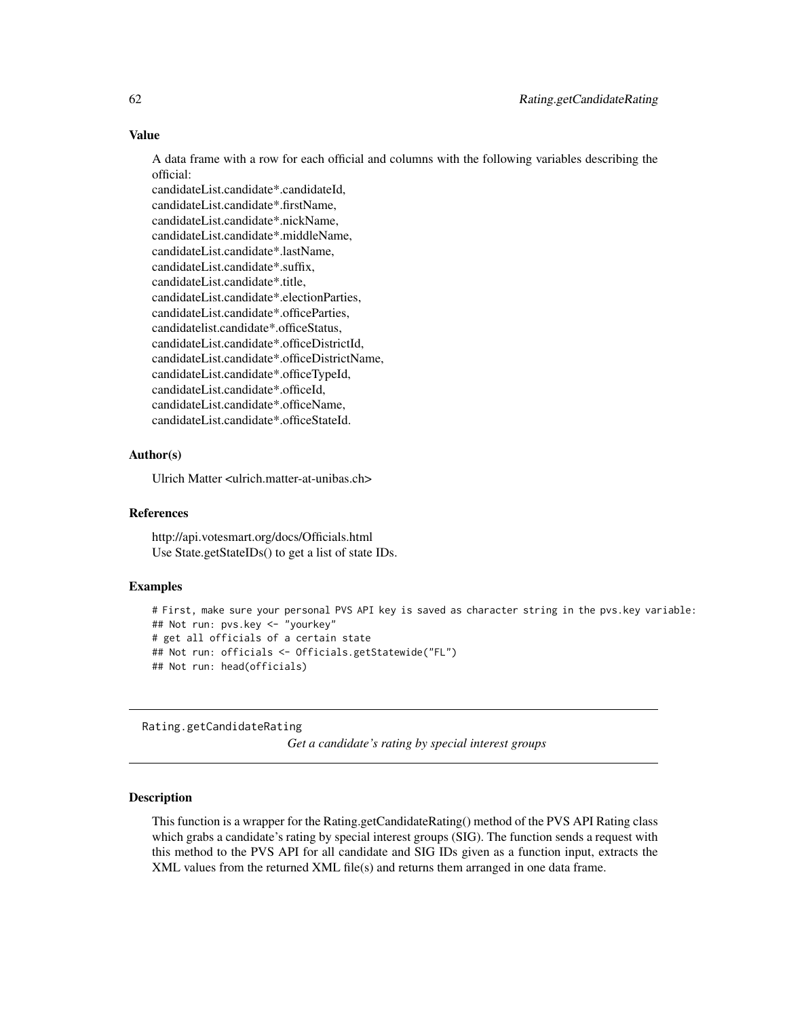# Value

A data frame with a row for each official and columns with the following variables describing the official:

candidateList.candidate\*.candidateId, candidateList.candidate\*.firstName, candidateList.candidate\*.nickName, candidateList.candidate\*.middleName, candidateList.candidate\*.lastName, candidateList.candidate\*.suffix, candidateList.candidate\*.title, candidateList.candidate\*.electionParties, candidateList.candidate\*.officeParties, candidatelist.candidate\*.officeStatus, candidateList.candidate\*.officeDistrictId, candidateList.candidate\*.officeDistrictName, candidateList.candidate\*.officeTypeId, candidateList.candidate\*.officeId, candidateList.candidate\*.officeName, candidateList.candidate\*.officeStateId.

# Author(s)

Ulrich Matter <ulrich.matter-at-unibas.ch>

## References

http://api.votesmart.org/docs/Officials.html Use State.getStateIDs() to get a list of state IDs.

# Examples

```
# First, make sure your personal PVS API key is saved as character string in the pvs.key variable:
## Not run: pvs.key <- "yourkey"
# get all officials of a certain state
## Not run: officials <- Officials.getStatewide("FL")
## Not run: head(officials)
```
Rating.getCandidateRating

*Get a candidate's rating by special interest groups*

## Description

This function is a wrapper for the Rating.getCandidateRating() method of the PVS API Rating class which grabs a candidate's rating by special interest groups (SIG). The function sends a request with this method to the PVS API for all candidate and SIG IDs given as a function input, extracts the XML values from the returned XML file(s) and returns them arranged in one data frame.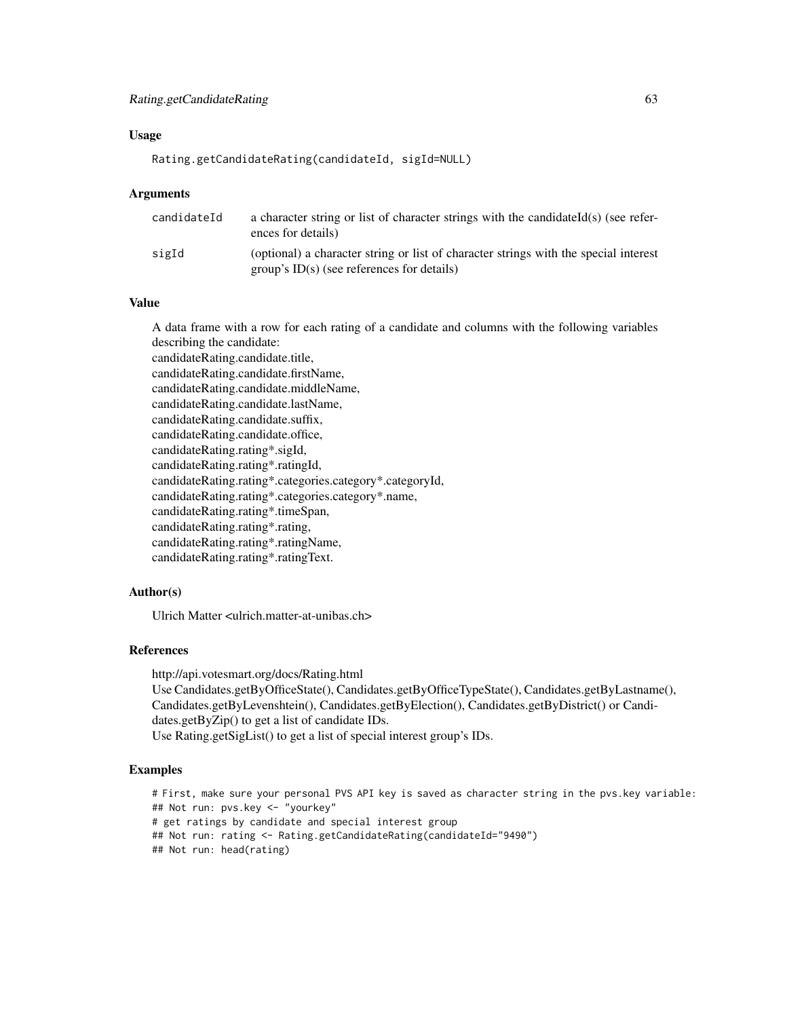#### Usage

```
Rating.getCandidateRating(candidateId, sigId=NULL)
```
#### Arguments

| candidateId | a character string or list of character strings with the candidateId(s) (see refer-<br>ences for details)                            |
|-------------|--------------------------------------------------------------------------------------------------------------------------------------|
| sigId       | (optional) a character string or list of character strings with the special interest<br>group's $ID(s)$ (see references for details) |

# Value

A data frame with a row for each rating of a candidate and columns with the following variables describing the candidate:

candidateRating.candidate.title, candidateRating.candidate.firstName, candidateRating.candidate.middleName, candidateRating.candidate.lastName, candidateRating.candidate.suffix, candidateRating.candidate.office, candidateRating.rating\*.sigId, candidateRating.rating\*.ratingId, candidateRating.rating\*.categories.category\*.categoryId, candidateRating.rating\*.categories.category\*.name, candidateRating.rating\*.timeSpan, candidateRating.rating\*.rating, candidateRating.rating\*.ratingName, candidateRating.rating\*.ratingText.

# Author(s)

Ulrich Matter <ulrich.matter-at-unibas.ch>

# References

http://api.votesmart.org/docs/Rating.html

Use Candidates.getByOfficeState(), Candidates.getByOfficeTypeState(), Candidates.getByLastname(), Candidates.getByLevenshtein(), Candidates.getByElection(), Candidates.getByDistrict() or Candidates.getByZip() to get a list of candidate IDs. Use Rating.getSigList() to get a list of special interest group's IDs.

# **Examples**

# First, make sure your personal PVS API key is saved as character string in the pvs.key variable: ## Not run: pvs.key <- "yourkey" # get ratings by candidate and special interest group ## Not run: rating <- Rating.getCandidateRating(candidateId="9490") ## Not run: head(rating)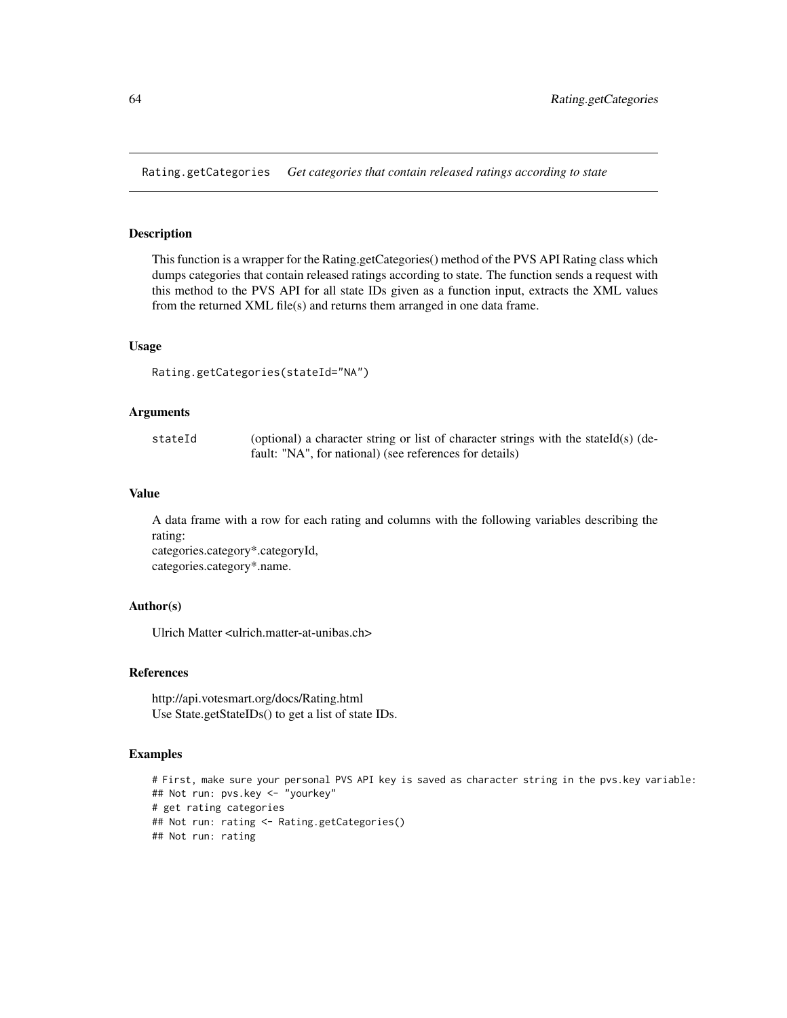Rating.getCategories *Get categories that contain released ratings according to state*

# Description

This function is a wrapper for the Rating.getCategories() method of the PVS API Rating class which dumps categories that contain released ratings according to state. The function sends a request with this method to the PVS API for all state IDs given as a function input, extracts the XML values from the returned XML file(s) and returns them arranged in one data frame.

## Usage

```
Rating.getCategories(stateId="NA")
```
#### Arguments

| stateId | (optional) a character string or list of character strings with the stateId(s) (de- |
|---------|-------------------------------------------------------------------------------------|
|         | fault: "NA", for national) (see references for details)                             |

## Value

A data frame with a row for each rating and columns with the following variables describing the rating: categories.category\*.categoryId,

categories.category\*.name.

## Author(s)

Ulrich Matter <ulrich.matter-at-unibas.ch>

## References

http://api.votesmart.org/docs/Rating.html Use State.getStateIDs() to get a list of state IDs.

# Examples

```
# First, make sure your personal PVS API key is saved as character string in the pvs.key variable:
## Not run: pvs.key <- "yourkey"
# get rating categories
## Not run: rating <- Rating.getCategories()
## Not run: rating
```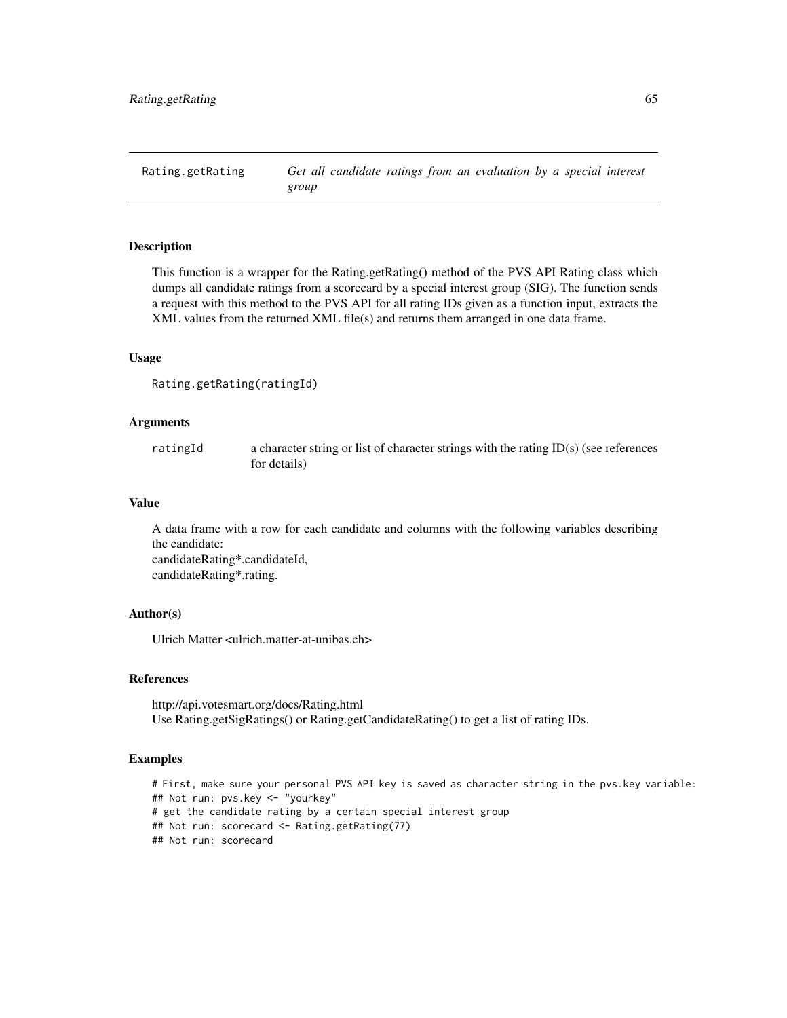Rating.getRating *Get all candidate ratings from an evaluation by a special interest group*

## Description

This function is a wrapper for the Rating.getRating() method of the PVS API Rating class which dumps all candidate ratings from a scorecard by a special interest group (SIG). The function sends a request with this method to the PVS API for all rating IDs given as a function input, extracts the XML values from the returned XML file(s) and returns them arranged in one data frame.

#### Usage

```
Rating.getRating(ratingId)
```
# Arguments

ratingId a character string or list of character strings with the rating ID(s) (see references for details)

# Value

A data frame with a row for each candidate and columns with the following variables describing the candidate: candidateRating\*.candidateId, candidateRating\*.rating.

## Author(s)

Ulrich Matter <ulrich.matter-at-unibas.ch>

# References

http://api.votesmart.org/docs/Rating.html Use Rating.getSigRatings() or Rating.getCandidateRating() to get a list of rating IDs.

## Examples

```
# First, make sure your personal PVS API key is saved as character string in the pvs.key variable:
## Not run: pvs.key <- "yourkey"
# get the candidate rating by a certain special interest group
## Not run: scorecard <- Rating.getRating(77)
## Not run: scorecard
```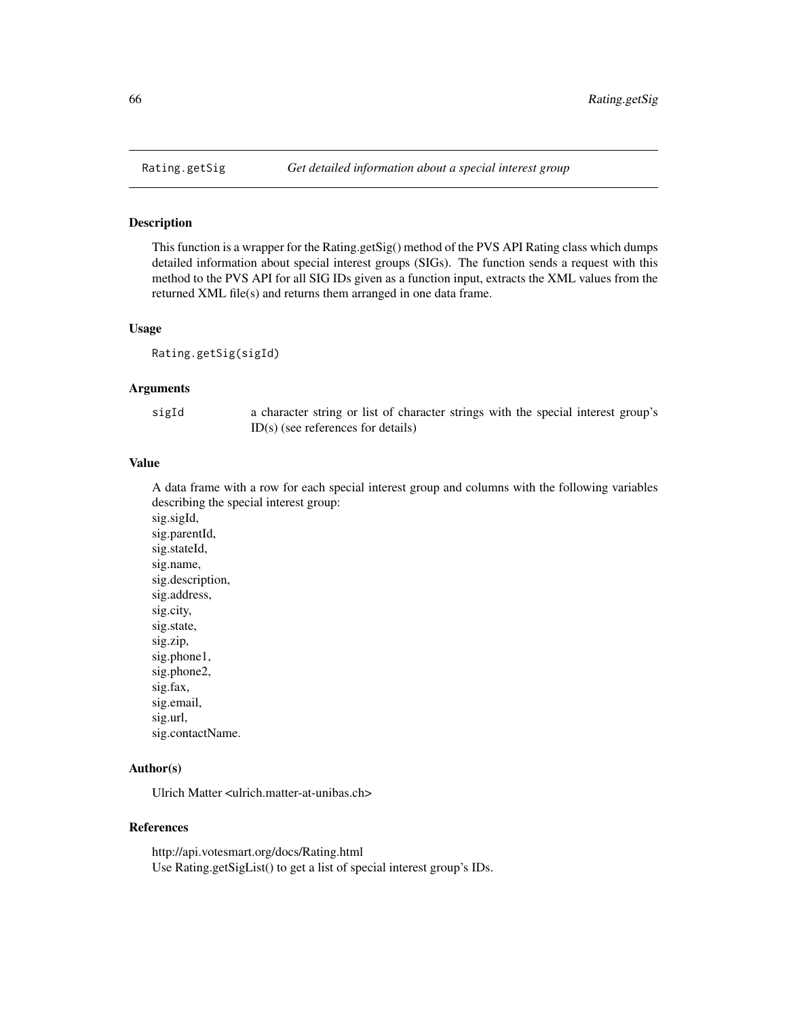## Description

This function is a wrapper for the Rating.getSig() method of the PVS API Rating class which dumps detailed information about special interest groups (SIGs). The function sends a request with this method to the PVS API for all SIG IDs given as a function input, extracts the XML values from the returned XML file(s) and returns them arranged in one data frame.

#### Usage

Rating.getSig(sigId)

# Arguments

sigId a character string or list of character strings with the special interest group's ID(s) (see references for details)

## Value

A data frame with a row for each special interest group and columns with the following variables describing the special interest group:

sig.sigId, sig.parentId, sig.stateId, sig.name, sig.description, sig.address, sig.city, sig.state, sig.zip, sig.phone1, sig.phone2, sig.fax, sig.email, sig.url, sig.contactName.

# Author(s)

Ulrich Matter <ulrich.matter-at-unibas.ch>

#### References

http://api.votesmart.org/docs/Rating.html Use Rating.getSigList() to get a list of special interest group's IDs.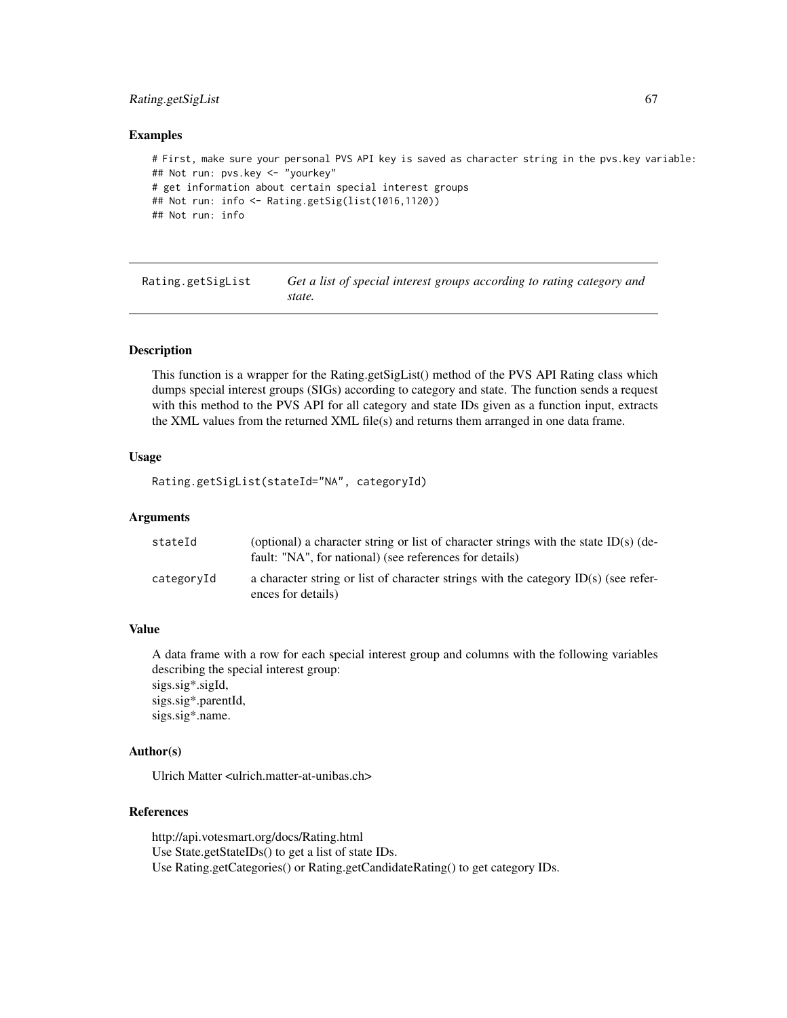# Rating.getSigList 67

#### Examples

```
# First, make sure your personal PVS API key is saved as character string in the pvs.key variable:
## Not run: pvs.key <- "yourkey"
# get information about certain special interest groups
## Not run: info <- Rating.getSig(list(1016,1120))
## Not run: info
```
Rating.getSigList *Get a list of special interest groups according to rating category and state.*

#### Description

This function is a wrapper for the Rating.getSigList() method of the PVS API Rating class which dumps special interest groups (SIGs) according to category and state. The function sends a request with this method to the PVS API for all category and state IDs given as a function input, extracts the XML values from the returned XML file(s) and returns them arranged in one data frame.

#### Usage

```
Rating.getSigList(stateId="NA", categoryId)
```
#### Arguments

| stateId    | (optional) a character string or list of character strings with the state ID(s) (de-<br>fault: "NA", for national) (see references for details) |
|------------|-------------------------------------------------------------------------------------------------------------------------------------------------|
| categoryId | a character string or list of character strings with the category $ID(s)$ (see refer-<br>ences for details)                                     |

# Value

A data frame with a row for each special interest group and columns with the following variables describing the special interest group: sigs.sig\*.sigId, sigs.sig\*.parentId, sigs.sig\*.name.

# Author(s)

Ulrich Matter <ulrich.matter-at-unibas.ch>

# References

http://api.votesmart.org/docs/Rating.html Use State.getStateIDs() to get a list of state IDs. Use Rating.getCategories() or Rating.getCandidateRating() to get category IDs.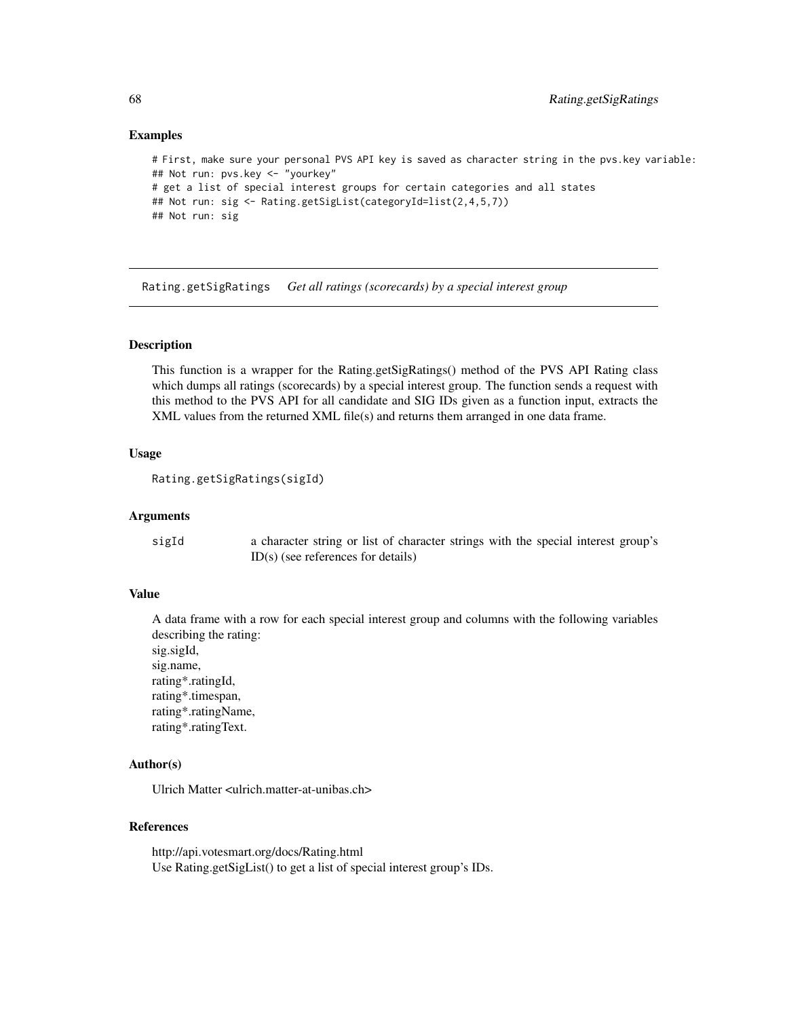## Examples

```
# First, make sure your personal PVS API key is saved as character string in the pvs.key variable:
## Not run: pvs.key <- "yourkey"
# get a list of special interest groups for certain categories and all states
## Not run: sig <- Rating.getSigList(categoryId=list(2,4,5,7))
## Not run: sig
```
Rating.getSigRatings *Get all ratings (scorecards) by a special interest group*

## Description

This function is a wrapper for the Rating.getSigRatings() method of the PVS API Rating class which dumps all ratings (scorecards) by a special interest group. The function sends a request with this method to the PVS API for all candidate and SIG IDs given as a function input, extracts the XML values from the returned XML file(s) and returns them arranged in one data frame.

#### Usage

```
Rating.getSigRatings(sigId)
```
# Arguments

| sigId | a character string or list of character strings with the special interest group's |
|-------|-----------------------------------------------------------------------------------|
|       | $ID(s)$ (see references for details)                                              |

# Value

A data frame with a row for each special interest group and columns with the following variables describing the rating:

sig.sigId, sig.name, rating\*.ratingId, rating\*.timespan, rating\*.ratingName, rating\*.ratingText.

# Author(s)

Ulrich Matter <ulrich.matter-at-unibas.ch>

# References

http://api.votesmart.org/docs/Rating.html Use Rating.getSigList() to get a list of special interest group's IDs.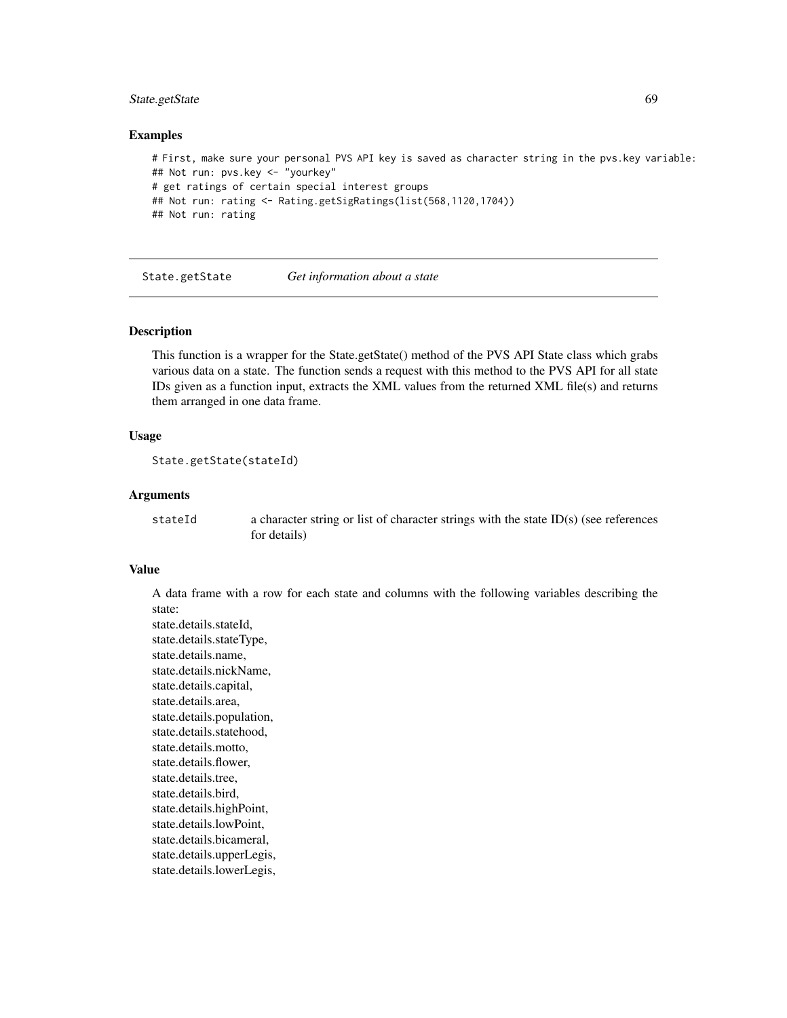# State.getState 69

#### Examples

```
# First, make sure your personal PVS API key is saved as character string in the pvs.key variable:
## Not run: pvs.key <- "yourkey"
# get ratings of certain special interest groups
## Not run: rating <- Rating.getSigRatings(list(568,1120,1704))
## Not run: rating
```
State.getState *Get information about a state*

#### **Description**

This function is a wrapper for the State.getState() method of the PVS API State class which grabs various data on a state. The function sends a request with this method to the PVS API for all state IDs given as a function input, extracts the XML values from the returned XML file(s) and returns them arranged in one data frame.

#### Usage

```
State.getState(stateId)
```
### Arguments

```
stateId a character string or list of character strings with the state ID(s) (see references
                  for details)
```
#### Value

A data frame with a row for each state and columns with the following variables describing the state:

state.details.stateId, state.details.stateType, state.details.name, state.details.nickName, state.details.capital, state.details.area, state.details.population, state.details.statehood, state.details.motto, state.details.flower, state.details.tree, state.details.bird, state.details.highPoint, state.details.lowPoint, state.details.bicameral, state.details.upperLegis, state.details.lowerLegis,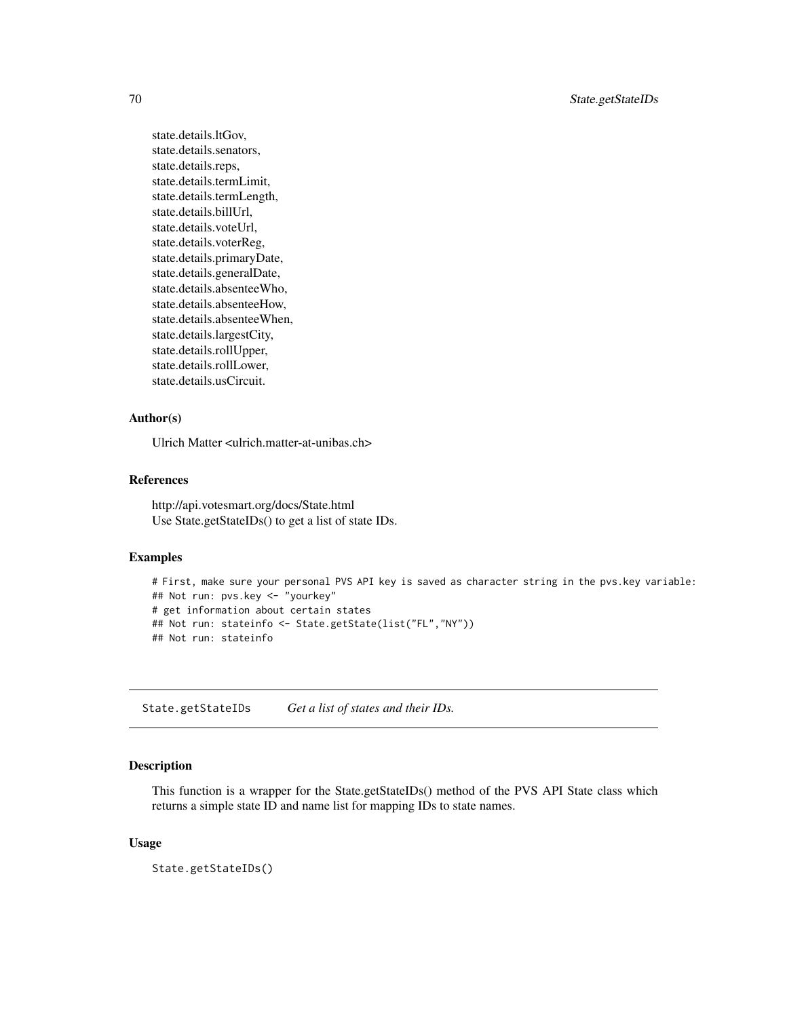70 State.getStateIDs

state.details.ltGov, state.details.senators, state.details.reps, state.details.termLimit, state.details.termLength, state.details.billUrl, state.details.voteUrl, state.details.voterReg, state.details.primaryDate, state.details.generalDate, state.details.absenteeWho, state.details.absenteeHow, state.details.absenteeWhen, state.details.largestCity, state.details.rollUpper, state.details.rollLower, state.details.usCircuit.

# Author(s)

Ulrich Matter <ulrich.matter-at-unibas.ch>

# References

http://api.votesmart.org/docs/State.html Use State.getStateIDs() to get a list of state IDs.

# Examples

```
# First, make sure your personal PVS API key is saved as character string in the pvs.key variable:
## Not run: pvs.key <- "yourkey"
# get information about certain states
## Not run: stateinfo <- State.getState(list("FL","NY"))
## Not run: stateinfo
```
State.getStateIDs *Get a list of states and their IDs.*

# Description

This function is a wrapper for the State.getStateIDs() method of the PVS API State class which returns a simple state ID and name list for mapping IDs to state names.

# Usage

State.getStateIDs()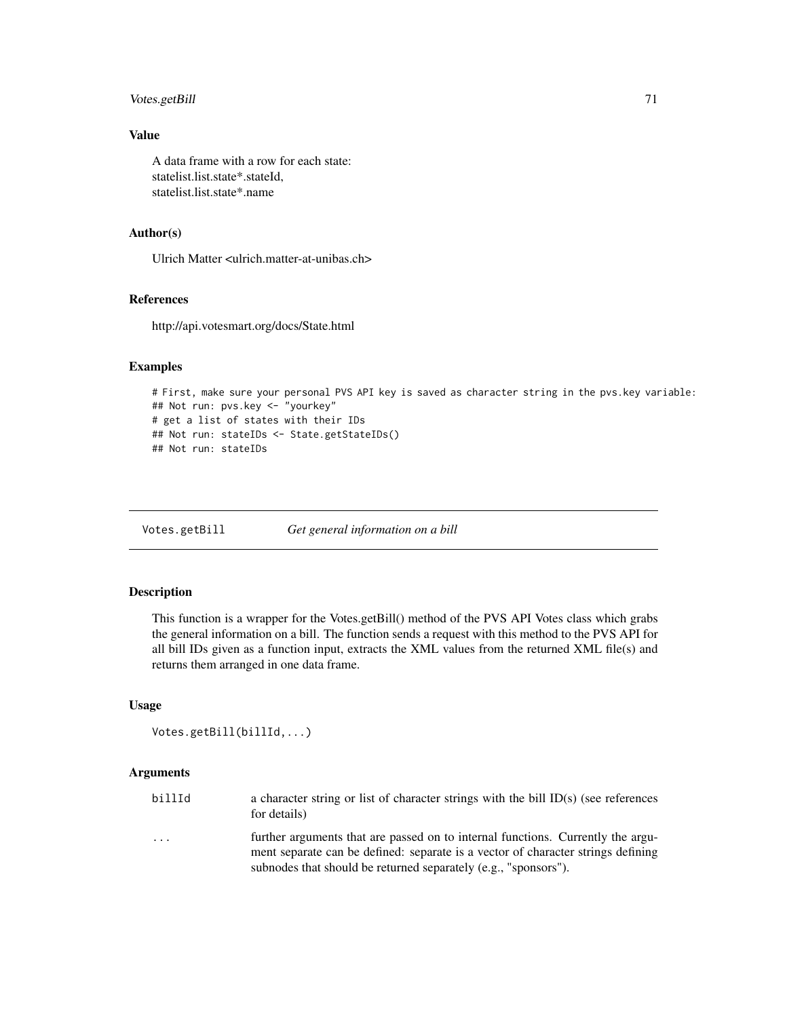# Votes.getBill 71

# Value

A data frame with a row for each state: statelist.list.state\*.stateId, statelist.list.state\*.name

# Author(s)

Ulrich Matter <ulrich.matter-at-unibas.ch>

# References

http://api.votesmart.org/docs/State.html

# Examples

```
# First, make sure your personal PVS API key is saved as character string in the pvs.key variable:
## Not run: pvs.key <- "yourkey"
# get a list of states with their IDs
## Not run: stateIDs <- State.getStateIDs()
## Not run: stateIDs
```
Votes.getBill *Get general information on a bill*

# Description

This function is a wrapper for the Votes.getBill() method of the PVS API Votes class which grabs the general information on a bill. The function sends a request with this method to the PVS API for all bill IDs given as a function input, extracts the XML values from the returned XML file(s) and returns them arranged in one data frame.

## Usage

```
Votes.getBill(billId,...)
```
# Arguments

| billId                  | a character string or list of character strings with the bill ID(s) (see references<br>for details)                                                                                                                                    |
|-------------------------|----------------------------------------------------------------------------------------------------------------------------------------------------------------------------------------------------------------------------------------|
| $\cdot$ $\cdot$ $\cdot$ | further arguments that are passed on to internal functions. Currently the argu-<br>ment separate can be defined: separate is a vector of character strings defining<br>subnodes that should be returned separately (e.g., "sponsors"). |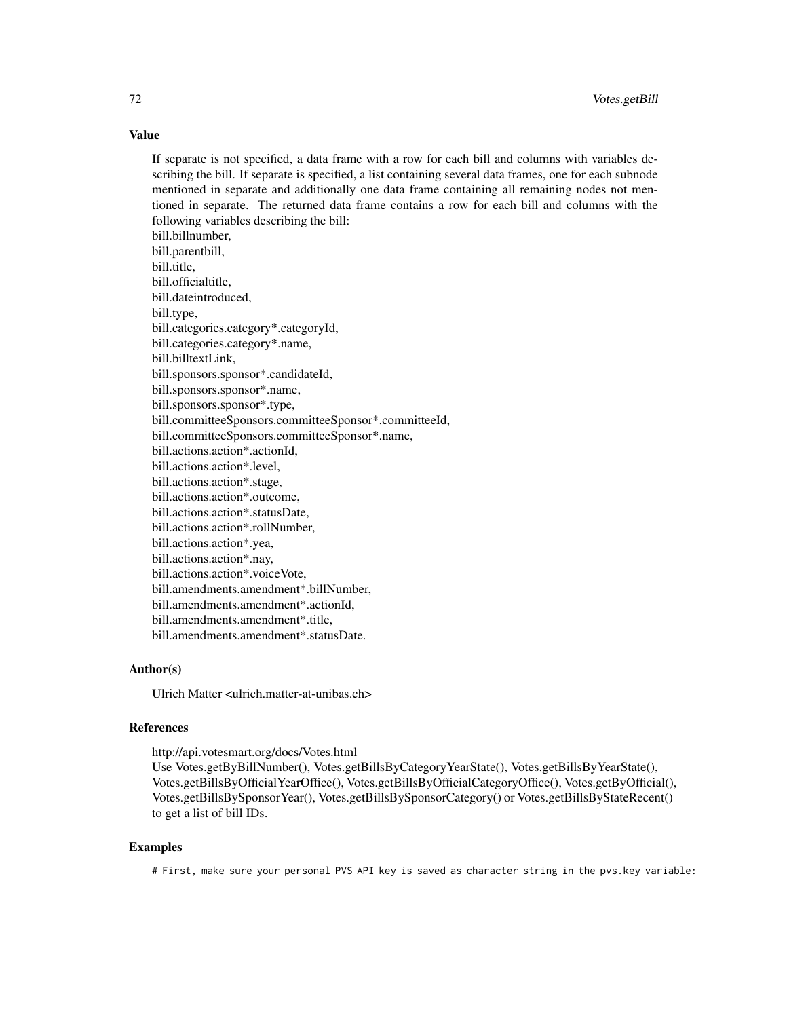# Value

If separate is not specified, a data frame with a row for each bill and columns with variables describing the bill. If separate is specified, a list containing several data frames, one for each subnode mentioned in separate and additionally one data frame containing all remaining nodes not mentioned in separate. The returned data frame contains a row for each bill and columns with the following variables describing the bill:

bill.billnumber, bill.parentbill, bill.title, bill.officialtitle, bill.dateintroduced, bill.type, bill.categories.category\*.categoryId, bill.categories.category\*.name, bill.billtextLink, bill.sponsors.sponsor\*.candidateId, bill.sponsors.sponsor\*.name, bill.sponsors.sponsor\*.type, bill.committeeSponsors.committeeSponsor\*.committeeId, bill.committeeSponsors.committeeSponsor\*.name, bill.actions.action\*.actionId, bill.actions.action\*.level, bill.actions.action\*.stage, bill.actions.action\*.outcome, bill.actions.action\*.statusDate, bill.actions.action\*.rollNumber, bill.actions.action\*.yea, bill.actions.action\*.nay, bill.actions.action\*.voiceVote, bill.amendments.amendment\*.billNumber, bill.amendments.amendment\*.actionId, bill.amendments.amendment\*.title, bill.amendments.amendment\*.statusDate.

#### Author(s)

Ulrich Matter <ulrich.matter-at-unibas.ch>

# References

http://api.votesmart.org/docs/Votes.html Use Votes.getByBillNumber(), Votes.getBillsByCategoryYearState(), Votes.getBillsByYearState(), Votes.getBillsByOfficialYearOffice(), Votes.getBillsByOfficialCategoryOffice(), Votes.getByOfficial(), Votes.getBillsBySponsorYear(), Votes.getBillsBySponsorCategory() or Votes.getBillsByStateRecent() to get a list of bill IDs.

# Examples

# First, make sure your personal PVS API key is saved as character string in the pvs.key variable: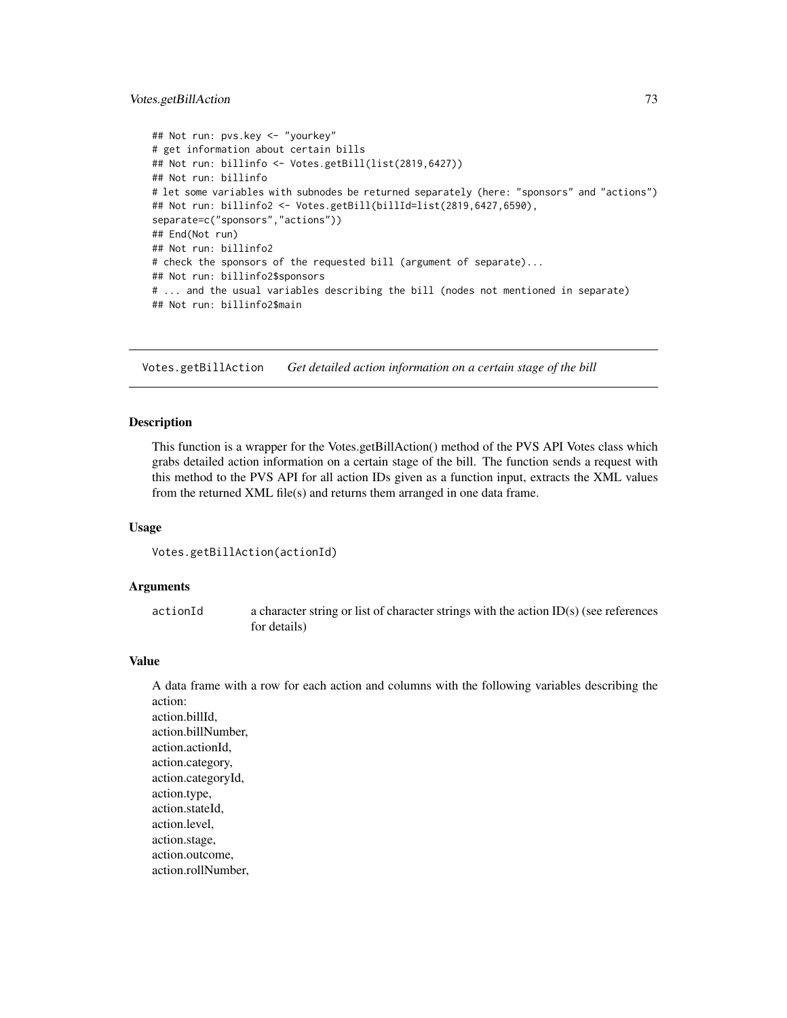# <span id="page-72-0"></span>Votes.getBillAction 73

```
## Not run: pvs.key <- "yourkey"
# get information about certain bills
## Not run: billinfo <- Votes.getBill(list(2819,6427))
## Not run: billinfo
# let some variables with subnodes be returned separately (here: "sponsors" and "actions")
## Not run: billinfo2 <- Votes.getBill(billId=list(2819,6427,6590),
separate=c("sponsors","actions"))
## End(Not run)
## Not run: billinfo2
# check the sponsors of the requested bill (argument of separate)...
## Not run: billinfo2$sponsors
# ... and the usual variables describing the bill (nodes not mentioned in separate)
## Not run: billinfo2$main
```
Votes.getBillAction *Get detailed action information on a certain stage of the bill*

### Description

This function is a wrapper for the Votes.getBillAction() method of the PVS API Votes class which grabs detailed action information on a certain stage of the bill. The function sends a request with this method to the PVS API for all action IDs given as a function input, extracts the XML values from the returned XML file(s) and returns them arranged in one data frame.

#### Usage

```
Votes.getBillAction(actionId)
```
# Arguments

actionId a character string or list of character strings with the action ID(s) (see references for details)

#### Value

A data frame with a row for each action and columns with the following variables describing the action: action.billId, action.billNumber, action.actionId, action.category, action.categoryId, action.type, action.stateId, action.level, action.stage, action.outcome, action.rollNumber,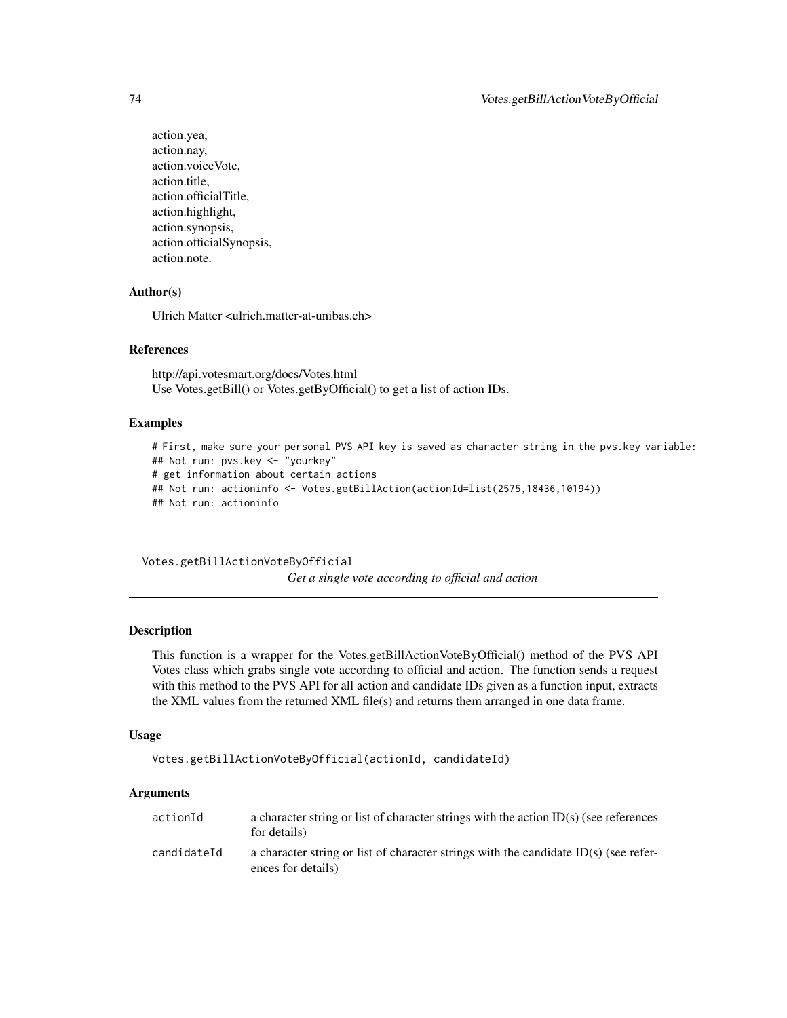```
action.yea,
action.nay,
action.voiceVote,
action.title,
action.officialTitle,
action.highlight,
action.synopsis,
action.officialSynopsis,
action.note.
```
# Author(s)

Ulrich Matter <ulrich.matter-at-unibas.ch>

#### References

http://api.votesmart.org/docs/Votes.html Use Votes.getBill() or Votes.getByOfficial() to get a list of action IDs.

## Examples

```
# First, make sure your personal PVS API key is saved as character string in the pvs.key variable:
## Not run: pvs.key <- "yourkey"
# get information about certain actions
## Not run: actioninfo <- Votes.getBillAction(actionId=list(2575,18436,10194))
## Not run: actioninfo
```
Votes.getBillActionVoteByOfficial

*Get a single vote according to official and action*

#### **Description**

This function is a wrapper for the Votes.getBillActionVoteByOfficial() method of the PVS API Votes class which grabs single vote according to official and action. The function sends a request with this method to the PVS API for all action and candidate IDs given as a function input, extracts the XML values from the returned XML file(s) and returns them arranged in one data frame.

#### Usage

```
Votes.getBillActionVoteByOfficial(actionId, candidateId)
```
#### Arguments

| actionId    | a character string or list of character strings with the action $ID(s)$ (see references<br>for details)      |
|-------------|--------------------------------------------------------------------------------------------------------------|
| candidateId | a character string or list of character strings with the candidate $ID(s)$ (see refer-<br>ences for details) |

<span id="page-73-0"></span>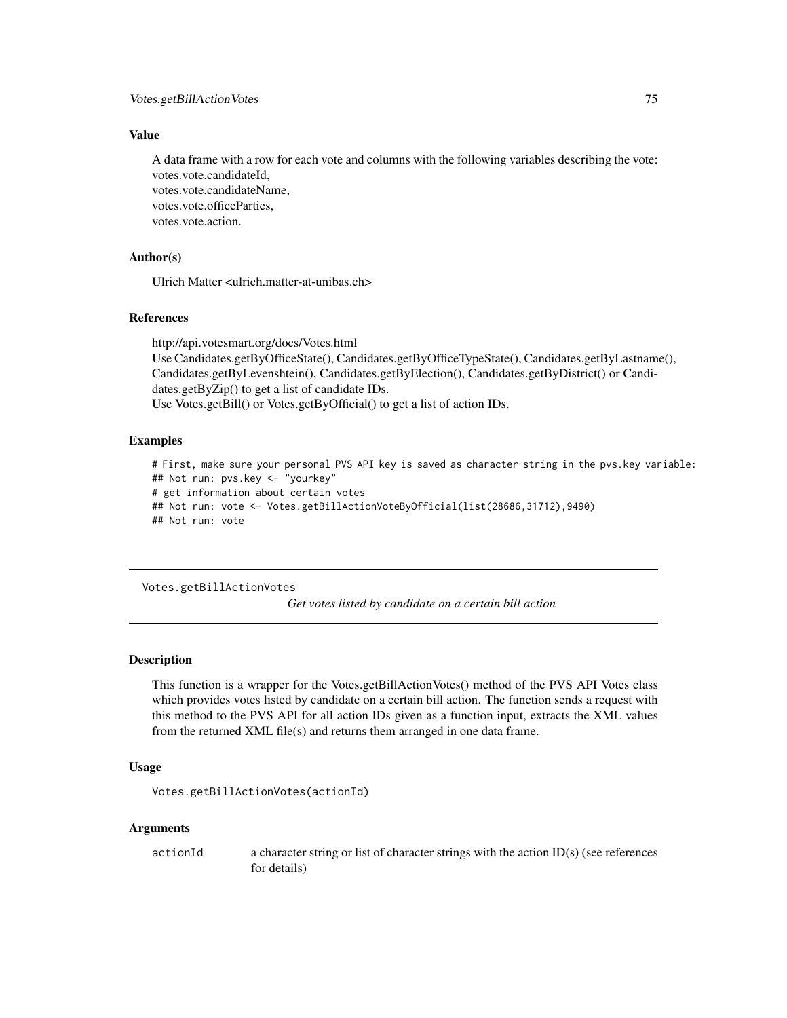<span id="page-74-0"></span>A data frame with a row for each vote and columns with the following variables describing the vote: votes.vote.candidateId, votes.vote.candidateName, votes.vote.officeParties, votes.vote.action.

# Author(s)

Ulrich Matter <ulrich.matter-at-unibas.ch>

## References

http://api.votesmart.org/docs/Votes.html Use Candidates.getByOfficeState(), Candidates.getByOfficeTypeState(), Candidates.getByLastname(), Candidates.getByLevenshtein(), Candidates.getByElection(), Candidates.getByDistrict() or Candidates.getByZip() to get a list of candidate IDs. Use Votes.getBill() or Votes.getByOfficial() to get a list of action IDs.

## Examples

```
# First, make sure your personal PVS API key is saved as character string in the pvs.key variable:
## Not run: pvs.key <- "yourkey"
# get information about certain votes
## Not run: vote <- Votes.getBillActionVoteByOfficial(list(28686,31712),9490)
## Not run: vote
```
Votes.getBillActionVotes

*Get votes listed by candidate on a certain bill action*

# **Description**

This function is a wrapper for the Votes.getBillActionVotes() method of the PVS API Votes class which provides votes listed by candidate on a certain bill action. The function sends a request with this method to the PVS API for all action IDs given as a function input, extracts the XML values from the returned XML file(s) and returns them arranged in one data frame.

# Usage

```
Votes.getBillActionVotes(actionId)
```
# Arguments

actionId a character string or list of character strings with the action ID(s) (see references for details)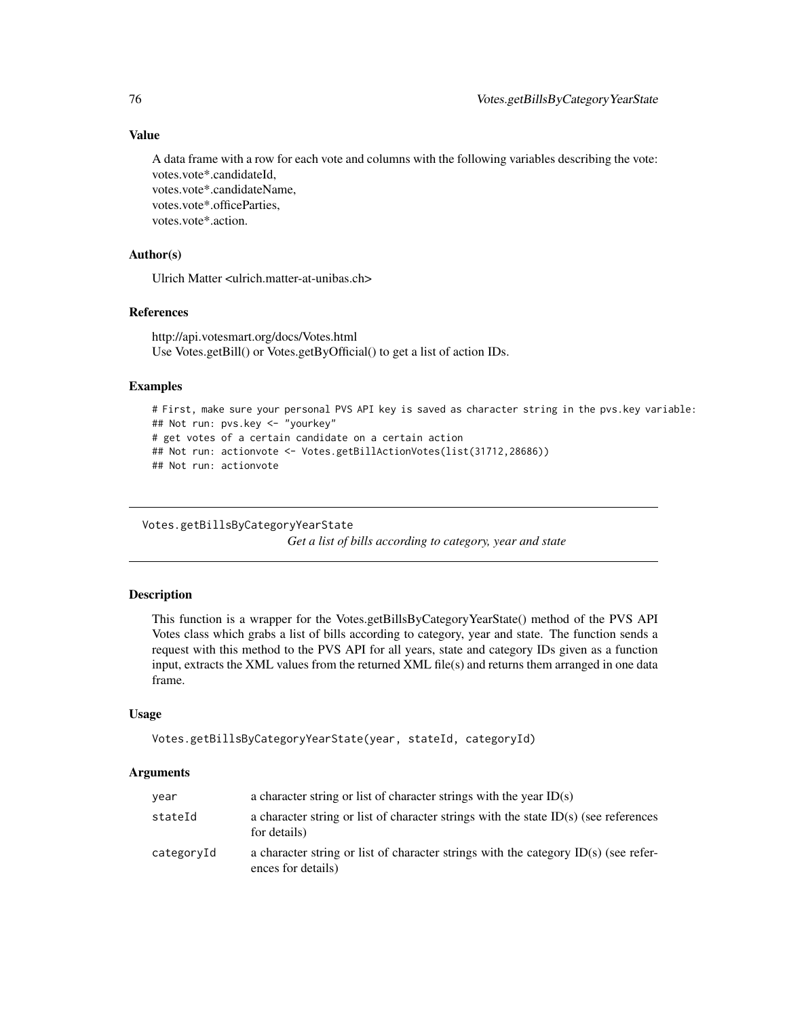A data frame with a row for each vote and columns with the following variables describing the vote: votes.vote\*.candidateId, votes.vote\*.candidateName, votes.vote\*.officeParties,

votes.vote\*.action.

# Author(s)

Ulrich Matter <ulrich.matter-at-unibas.ch>

# References

http://api.votesmart.org/docs/Votes.html Use Votes.getBill() or Votes.getByOfficial() to get a list of action IDs.

# Examples

```
# First, make sure your personal PVS API key is saved as character string in the pvs.key variable:
## Not run: pvs.key <- "yourkey"
# get votes of a certain candidate on a certain action
## Not run: actionvote <- Votes.getBillActionVotes(list(31712,28686))
## Not run: actionvote
```

```
Votes.getBillsByCategoryYearState
```
*Get a list of bills according to category, year and state*

# Description

This function is a wrapper for the Votes.getBillsByCategoryYearState() method of the PVS API Votes class which grabs a list of bills according to category, year and state. The function sends a request with this method to the PVS API for all years, state and category IDs given as a function input, extracts the XML values from the returned XML file(s) and returns them arranged in one data frame.

# Usage

```
Votes.getBillsByCategoryYearState(year, stateId, categoryId)
```
#### Arguments

| year       | a character string or list of character strings with the year $ID(s)$                                       |
|------------|-------------------------------------------------------------------------------------------------------------|
| stateId    | a character string or list of character strings with the state $ID(s)$ (see references<br>for details)      |
| categoryId | a character string or list of character strings with the category $ID(s)$ (see refer-<br>ences for details) |

<span id="page-75-0"></span>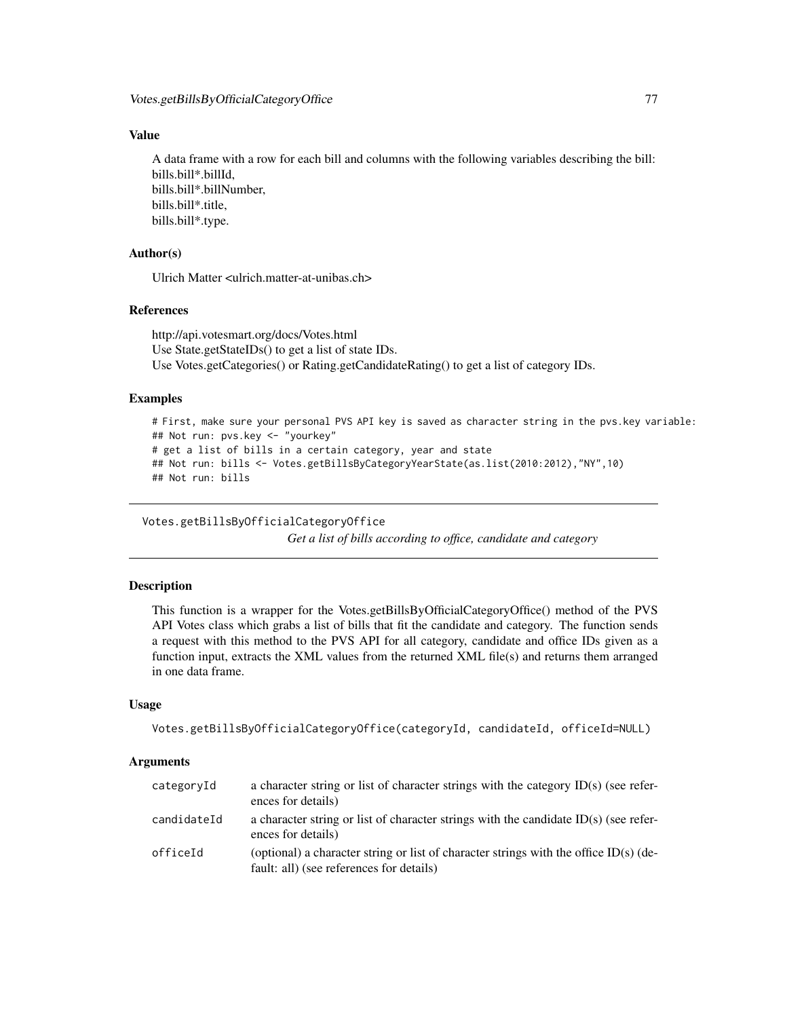<span id="page-76-0"></span>A data frame with a row for each bill and columns with the following variables describing the bill: bills.bill\*.billId, bills.bill\*.billNumber, bills.bill\*.title, bills.bill\*.type.

# Author(s)

Ulrich Matter <ulrich.matter-at-unibas.ch>

# References

http://api.votesmart.org/docs/Votes.html Use State.getStateIDs() to get a list of state IDs. Use Votes.getCategories() or Rating.getCandidateRating() to get a list of category IDs.

## Examples

```
# First, make sure your personal PVS API key is saved as character string in the pvs.key variable:
## Not run: pvs.key <- "yourkey"
# get a list of bills in a certain category, year and state
## Not run: bills <- Votes.getBillsByCategoryYearState(as.list(2010:2012),"NY",10)
## Not run: bills
```
Votes.getBillsByOfficialCategoryOffice

*Get a list of bills according to office, candidate and category*

# **Description**

This function is a wrapper for the Votes.getBillsByOfficialCategoryOffice() method of the PVS API Votes class which grabs a list of bills that fit the candidate and category. The function sends a request with this method to the PVS API for all category, candidate and office IDs given as a function input, extracts the XML values from the returned XML file(s) and returns them arranged in one data frame.

# Usage

```
Votes.getBillsByOfficialCategoryOffice(categoryId, candidateId, officeId=NULL)
```
#### **Arguments**

| categoryId  | a character string or list of character strings with the category $ID(s)$ (see refer-<br>ences for details)                       |
|-------------|-----------------------------------------------------------------------------------------------------------------------------------|
| candidateId | a character string or list of character strings with the candidate $ID(s)$ (see refer-<br>ences for details)                      |
| officeId    | (optional) a character string or list of character strings with the office ID(s) (de-<br>fault: all) (see references for details) |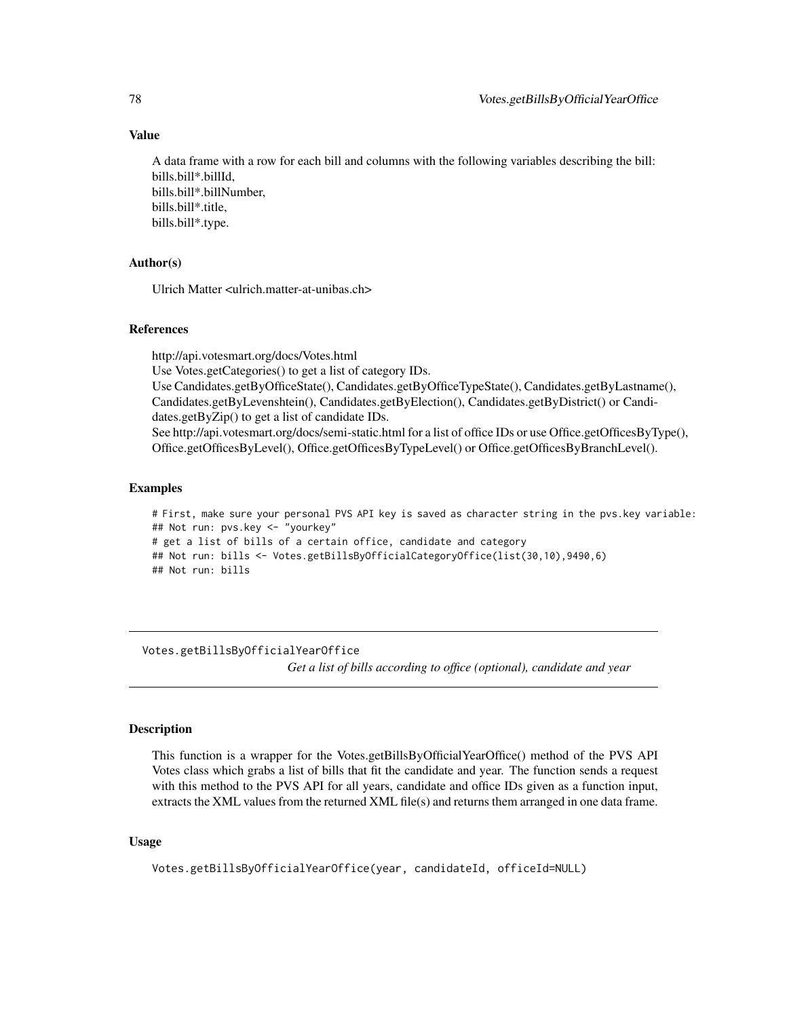A data frame with a row for each bill and columns with the following variables describing the bill: bills.bill\*.billId, bills.bill\*.billNumber, bills.bill\*.title, bills.bill\*.type.

# Author(s)

Ulrich Matter <ulrich.matter-at-unibas.ch>

## References

http://api.votesmart.org/docs/Votes.html

Use Votes.getCategories() to get a list of category IDs.

Use Candidates.getByOfficeState(), Candidates.getByOfficeTypeState(), Candidates.getByLastname(), Candidates.getByLevenshtein(), Candidates.getByElection(), Candidates.getByDistrict() or Candidates.getByZip() to get a list of candidate IDs.

See http://api.votesmart.org/docs/semi-static.html for a list of office IDs or use Office.getOfficesByType(), Office.getOfficesByLevel(), Office.getOfficesByTypeLevel() or Office.getOfficesByBranchLevel().

## Examples

# First, make sure your personal PVS API key is saved as character string in the pvs.key variable: ## Not run: pvs.key <- "yourkey" # get a list of bills of a certain office, candidate and category ## Not run: bills <- Votes.getBillsByOfficialCategoryOffice(list(30,10),9490,6) ## Not run: bills

Votes.getBillsByOfficialYearOffice

*Get a list of bills according to office (optional), candidate and year*

# **Description**

This function is a wrapper for the Votes.getBillsByOfficialYearOffice() method of the PVS API Votes class which grabs a list of bills that fit the candidate and year. The function sends a request with this method to the PVS API for all years, candidate and office IDs given as a function input, extracts the XML values from the returned XML file(s) and returns them arranged in one data frame.

# Usage

```
Votes.getBillsByOfficialYearOffice(year, candidateId, officeId=NULL)
```
<span id="page-77-0"></span>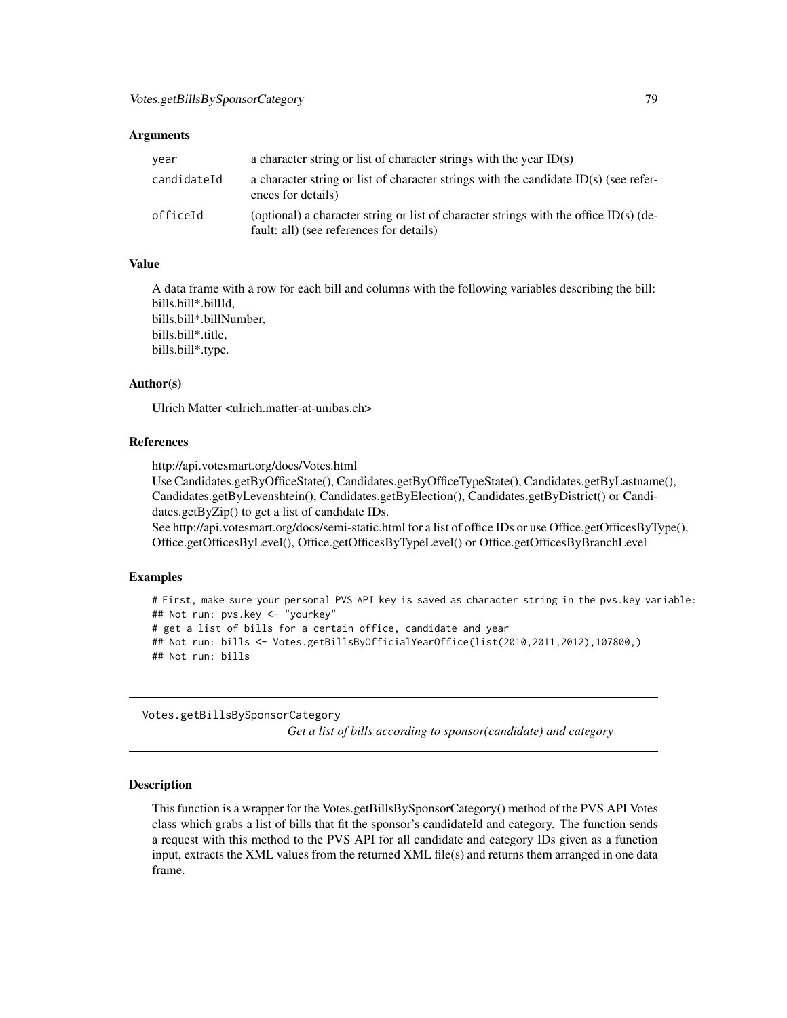#### <span id="page-78-0"></span>**Arguments**

| year        | a character string or list of character strings with the year $ID(s)$                                                             |
|-------------|-----------------------------------------------------------------------------------------------------------------------------------|
| candidateId | a character string or list of character strings with the candidate $ID(s)$ (see refer-<br>ences for details)                      |
| officeId    | (optional) a character string or list of character strings with the office ID(s) (de-<br>fault: all) (see references for details) |

## Value

A data frame with a row for each bill and columns with the following variables describing the bill: bills.bill\*.billId, bills.bill\*.billNumber, bills.bill\*.title, bills.bill\*.type.

#### Author(s)

Ulrich Matter <ulrich.matter-at-unibas.ch>

# References

http://api.votesmart.org/docs/Votes.html

Use Candidates.getByOfficeState(), Candidates.getByOfficeTypeState(), Candidates.getByLastname(), Candidates.getByLevenshtein(), Candidates.getByElection(), Candidates.getByDistrict() or Candidates.getByZip() to get a list of candidate IDs.

See http://api.votesmart.org/docs/semi-static.html for a list of office IDs or use Office.getOfficesByType(), Office.getOfficesByLevel(), Office.getOfficesByTypeLevel() or Office.getOfficesByBranchLevel

## Examples

```
# First, make sure your personal PVS API key is saved as character string in the pvs.key variable:
## Not run: pvs.key <- "yourkey"
# get a list of bills for a certain office, candidate and year
## Not run: bills <- Votes.getBillsByOfficialYearOffice(list(2010,2011,2012),107800,)
## Not run: bills
```
Votes.getBillsBySponsorCategory

*Get a list of bills according to sponsor(candidate) and category*

## Description

This function is a wrapper for the Votes.getBillsBySponsorCategory() method of the PVS API Votes class which grabs a list of bills that fit the sponsor's candidateId and category. The function sends a request with this method to the PVS API for all candidate and category IDs given as a function input, extracts the XML values from the returned XML file(s) and returns them arranged in one data frame.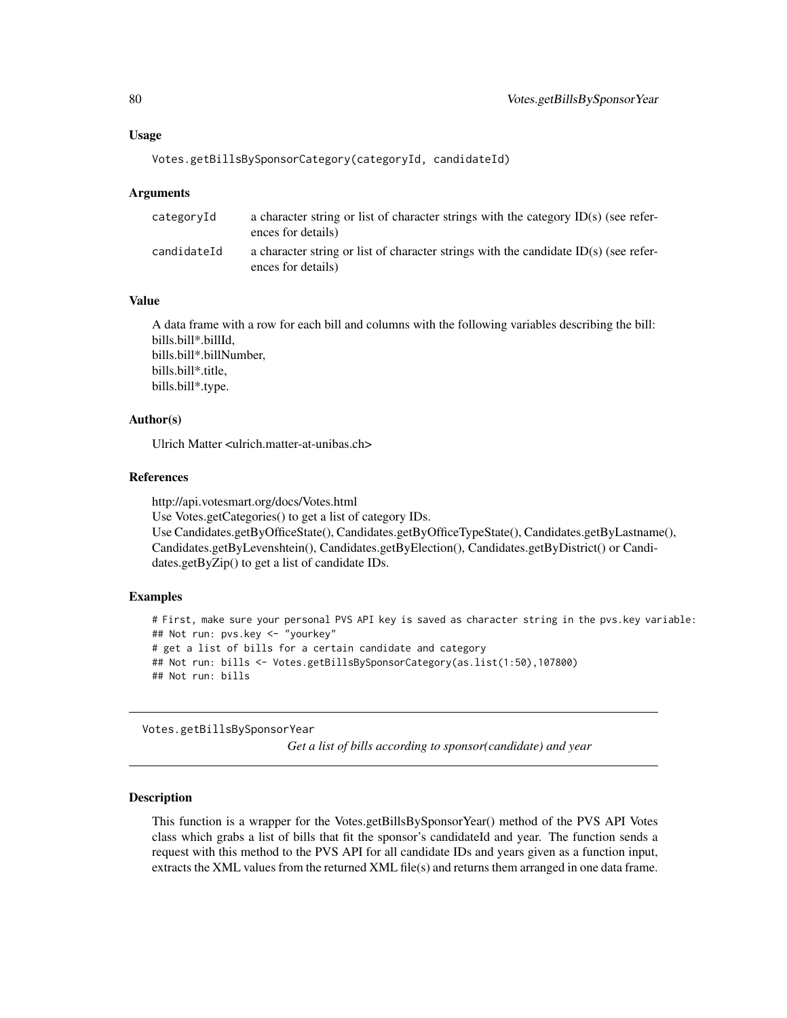# <span id="page-79-0"></span>Usage

```
Votes.getBillsBySponsorCategory(categoryId, candidateId)
```
#### **Arguments**

| categoryId  | a character string or list of character strings with the category $ID(s)$ (see refer-<br>ences for details)  |
|-------------|--------------------------------------------------------------------------------------------------------------|
| candidateId | a character string or list of character strings with the candidate $ID(s)$ (see refer-<br>ences for details) |

# Value

A data frame with a row for each bill and columns with the following variables describing the bill: bills.bill\*.billId, bills.bill\*.billNumber, bills.bill\*.title, bills.bill\*.type.

# Author(s)

Ulrich Matter <ulrich.matter-at-unibas.ch>

#### References

http://api.votesmart.org/docs/Votes.html Use Votes.getCategories() to get a list of category IDs. Use Candidates.getByOfficeState(), Candidates.getByOfficeTypeState(), Candidates.getByLastname(), Candidates.getByLevenshtein(), Candidates.getByElection(), Candidates.getByDistrict() or Candidates.getByZip() to get a list of candidate IDs.

## Examples

```
# First, make sure your personal PVS API key is saved as character string in the pvs.key variable:
## Not run: pvs.key <- "yourkey"
# get a list of bills for a certain candidate and category
## Not run: bills <- Votes.getBillsBySponsorCategory(as.list(1:50),107800)
## Not run: bills
```
Votes.getBillsBySponsorYear

*Get a list of bills according to sponsor(candidate) and year*

## Description

This function is a wrapper for the Votes.getBillsBySponsorYear() method of the PVS API Votes class which grabs a list of bills that fit the sponsor's candidateId and year. The function sends a request with this method to the PVS API for all candidate IDs and years given as a function input, extracts the XML values from the returned XML file(s) and returns them arranged in one data frame.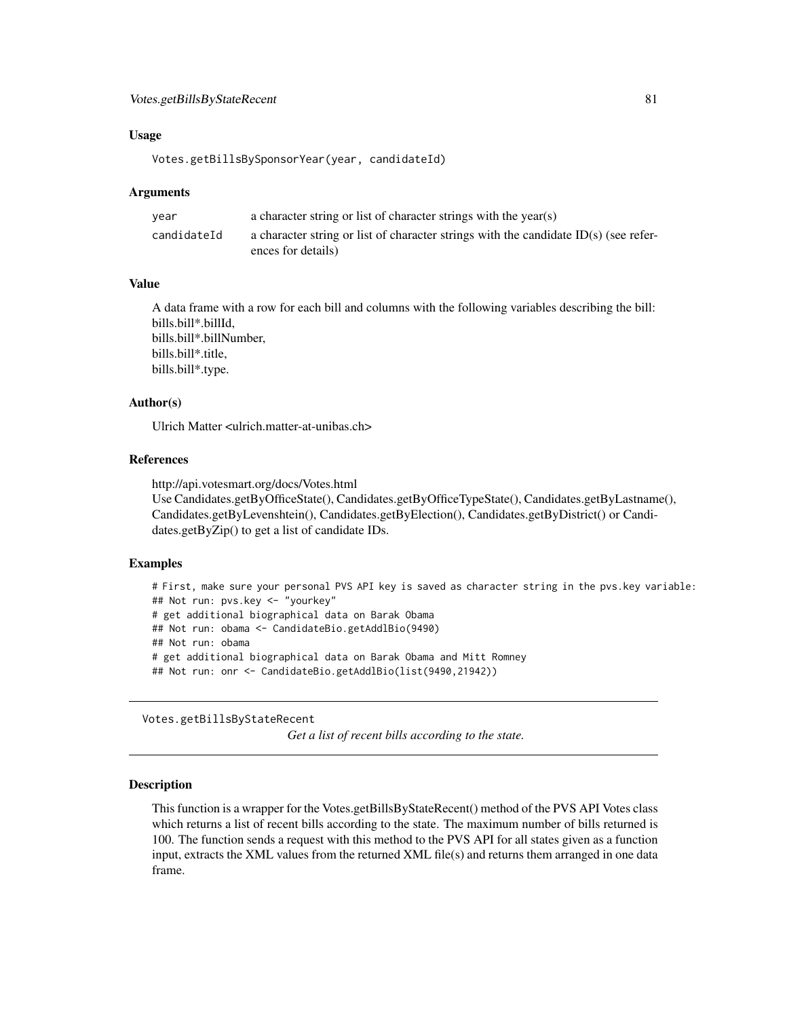# <span id="page-80-0"></span>Votes.getBillsByStateRecent 81

#### Usage

```
Votes.getBillsBySponsorYear(year, candidateId)
```
#### Arguments

| vear        | a character string or list of character strings with the year(s)                       |
|-------------|----------------------------------------------------------------------------------------|
| candidateId | a character string or list of character strings with the candidate $ID(s)$ (see refer- |
|             | ences for details)                                                                     |

# Value

A data frame with a row for each bill and columns with the following variables describing the bill: bills.bill\*.billId, bills.bill\*.billNumber, bills.bill\*.title, bills.bill\*.type.

# Author(s)

Ulrich Matter <ulrich.matter-at-unibas.ch>

# References

http://api.votesmart.org/docs/Votes.html Use Candidates.getByOfficeState(), Candidates.getByOfficeTypeState(), Candidates.getByLastname(), Candidates.getByLevenshtein(), Candidates.getByElection(), Candidates.getByDistrict() or Candi-

dates.getByZip() to get a list of candidate IDs.

#### Examples

```
# First, make sure your personal PVS API key is saved as character string in the pvs.key variable:
## Not run: pvs.key <- "yourkey"
# get additional biographical data on Barak Obama
## Not run: obama <- CandidateBio.getAddlBio(9490)
## Not run: obama
# get additional biographical data on Barak Obama and Mitt Romney
## Not run: onr <- CandidateBio.getAddlBio(list(9490,21942))
```
Votes.getBillsByStateRecent

*Get a list of recent bills according to the state.*

#### Description

This function is a wrapper for the Votes.getBillsByStateRecent() method of the PVS API Votes class which returns a list of recent bills according to the state. The maximum number of bills returned is 100. The function sends a request with this method to the PVS API for all states given as a function input, extracts the XML values from the returned XML file(s) and returns them arranged in one data frame.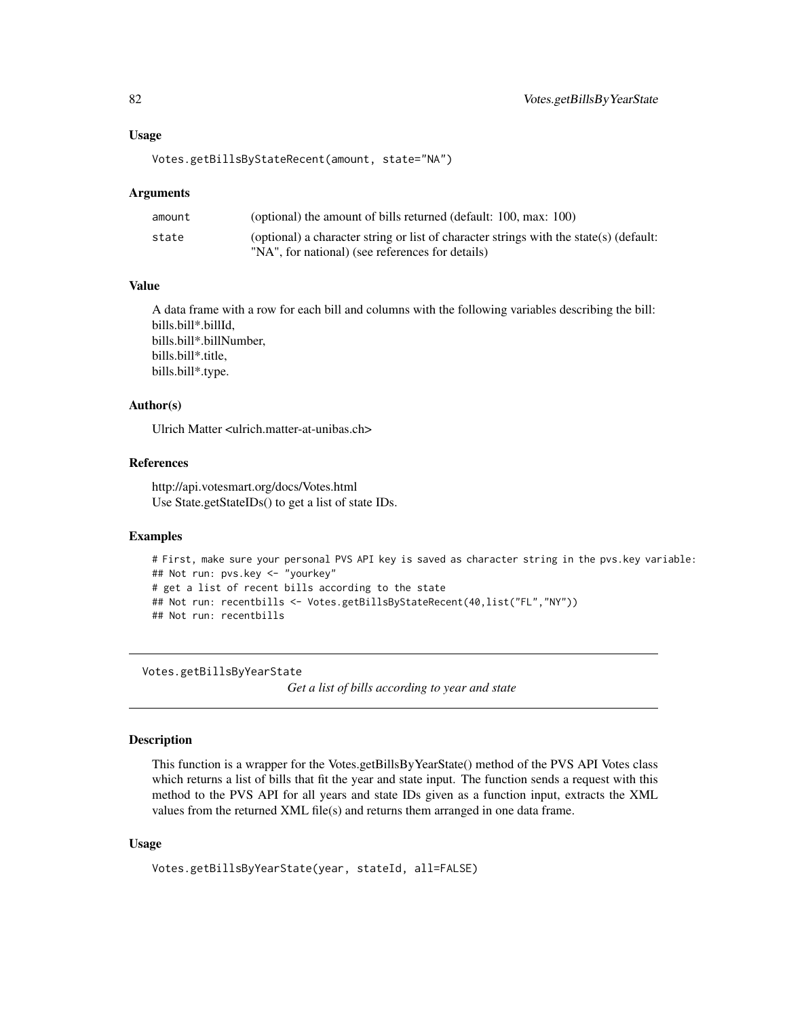#### <span id="page-81-0"></span>Usage

```
Votes.getBillsByStateRecent(amount, state="NA")
```
#### Arguments

| amount | (optional) the amount of bills returned (default: 100, max: 100)                       |
|--------|----------------------------------------------------------------------------------------|
| state  | (optional) a character string or list of character strings with the state(s) (default: |
|        | "NA", for national) (see references for details)                                       |

# Value

A data frame with a row for each bill and columns with the following variables describing the bill: bills.bill\*.billId, bills.bill\*.billNumber, bills.bill\*.title, bills.bill\*.type.

# Author(s)

Ulrich Matter <ulrich.matter-at-unibas.ch>

# References

http://api.votesmart.org/docs/Votes.html Use State.getStateIDs() to get a list of state IDs.

# Examples

```
# First, make sure your personal PVS API key is saved as character string in the pvs.key variable:
## Not run: pvs.key <- "yourkey"
# get a list of recent bills according to the state
## Not run: recentbills <- Votes.getBillsByStateRecent(40,list("FL","NY"))
## Not run: recentbills
```
Votes.getBillsByYearState

*Get a list of bills according to year and state*

## Description

This function is a wrapper for the Votes.getBillsByYearState() method of the PVS API Votes class which returns a list of bills that fit the year and state input. The function sends a request with this method to the PVS API for all years and state IDs given as a function input, extracts the XML values from the returned XML file(s) and returns them arranged in one data frame.

## Usage

```
Votes.getBillsByYearState(year, stateId, all=FALSE)
```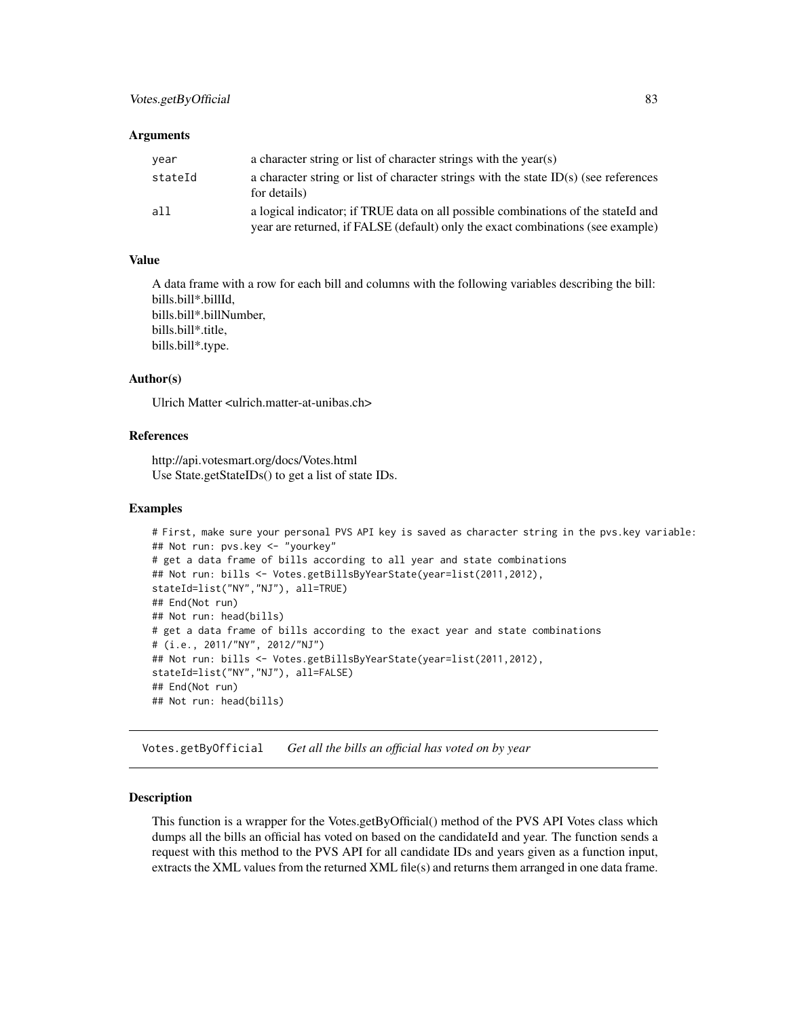#### <span id="page-82-0"></span>**Arguments**

| year    | a character string or list of character strings with the year(s)                                                                                                     |
|---------|----------------------------------------------------------------------------------------------------------------------------------------------------------------------|
| stateId | a character string or list of character strings with the state $ID(s)$ (see references<br>for details)                                                               |
| all     | a logical indicator; if TRUE data on all possible combinations of the stateId and<br>year are returned, if FALSE (default) only the exact combinations (see example) |

# Value

A data frame with a row for each bill and columns with the following variables describing the bill: bills.bill\*.billId, bills.bill\*.billNumber, bills.bill\*.title, bills.bill\*.type.

#### Author(s)

Ulrich Matter <ulrich.matter-at-unibas.ch>

## References

http://api.votesmart.org/docs/Votes.html Use State.getStateIDs() to get a list of state IDs.

#### Examples

```
# First, make sure your personal PVS API key is saved as character string in the pvs.key variable:
## Not run: pvs.key <- "yourkey"
# get a data frame of bills according to all year and state combinations
## Not run: bills <- Votes.getBillsByYearState(year=list(2011,2012),
stateId=list("NY","NJ"), all=TRUE)
## End(Not run)
## Not run: head(bills)
# get a data frame of bills according to the exact year and state combinations
# (i.e., 2011/"NY", 2012/"NJ")
## Not run: bills <- Votes.getBillsByYearState(year=list(2011,2012),
stateId=list("NY","NJ"), all=FALSE)
## End(Not run)
## Not run: head(bills)
```
Votes.getByOfficial *Get all the bills an official has voted on by year*

## Description

This function is a wrapper for the Votes.getByOfficial() method of the PVS API Votes class which dumps all the bills an official has voted on based on the candidateId and year. The function sends a request with this method to the PVS API for all candidate IDs and years given as a function input, extracts the XML values from the returned XML file(s) and returns them arranged in one data frame.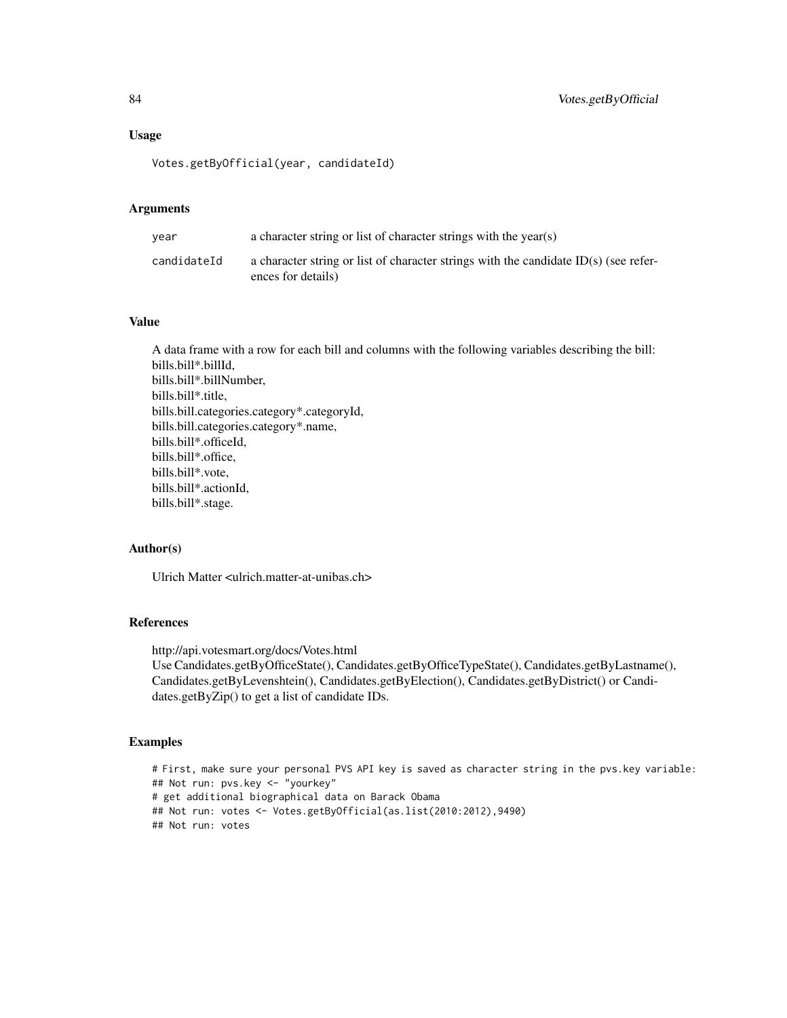#### Usage

Votes.getByOfficial(year, candidateId)

# Arguments

| vear        | a character string or list of character strings with the year(s)                                             |
|-------------|--------------------------------------------------------------------------------------------------------------|
| candidateId | a character string or list of character strings with the candidate $ID(s)$ (see refer-<br>ences for details) |

## Value

A data frame with a row for each bill and columns with the following variables describing the bill: bills.bill\*.billId, bills.bill\*.billNumber, bills.bill\*.title, bills.bill.categories.category\*.categoryId, bills.bill.categories.category\*.name, bills.bill\*.officeId, bills.bill\*.office, bills.bill\*.vote, bills.bill\*.actionId, bills.bill\*.stage.

#### Author(s)

Ulrich Matter <ulrich.matter-at-unibas.ch>

# References

http://api.votesmart.org/docs/Votes.html

Use Candidates.getByOfficeState(), Candidates.getByOfficeTypeState(), Candidates.getByLastname(), Candidates.getByLevenshtein(), Candidates.getByElection(), Candidates.getByDistrict() or Candidates.getByZip() to get a list of candidate IDs.

# Examples

```
# First, make sure your personal PVS API key is saved as character string in the pvs.key variable:
## Not run: pvs.key <- "yourkey"
# get additional biographical data on Barack Obama
## Not run: votes <- Votes.getByOfficial(as.list(2010:2012),9490)
## Not run: votes
```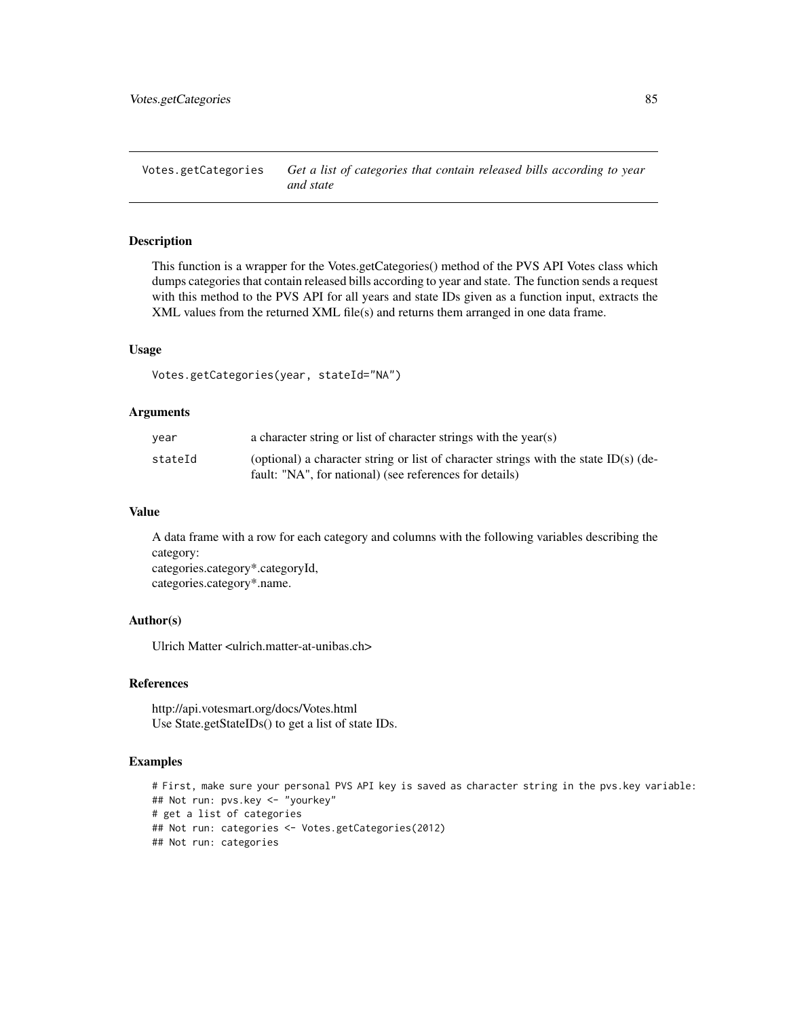<span id="page-84-0"></span>Votes.getCategories *Get a list of categories that contain released bills according to year and state*

## Description

This function is a wrapper for the Votes.getCategories() method of the PVS API Votes class which dumps categories that contain released bills according to year and state. The function sends a request with this method to the PVS API for all years and state IDs given as a function input, extracts the XML values from the returned XML file(s) and returns them arranged in one data frame.

#### Usage

Votes.getCategories(year, stateId="NA")

#### Arguments

| year    | a character string or list of character strings with the year(s)                     |
|---------|--------------------------------------------------------------------------------------|
| stateId | (optional) a character string or list of character strings with the state ID(s) (de- |
|         | fault: "NA", for national) (see references for details)                              |

#### Value

A data frame with a row for each category and columns with the following variables describing the category: categories.category\*.categoryId, categories.category\*.name.

# Author(s)

Ulrich Matter <ulrich.matter-at-unibas.ch>

# References

http://api.votesmart.org/docs/Votes.html Use State.getStateIDs() to get a list of state IDs.

# Examples

```
# First, make sure your personal PVS API key is saved as character string in the pvs.key variable:
## Not run: pvs.key <- "yourkey"
# get a list of categories
## Not run: categories <- Votes.getCategories(2012)
## Not run: categories
```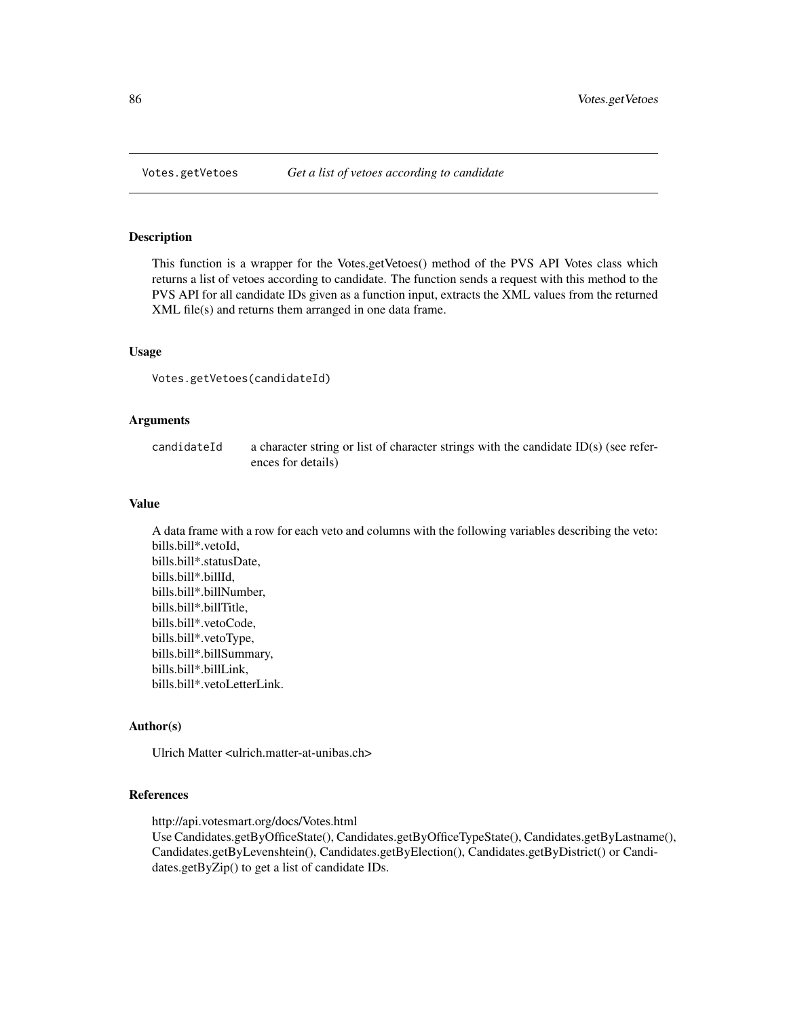#### Description

This function is a wrapper for the Votes.getVetoes() method of the PVS API Votes class which returns a list of vetoes according to candidate. The function sends a request with this method to the PVS API for all candidate IDs given as a function input, extracts the XML values from the returned XML file(s) and returns them arranged in one data frame.

#### Usage

```
Votes.getVetoes(candidateId)
```
#### Arguments

candidateId a character string or list of character strings with the candidate ID(s) (see references for details)

# Value

A data frame with a row for each veto and columns with the following variables describing the veto: bills.bill\*.vetoId, bills.bill\*.statusDate, bills.bill\*.billId, bills.bill\*.billNumber, bills.bill\*.billTitle, bills.bill\*.vetoCode, bills.bill\*.vetoType, bills.bill\*.billSummary, bills.bill\*.billLink, bills.bill\*.vetoLetterLink.

#### Author(s)

Ulrich Matter <ulrich.matter-at-unibas.ch>

# References

http://api.votesmart.org/docs/Votes.html

Use Candidates.getByOfficeState(), Candidates.getByOfficeTypeState(), Candidates.getByLastname(), Candidates.getByLevenshtein(), Candidates.getByElection(), Candidates.getByDistrict() or Candidates.getByZip() to get a list of candidate IDs.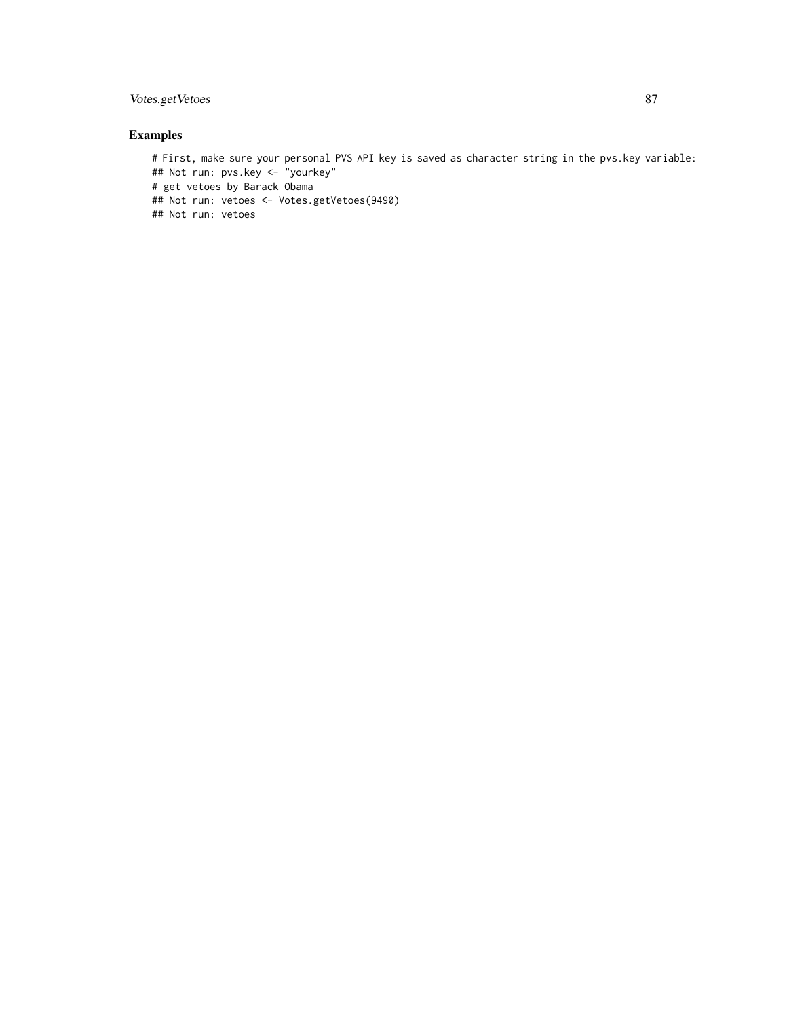# Votes.getVetoes 87

# Examples

# First, make sure your personal PVS API key is saved as character string in the pvs.key variable: ## Not run: pvs.key <- "yourkey" # get vetoes by Barack Obama ## Not run: vetoes <- Votes.getVetoes(9490) ## Not run: vetoes